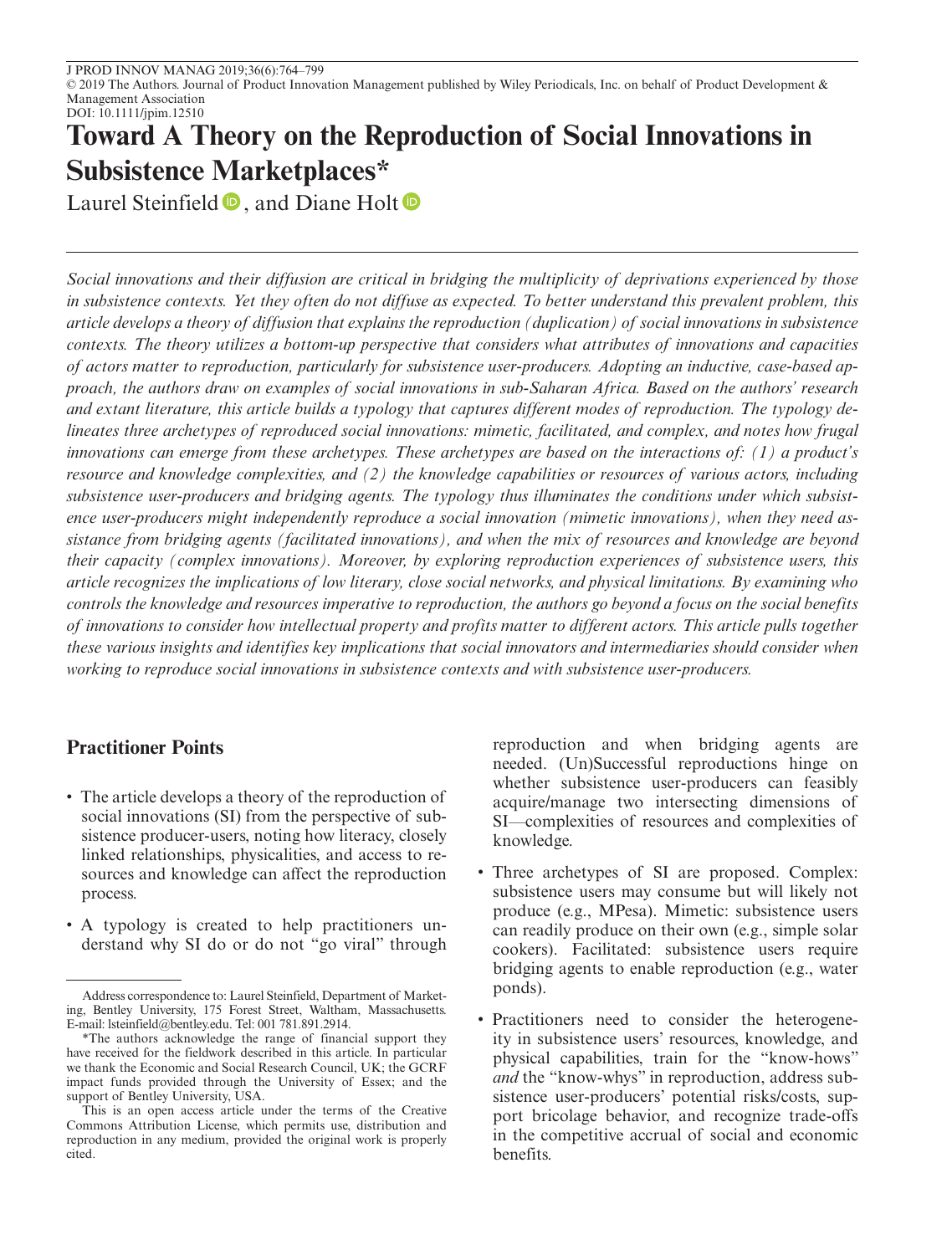# **Toward A Theory on the Reproduction of Social Innovations in Subsistence Marketplaces\***

Laurel S[t](https://orcid.org/0000-0002-2945-5207)einfield  $\bullet$ , and Diane Holt  $\bullet$ 

*Social innovations and their diffusion are critical in bridging the multiplicity of deprivations experienced by those in subsistence contexts. Yet they often do not diffuse as expected. To better understand this prevalent problem, this article develops a theory of diffusion that explains the reproduction (duplication) of social innovations in subsistence contexts. The theory utilizes a bottom-up perspective that considers what attributes of innovations and capacities of actors matter to reproduction, particularly for subsistence user-producers. Adopting an inductive, case-based approach, the authors draw on examples of social innovations in sub-Saharan Africa. Based on the authors' research and extant literature, this article builds a typology that captures different modes of reproduction. The typology delineates three archetypes of reproduced social innovations: mimetic, facilitated, and complex, and notes how frugal innovations can emerge from these archetypes. These archetypes are based on the interactions of: (1) a product's resource and knowledge complexities, and (2) the knowledge capabilities or resources of various actors, including subsistence user-producers and bridging agents. The typology thus illuminates the conditions under which subsistence user-producers might independently reproduce a social innovation (mimetic innovations), when they need assistance from bridging agents (facilitated innovations), and when the mix of resources and knowledge are beyond their capacity (complex innovations). Moreover, by exploring reproduction experiences of subsistence users, this article recognizes the implications of low literary, close social networks, and physical limitations. By examining who controls the knowledge and resources imperative to reproduction, the authors go beyond a focus on the social benefits of innovations to consider how intellectual property and profits matter to different actors. This article pulls together these various insights and identifies key implications that social innovators and intermediaries should consider when working to reproduce social innovations in subsistence contexts and with subsistence user-producers.*

# **Practitioner Points**

- The article develops a theory of the reproduction of social innovations (SI) from the perspective of subsistence producer-users, noting how literacy, closely linked relationships, physicalities, and access to resources and knowledge can affect the reproduction process.
- A typology is created to help practitioners understand why SI do or do not "go viral" through

reproduction and when bridging agents are needed. (Un)Successful reproductions hinge on whether subsistence user-producers can feasibly acquire/manage two intersecting dimensions of SI—complexities of resources and complexities of knowledge.

- Three archetypes of SI are proposed. Complex: subsistence users may consume but will likely not produce (e.g., MPesa). Mimetic: subsistence users can readily produce on their own (e.g., simple solar cookers). Facilitated: subsistence users require bridging agents to enable reproduction (e.g., water ponds).
- Practitioners need to consider the heterogeneity in subsistence users' resources, knowledge, and physical capabilities, train for the "know-hows" *and* the "know-whys" in reproduction, address subsistence user-producers' potential risks/costs, support bricolage behavior, and recognize trade-offs in the competitive accrual of social and economic benefits.

Address correspondence to: Laurel Steinfield, Department of Marketing, Bentley University, 175 Forest Street, Waltham, Massachusetts. E-mail: [lsteinfield@bentley.edu](mailto:lsteinfield@bentley.edu). Tel: 001 781.891.2914.

<sup>\*</sup>The authors acknowledge the range of financial support they have received for the fieldwork described in this article. In particular we thank the Economic and Social Research Council, UK; the GCRF impact funds provided through the University of Essex; and the support of Bentley University, USA.

This is an open access article under the terms of the [Creative](http://creativecommons.org/licenses/by/4.0/)  [Commons Attribution](http://creativecommons.org/licenses/by/4.0/) License, which permits use, distribution and reproduction in any medium, provided the original work is properly cited.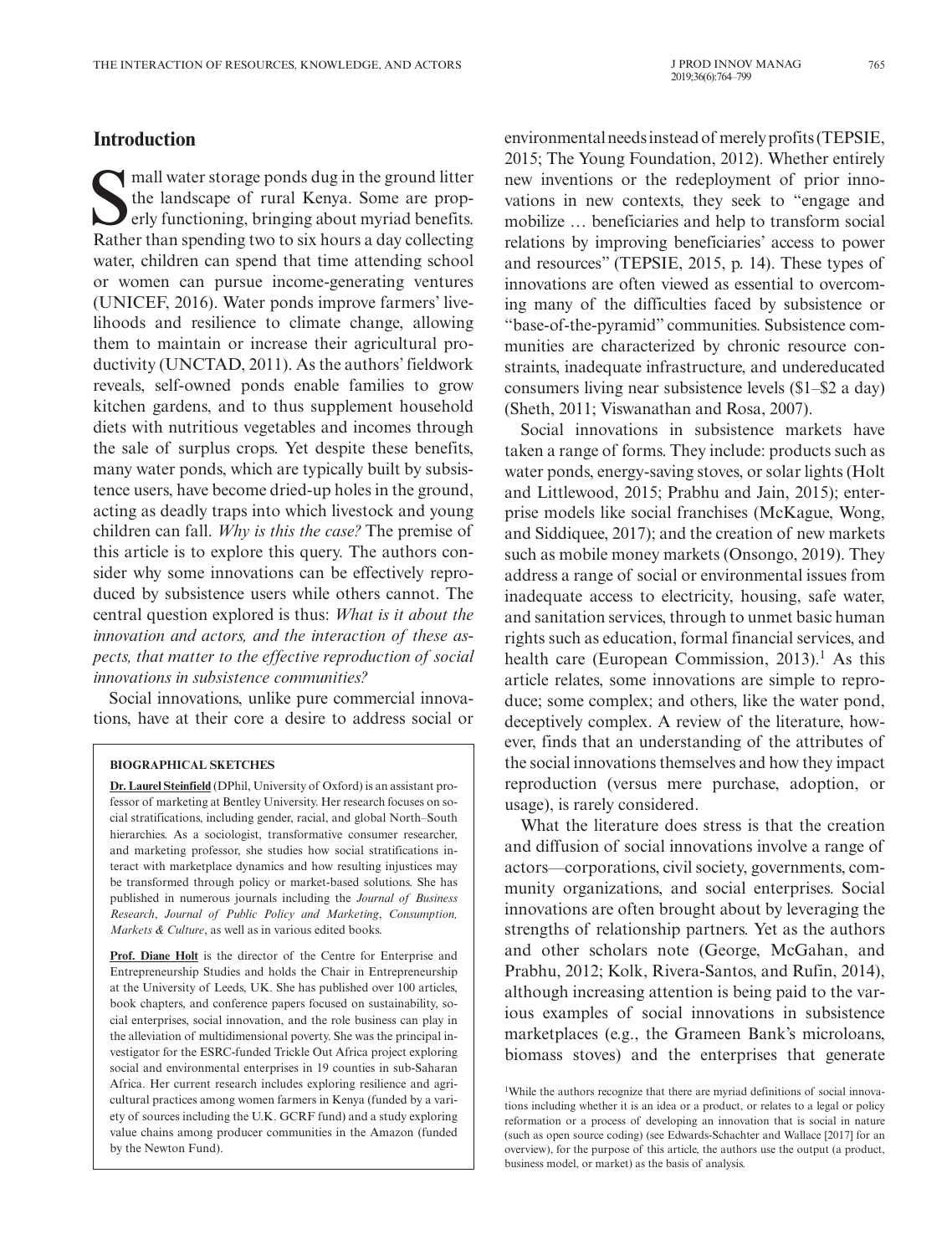# **Introduction**

If mall water storage ponds dug in the ground litter the landscape of rural Kenya. Some are prop-**J** erly functioning, bringing about myriad benefits. Rather than spending two to six hours a day collecting water, children can spend that time attending school or women can pursue income-generating ventures (UNICEF, 2016). Water ponds improve farmers' livelihoods and resilience to climate change, allowing them to maintain or increase their agricultural productivity (UNCTAD, 2011). As the authors' fieldwork reveals, self-owned ponds enable families to grow kitchen gardens, and to thus supplement household diets with nutritious vegetables and incomes through the sale of surplus crops. Yet despite these benefits, many water ponds, which are typically built by subsistence users, have become dried-up holes in the ground, acting as deadly traps into which livestock and young children can fall. *Why is this the case?* The premise of this article is to explore this query. The authors consider why some innovations can be effectively reproduced by subsistence users while others cannot. The central question explored is thus: *What is it about the innovation and actors, and the interaction of these aspects, that matter to the effective reproduction of social innovations in subsistence communities?*

Social innovations, unlike pure commercial innovations, have at their core a desire to address social or

#### **BIOGRAPHICAL SKETCHES**

**Dr. Laurel Steinfield** (DPhil, University of Oxford) is an assistant professor of marketing at Bentley University. Her research focuses on social stratifications, including gender, racial, and global North–South hierarchies. As a sociologist, transformative consumer researcher, and marketing professor, she studies how social stratifications interact with marketplace dynamics and how resulting injustices may be transformed through policy or market-based solutions. She has published in numerous journals including the *Journal of Business Research*, *Journal of Public Policy and Marketing*, *Consumption, Markets & Culture*, as well as in various edited books.

**Prof. Diane Holt** is the director of the Centre for Enterprise and Entrepreneurship Studies and holds the Chair in Entrepreneurship at the University of Leeds, UK. She has published over 100 articles, book chapters, and conference papers focused on sustainability, social enterprises, social innovation, and the role business can play in the alleviation of multidimensional poverty. She was the principal investigator for the ESRC-funded Trickle Out Africa project exploring social and environmental enterprises in 19 counties in sub-Saharan Africa. Her current research includes exploring resilience and agricultural practices among women farmers in Kenya (funded by a variety of sources including the U.K. GCRF fund) and a study exploring value chains among producer communities in the Amazon (funded by the Newton Fund).

environmental needs instead of merely profits (TEPSIE, 2015; The Young Foundation, 2012). Whether entirely new inventions or the redeployment of prior innovations in new contexts, they seek to "engage and mobilize … beneficiaries and help to transform social relations by improving beneficiaries' access to power and resources" (TEPSIE, 2015, p. 14). These types of innovations are often viewed as essential to overcoming many of the difficulties faced by subsistence or "base-of-the-pyramid" communities. Subsistence communities are characterized by chronic resource constraints, inadequate infrastructure, and undereducated consumers living near subsistence levels (\$1–\$2 a day) (Sheth, 2011; Viswanathan and Rosa, 2007).

Social innovations in subsistence markets have taken a range of forms. They include: products such as water ponds, energy-saving stoves, or solar lights (Holt and Littlewood, 2015; Prabhu and Jain, 2015); enterprise models like social franchises (McKague, Wong, and Siddiquee, 2017); and the creation of new markets such as mobile money markets (Onsongo, 2019). They address a range of social or environmental issues from inadequate access to electricity, housing, safe water, and sanitation services, through to unmet basic human rights such as education, formal financial services, and health care (European Commission,  $2013$ ).<sup>1</sup> As this article relates, some innovations are simple to reproduce; some complex; and others, like the water pond, deceptively complex. A review of the literature, however, finds that an understanding of the attributes of the social innovations themselves and how they impact reproduction (versus mere purchase, adoption, or usage), is rarely considered.

What the literature does stress is that the creation and diffusion of social innovations involve a range of actors—corporations, civil society, governments, community organizations, and social enterprises. Social innovations are often brought about by leveraging the strengths of relationship partners. Yet as the authors and other scholars note (George, McGahan, and Prabhu, 2012; Kolk, Rivera-Santos, and Rufin, 2014), although increasing attention is being paid to the various examples of social innovations in subsistence marketplaces (e.g., the Grameen Bank's microloans, biomass stoves) and the enterprises that generate

<sup>&</sup>lt;sup>1</sup>While the authors recognize that there are myriad definitions of social innovations including whether it is an idea or a product, or relates to a legal or policy reformation or a process of developing an innovation that is social in nature (such as open source coding) (see Edwards-Schachter and Wallace [2017] for an overview), for the purpose of this article, the authors use the output (a product, business model, or market) as the basis of analysis.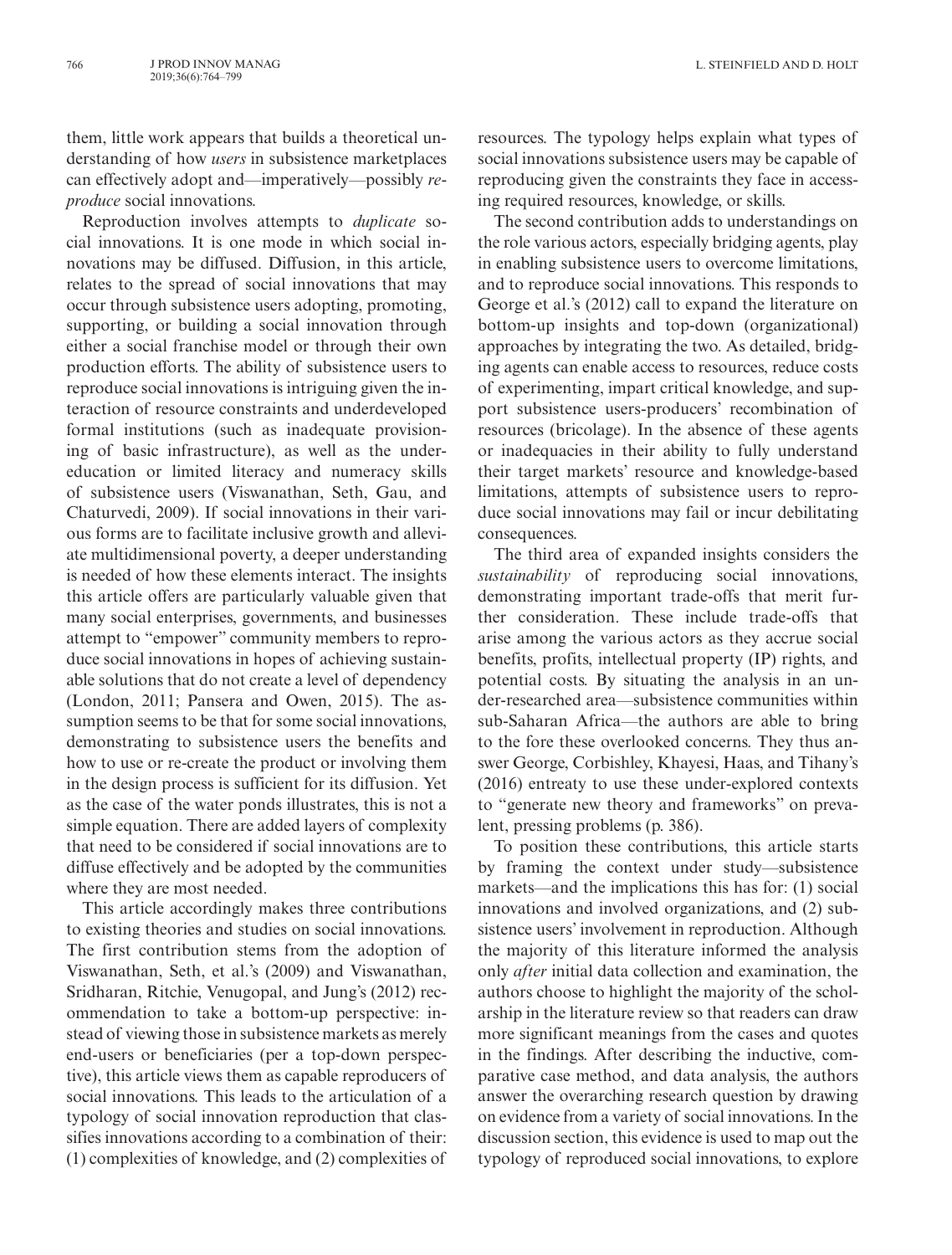them, little work appears that builds a theoretical understanding of how *users* in subsistence marketplaces can effectively adopt and—imperatively—possibly *reproduce* social innovations.

Reproduction involves attempts to *duplicate* social innovations. It is one mode in which social innovations may be diffused. Diffusion, in this article, relates to the spread of social innovations that may occur through subsistence users adopting, promoting, supporting, or building a social innovation through either a social franchise model or through their own production efforts. The ability of subsistence users to reproduce social innovations is intriguing given the interaction of resource constraints and underdeveloped formal institutions (such as inadequate provisioning of basic infrastructure), as well as the undereducation or limited literacy and numeracy skills of subsistence users (Viswanathan, Seth, Gau, and Chaturvedi, 2009). If social innovations in their various forms are to facilitate inclusive growth and alleviate multidimensional poverty, a deeper understanding is needed of how these elements interact. The insights this article offers are particularly valuable given that many social enterprises, governments, and businesses attempt to "empower" community members to reproduce social innovations in hopes of achieving sustainable solutions that do not create a level of dependency (London, 2011; Pansera and Owen, 2015). The assumption seems to be that for some social innovations, demonstrating to subsistence users the benefits and how to use or re-create the product or involving them in the design process is sufficient for its diffusion. Yet as the case of the water ponds illustrates, this is not a simple equation. There are added layers of complexity that need to be considered if social innovations are to diffuse effectively and be adopted by the communities where they are most needed.

This article accordingly makes three contributions to existing theories and studies on social innovations. The first contribution stems from the adoption of Viswanathan, Seth, et al.'s (2009) and Viswanathan, Sridharan, Ritchie, Venugopal, and Jung's (2012) recommendation to take a bottom-up perspective: instead of viewing those in subsistence markets as merely end-users or beneficiaries (per a top-down perspective), this article views them as capable reproducers of social innovations. This leads to the articulation of a typology of social innovation reproduction that classifies innovations according to a combination of their: (1) complexities of knowledge, and (2) complexities of

resources. The typology helps explain what types of social innovations subsistence users may be capable of reproducing given the constraints they face in accessing required resources, knowledge, or skills.

The second contribution adds to understandings on the role various actors, especially bridging agents, play in enabling subsistence users to overcome limitations, and to reproduce social innovations. This responds to George et al.'s (2012) call to expand the literature on bottom-up insights and top-down (organizational) approaches by integrating the two. As detailed, bridging agents can enable access to resources, reduce costs of experimenting, impart critical knowledge, and support subsistence users-producers' recombination of resources (bricolage). In the absence of these agents or inadequacies in their ability to fully understand their target markets' resource and knowledge-based limitations, attempts of subsistence users to reproduce social innovations may fail or incur debilitating consequences.

The third area of expanded insights considers the *sustainability* of reproducing social innovations, demonstrating important trade-offs that merit further consideration. These include trade-offs that arise among the various actors as they accrue social benefits, profits, intellectual property (IP) rights, and potential costs. By situating the analysis in an under-researched area—subsistence communities within sub-Saharan Africa—the authors are able to bring to the fore these overlooked concerns. They thus answer George, Corbishley, Khayesi, Haas, and Tihany's (2016) entreaty to use these under-explored contexts to "generate new theory and frameworks" on prevalent, pressing problems (p. 386).

To position these contributions, this article starts by framing the context under study—subsistence markets—and the implications this has for: (1) social innovations and involved organizations, and (2) subsistence users' involvement in reproduction. Although the majority of this literature informed the analysis only *after* initial data collection and examination, the authors choose to highlight the majority of the scholarship in the literature review so that readers can draw more significant meanings from the cases and quotes in the findings. After describing the inductive, comparative case method, and data analysis, the authors answer the overarching research question by drawing on evidence from a variety of social innovations. In the discussion section, this evidence is used to map out the typology of reproduced social innovations, to explore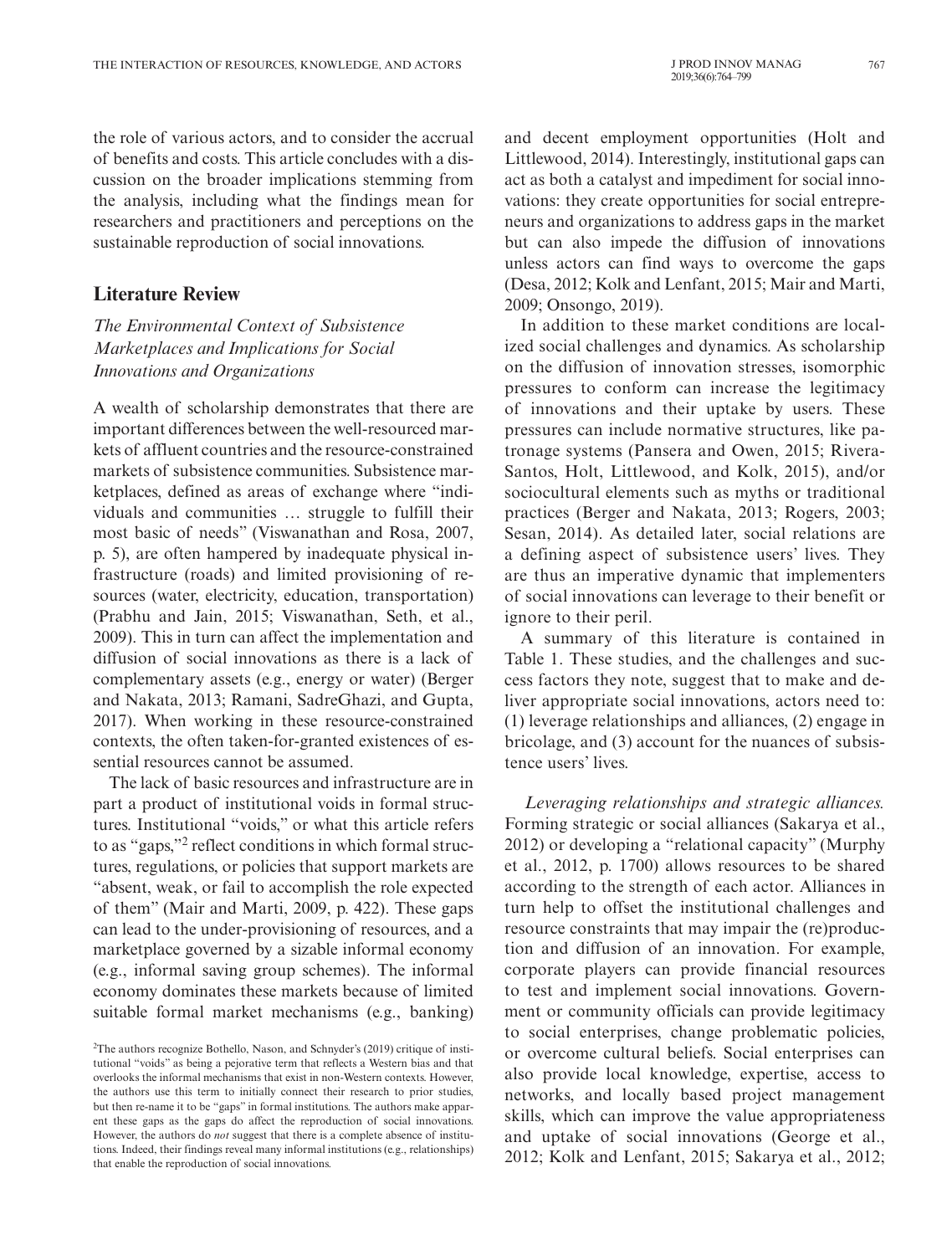the role of various actors, and to consider the accrual of benefits and costs. This article concludes with a discussion on the broader implications stemming from the analysis, including what the findings mean for researchers and practitioners and perceptions on the sustainable reproduction of social innovations.

# **Literature Review**

*The Environmental Context of Subsistence Marketplaces and Implications for Social Innovations and Organizations*

A wealth of scholarship demonstrates that there are important differences between the well-resourced markets of affluent countries and the resource-constrained markets of subsistence communities. Subsistence marketplaces, defined as areas of exchange where "individuals and communities … struggle to fulfill their most basic of needs" (Viswanathan and Rosa, 2007, p. 5), are often hampered by inadequate physical infrastructure (roads) and limited provisioning of resources (water, electricity, education, transportation) (Prabhu and Jain, 2015; Viswanathan, Seth, et al., 2009). This in turn can affect the implementation and diffusion of social innovations as there is a lack of complementary assets (e.g., energy or water) (Berger and Nakata, 2013; Ramani, SadreGhazi, and Gupta, 2017). When working in these resource-constrained contexts, the often taken-for-granted existences of essential resources cannot be assumed.

The lack of basic resources and infrastructure are in part a product of institutional voids in formal structures. Institutional "voids," or what this article refers to as "gaps,"<sup>2</sup> reflect conditions in which formal structures, regulations, or policies that support markets are "absent, weak, or fail to accomplish the role expected of them" (Mair and Marti, 2009, p. 422). These gaps can lead to the under-provisioning of resources, and a marketplace governed by a sizable informal economy (e.g., informal saving group schemes). The informal economy dominates these markets because of limited suitable formal market mechanisms (e.g., banking) and decent employment opportunities (Holt and Littlewood, 2014). Interestingly, institutional gaps can act as both a catalyst and impediment for social innovations: they create opportunities for social entrepreneurs and organizations to address gaps in the market but can also impede the diffusion of innovations unless actors can find ways to overcome the gaps (Desa, 2012; Kolk and Lenfant, 2015; Mair and Marti, 2009; Onsongo, 2019).

In addition to these market conditions are localized social challenges and dynamics. As scholarship on the diffusion of innovation stresses, isomorphic pressures to conform can increase the legitimacy of innovations and their uptake by users. These pressures can include normative structures, like patronage systems (Pansera and Owen, 2015; Rivera-Santos, Holt, Littlewood, and Kolk, 2015), and/or sociocultural elements such as myths or traditional practices (Berger and Nakata, 2013; Rogers, 2003; Sesan, 2014). As detailed later, social relations are a defining aspect of subsistence users' lives. They are thus an imperative dynamic that implementers of social innovations can leverage to their benefit or ignore to their peril.

A summary of this literature is contained in Table 1. These studies, and the challenges and success factors they note, suggest that to make and deliver appropriate social innovations, actors need to: (1) leverage relationships and alliances, (2) engage in bricolage, and (3) account for the nuances of subsistence users' lives.

*Leveraging relationships and strategic alliances.* Forming strategic or social alliances (Sakarya et al., 2012) or developing a "relational capacity" (Murphy et al., 2012, p. 1700) allows resources to be shared according to the strength of each actor. Alliances in turn help to offset the institutional challenges and resource constraints that may impair the (re)production and diffusion of an innovation. For example, corporate players can provide financial resources to test and implement social innovations. Government or community officials can provide legitimacy to social enterprises, change problematic policies, or overcome cultural beliefs. Social enterprises can also provide local knowledge, expertise, access to networks, and locally based project management skills, which can improve the value appropriateness and uptake of social innovations (George et al., 2012; Kolk and Lenfant, 2015; Sakarya et al., 2012;

<sup>2</sup>The authors recognize Bothello, Nason, and Schnyder's (2019) critique of institutional "voids" as being a pejorative term that reflects a Western bias and that overlooks the informal mechanisms that exist in non-Western contexts. However, the authors use this term to initially connect their research to prior studies, but then re-name it to be "gaps" in formal institutions. The authors make apparent these gaps as the gaps do affect the reproduction of social innovations. However, the authors do *not* suggest that there is a complete absence of institutions. Indeed, their findings reveal many informal institutions (e.g., relationships) that enable the reproduction of social innovations.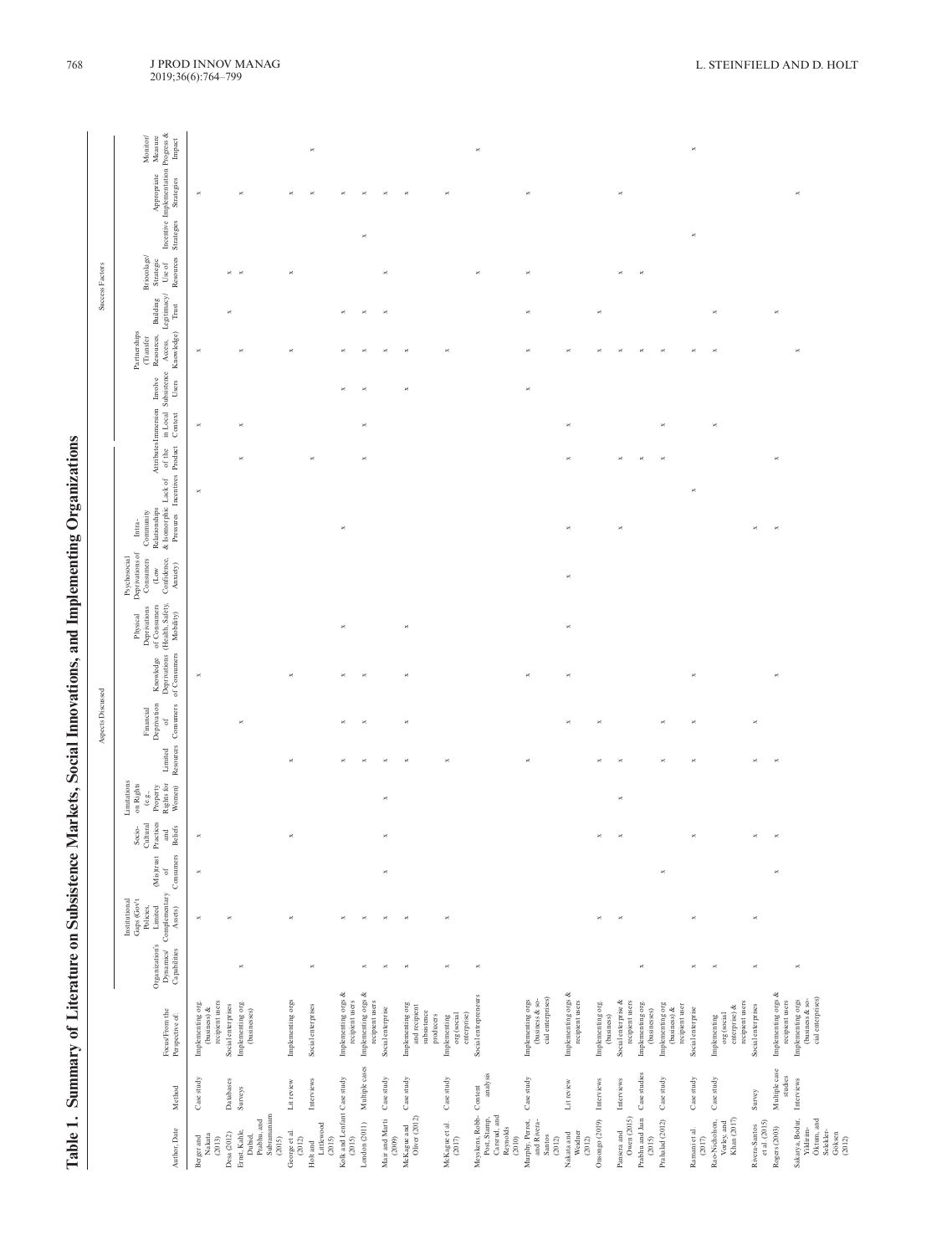| I                                                |
|--------------------------------------------------|
|                                                  |
| J                                                |
| I                                                |
|                                                  |
|                                                  |
|                                                  |
|                                                  |
|                                                  |
| I                                                |
| ş                                                |
|                                                  |
|                                                  |
|                                                  |
|                                                  |
|                                                  |
|                                                  |
| j                                                |
|                                                  |
|                                                  |
|                                                  |
|                                                  |
|                                                  |
| ֖֖֪ׅ֚֚֚֚֚֚֚֚֚֚֚֚֚֚֚֚֬֝֝֝֝֝֝֬֝֬֝֬֝֬֝֬֝֓֬֝֓֬֝֓֬֝֓֬ |
|                                                  |
|                                                  |
|                                                  |
| i                                                |
|                                                  |
| l                                                |
|                                                  |
|                                                  |
|                                                  |
|                                                  |
|                                                  |
| j                                                |
|                                                  |
|                                                  |
|                                                  |
|                                                  |
|                                                  |
| j                                                |
| Í                                                |
| į<br>ng<br>֚֚֚֬                                  |
|                                                  |

| Table 1.                                                                      |                            | Summary of Literature on Subsistence                            |                |                                                                                                                       |                                  |                                                   | Markets, Social Innovations, and Implementing Organizations            |                      |                                             |                                             |                                                                             |                                                                                 |                                                                                                     |   |                      |                                                    |                                                                       |                                                                                               |                   |                                                                                                                                                        |         |
|-------------------------------------------------------------------------------|----------------------------|-----------------------------------------------------------------|----------------|-----------------------------------------------------------------------------------------------------------------------|----------------------------------|---------------------------------------------------|------------------------------------------------------------------------|----------------------|---------------------------------------------|---------------------------------------------|-----------------------------------------------------------------------------|---------------------------------------------------------------------------------|-----------------------------------------------------------------------------------------------------|---|----------------------|----------------------------------------------------|-----------------------------------------------------------------------|-----------------------------------------------------------------------------------------------|-------------------|--------------------------------------------------------------------------------------------------------------------------------------------------------|---------|
|                                                                               |                            |                                                                 |                |                                                                                                                       |                                  |                                                   |                                                                        |                      | Aspects Discussed                           |                                             |                                                                             |                                                                                 |                                                                                                     |   |                      |                                                    |                                                                       |                                                                                               | Success Factors   |                                                                                                                                                        |         |
| Author, Date                                                                  | Method                     | Focus/From the $\mbox{Perspective of:}$                         | Organization's | Drganization's Limited<br>Dynamics Complementary<br>Capabilities Assets)<br>Institutional<br>Gaps (Gov't<br>Policies, | $(Mis)$ trust<br>of<br>Consumers | Practices<br>Cultural<br>and<br>Beliefs<br>Socio- | Limitations<br>on Rights<br>Property<br>Rights for<br>Women)<br>(e.g., | Resources<br>Limited | Deprivation<br>Consumers<br>Financial<br>Jo | Deprivations (<br>of Consumers<br>Knowledge | of Consumers<br>(Health, Safety,<br>8 Mobility)<br>Deprivations<br>Physical | Deprivations of<br>Psychosocial<br>Consumers<br>(Low<br>Confidence,<br>Anxiety) | Relationships<br>& Isomorphic Lack of of the<br>Pressures Incentives Product<br>Community<br>Intra- |   | Attributes Immersion | in Local Subsistence<br>Context Users 1<br>Involve | : Access, I.<br>Knowledge)<br>Partnerships<br>Resources,<br>(Transfer | $\begin{array}{ll} \text{Legi} \text{limacy/} \\ \text{1} & \text{1} \end{array}$<br>Building | Briocolage        | Appropriate Measure<br>Incentive Implementation Progress &<br>Strategies Strategies Impact<br>Strategic<br>Use of Incentive In<br>Resources Strategies | Monitor |
| Berger and $_{\rm Nakata}$<br>(2013)                                          | Case study                 | recipient users<br>Implementing org.<br>(business) &            |                | $_{\rm \times}$                                                                                                       | $_{\rm \times}$                  | $_{\rm x}$                                        |                                                                        |                      |                                             | ×                                           |                                                                             |                                                                                 |                                                                                                     | × | ×                    |                                                    | $_{\times}$                                                           |                                                                                               |                   | ×                                                                                                                                                      |         |
| Dubiel,<br>Prabhu, and<br>Subramaniam<br>Emst, Kahle,<br>Desa (2012)          | Databases<br>Surveys       | Implementing org.<br>Social enterprises<br>(businesses)         | ×              | ×                                                                                                                     |                                  |                                                   |                                                                        |                      | ×                                           |                                             |                                                                             |                                                                                 |                                                                                                     |   | ×<br>×               |                                                    | ×                                                                     | ×                                                                                             | ×<br>$\mathbb{R}$ | ×                                                                                                                                                      |         |
| George et al.<br>(2012)<br>(2015)                                             | Lit review                 | Implementing orgs                                               |                | ×                                                                                                                     |                                  | $_{\times}$                                       |                                                                        | ×                    |                                             | ×                                           |                                                                             |                                                                                 |                                                                                                     |   |                      |                                                    | ×                                                                     |                                                                                               |                   | ×                                                                                                                                                      |         |
| Littlewood<br>(2015)<br>Holt and                                              | Interviews                 | Social enterprises                                              | ×              |                                                                                                                       |                                  |                                                   |                                                                        |                      |                                             |                                             |                                                                             |                                                                                 |                                                                                                     |   | ×                    |                                                    |                                                                       |                                                                                               |                   |                                                                                                                                                        | ×       |
| Kolk and Lenfant Case study<br>(2015)                                         |                            | Implementing orgs $\&$<br>recipient users                       |                | ×                                                                                                                     |                                  |                                                   |                                                                        | ×                    |                                             | ×                                           | ×                                                                           |                                                                                 | ×                                                                                                   |   |                      | ×                                                  | ×                                                                     |                                                                                               |                   | ×                                                                                                                                                      |         |
| $\mbox{London}$ (2011)                                                        | Multiple cases             | Implementing orgs $\&$ recipient users                          | ×              | ×                                                                                                                     |                                  |                                                   |                                                                        |                      | ×                                           | ×                                           |                                                                             |                                                                                 |                                                                                                     |   | ×<br>×               |                                                    |                                                                       |                                                                                               |                   | ×                                                                                                                                                      |         |
| Mair and Marti<br>(2009)                                                      | Case study                 | Social enterprise                                               | ×              | ×                                                                                                                     | ×                                | ×                                                 | ×                                                                      |                      |                                             |                                             |                                                                             |                                                                                 |                                                                                                     |   |                      |                                                    |                                                                       | ×                                                                                             |                   |                                                                                                                                                        |         |
| McKague and<br>Oliver (2012)                                                  | Case study                 | Implementing org<br>and recipient<br>subsistence<br>producers   | ×              | ×                                                                                                                     |                                  |                                                   |                                                                        |                      | ×                                           | ×                                           | ×                                                                           |                                                                                 |                                                                                                     |   |                      | ×                                                  | ×                                                                     |                                                                                               |                   |                                                                                                                                                        |         |
| McKague et al.<br>(2017)                                                      | Case study                 | enterprise)<br>org (social<br>Implementary                      | ×              | ×                                                                                                                     |                                  |                                                   |                                                                        | ×                    |                                             |                                             |                                                                             |                                                                                 |                                                                                                     |   |                      |                                                    |                                                                       |                                                                                               |                   |                                                                                                                                                        |         |
| Meyskens, Robb- Content<br>Carsrud, and<br>Post, Stamp,<br>Reynolds<br>(2010) | analysis                   | Social entrepreneurs                                            | ×              |                                                                                                                       |                                  |                                                   |                                                                        |                      |                                             |                                             |                                                                             |                                                                                 |                                                                                                     |   |                      |                                                    |                                                                       |                                                                                               |                   |                                                                                                                                                        | ×       |
| Murphy, Perrot,<br>and Rivera-<br>Santos<br>(2012)                            | Case study                 | cial enterprises)<br>(business & so-<br>Implementing orgs       |                |                                                                                                                       |                                  |                                                   |                                                                        |                      |                                             | ×                                           |                                                                             |                                                                                 |                                                                                                     |   |                      | ×                                                  |                                                                       | ×                                                                                             | ×                 | ×                                                                                                                                                      |         |
| Nakata and<br>Weidner<br>(2012)                                               | Lit review                 | Implementing orgs $\&$<br>recipient users                       |                |                                                                                                                       |                                  |                                                   |                                                                        |                      | ×                                           | ×                                           | ×                                                                           | ×                                                                               | ×                                                                                                   |   | ×                    |                                                    |                                                                       |                                                                                               |                   |                                                                                                                                                        |         |
| Onsongo $(2019)$                                                              | Interviews                 | Implementing org.<br>(business)                                 |                | ×                                                                                                                     |                                  | ×                                                 |                                                                        | ×                    | ×                                           |                                             |                                                                             |                                                                                 |                                                                                                     |   |                      |                                                    |                                                                       | ×                                                                                             |                   |                                                                                                                                                        |         |
| Owen $\left( 2015\right)$<br>Pansera and                                      | Interviews                 | Social enterprise $\&$<br>recipient users                       |                | $_{\times}$                                                                                                           |                                  |                                                   | ×                                                                      | ×                    |                                             |                                             |                                                                             |                                                                                 | ×                                                                                                   |   | ×                    |                                                    |                                                                       |                                                                                               |                   | ×                                                                                                                                                      |         |
| Prabhu and Jain<br>(2015)                                                     | Case studies               | Implementing org.<br>(businesses)                               | ×              |                                                                                                                       |                                  |                                                   |                                                                        |                      |                                             |                                             |                                                                             |                                                                                 |                                                                                                     |   | ×                    |                                                    | ×                                                                     |                                                                                               | ×                 |                                                                                                                                                        |         |
| Prahalad (2012)                                                               | Case study                 | Implementing org<br>recipient user<br>(business) $\&$           |                |                                                                                                                       | ×                                |                                                   |                                                                        | ×                    | ×                                           |                                             |                                                                             |                                                                                 |                                                                                                     |   | ×<br>×               |                                                    | ×                                                                     |                                                                                               |                   |                                                                                                                                                        |         |
| Ramani et al.<br>(2017)                                                       | Case study                 | Social enterprise                                               | ×              | ×                                                                                                                     |                                  |                                                   |                                                                        | ×                    | ×                                           | ×                                           |                                                                             |                                                                                 |                                                                                                     | × |                      |                                                    |                                                                       |                                                                                               |                   | ×                                                                                                                                                      | ×       |
| Vorley, and $\,$ Khan (2017) $\,$<br>Rao-Nicholson,                           | Case study                 | recipient users<br>Implementing<br>org (social<br>enterprise) & | ×              |                                                                                                                       |                                  |                                                   |                                                                        |                      |                                             |                                             |                                                                             |                                                                                 |                                                                                                     |   | ×                    |                                                    |                                                                       | ×                                                                                             |                   |                                                                                                                                                        |         |
| Rivera-Santos<br>et al. (2015)                                                | Survey                     | Social enterprises                                              | ×              | ×                                                                                                                     |                                  |                                                   |                                                                        | ×                    | ×                                           |                                             |                                                                             |                                                                                 | ×                                                                                                   |   |                      |                                                    |                                                                       |                                                                                               |                   |                                                                                                                                                        |         |
| Rogers (2003)                                                                 | Multiple case<br>$studies$ | Implementing orgs $\&$<br>recipient users                       |                |                                                                                                                       | ×                                |                                                   |                                                                        | ×                    |                                             | ×                                           |                                                                             |                                                                                 | $_{\times}$                                                                                         |   | ×                    |                                                    |                                                                       | ×                                                                                             |                   |                                                                                                                                                        |         |
| Sakarya, Bodur,<br>Öktum, and<br>Selekler-<br>Yildirim-<br>Göksen<br>(2012)   | Interviews                 | cial enterprises)<br>Implementing orgs<br>(business & so-       | ×              |                                                                                                                       |                                  |                                                   |                                                                        |                      |                                             |                                             |                                                                             |                                                                                 |                                                                                                     |   |                      |                                                    |                                                                       |                                                                                               |                   |                                                                                                                                                        |         |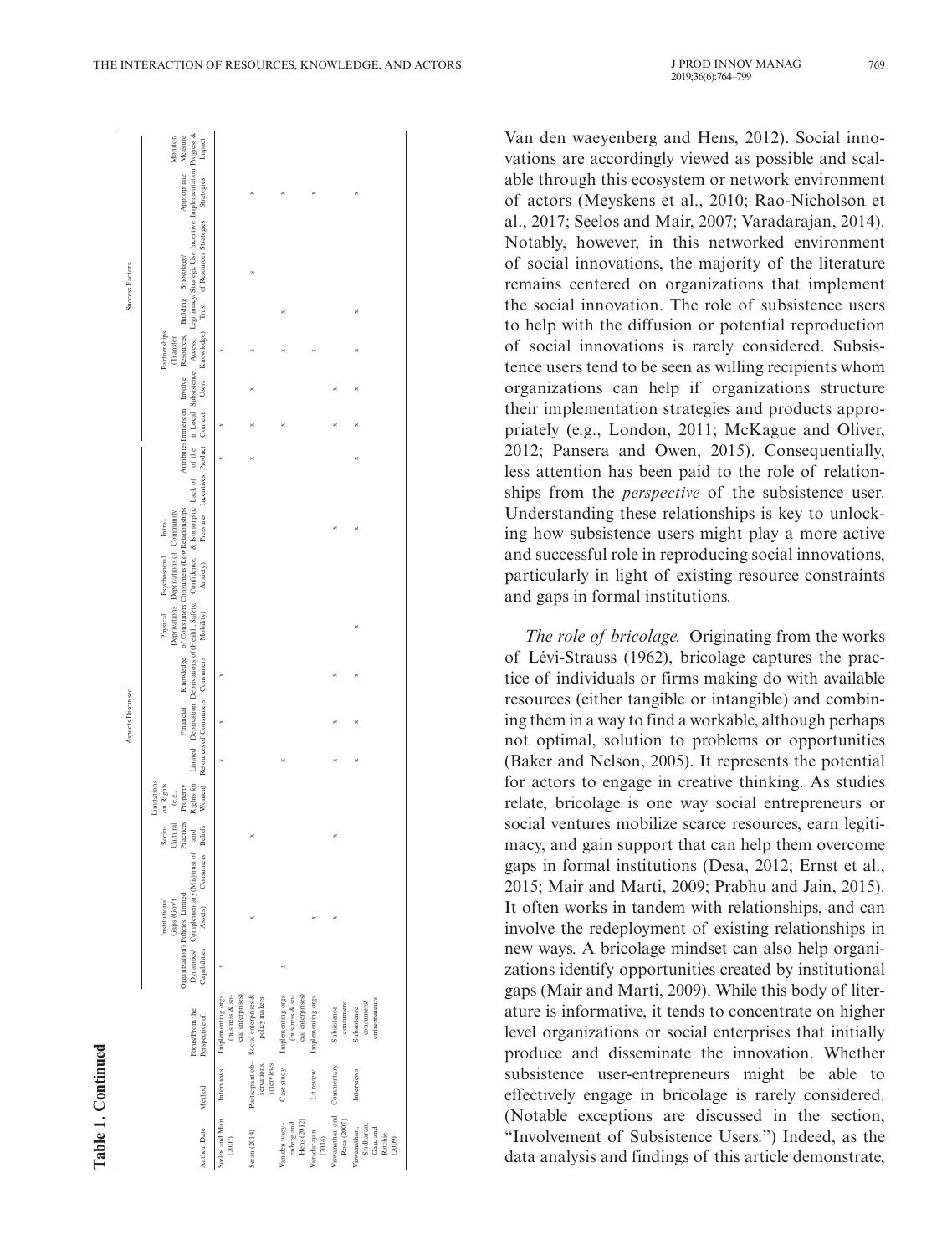Aspects Discussed Success Factors

spects Discussed

Success Factors

Van den waeyenberg and Hens, 2012). Social inno vations are accordingly viewed as possible and scal able through this ecosystem or network environment of actors (Meyskens et al., 2010; Rao-Nicholson et al., 2017; Seelos and Mair, 2007; Varadarajan, 2014). Notably, however, in this networked environment of social innovations, the majority of the literature remains centered on organizations that implement the social innovation. The role of subsistence users to help with the diffusion or potential reproduction of social innovations is rarely considered. Subsis tence users tend to be seen as willing recipients whom organizations can help if organizations structure their implementation strategies and products appro priately (e.g., London, 2011; McKague and Oliver, 2012; Pansera and Owen, 2015). Consequentially, less attention has been paid to the role of relation ships from the *perspective* of the subsistence user. Understanding these relationships is key to unlock ing how subsistence users might play a more active and successful role in reproducing social innovations, particularly in light of existing resource constraints and gaps in formal institutions.

*The role of bricolage.* Originating from the works of Lévi-Strauss (1962), bricolage captures the prac tice of individuals or firms making do with available resources (either tangible or intangible) and combin ing them in a way to find a workable, although perhaps not optimal, solution to problems or opportunities (Baker and Nelson, 2005). It represents the potential for actors to engage in creative thinking. As studies relate, bricolage is one way social entrepreneurs or social ventures mobilize scarce resources, earn legiti macy, and gain support that can help them overcome gaps in formal institutions (Desa, 2012; Ernst et al., 2015; Mair and Marti, 2009; Prabhu and Jain, 2015). It often works in tandem with relationships, and can involve the redeployment of existing relationships in new ways. A bricolage mindset can also help organi zations identify opportunities created by institutional gaps (Mair and Marti, 2009). While this body of liter ature is informative, it tends to concentrate on higher level organizations or social enterprises that initially produce and disseminate the innovation. Whether subsistence user-entrepreneurs might be able to effectively engage in bricolage is rarely considered. (Notable exceptions are discussed in the section, "Involvement of Subsistence Users.") Indeed, as the data analysis and findings of this article demonstrate,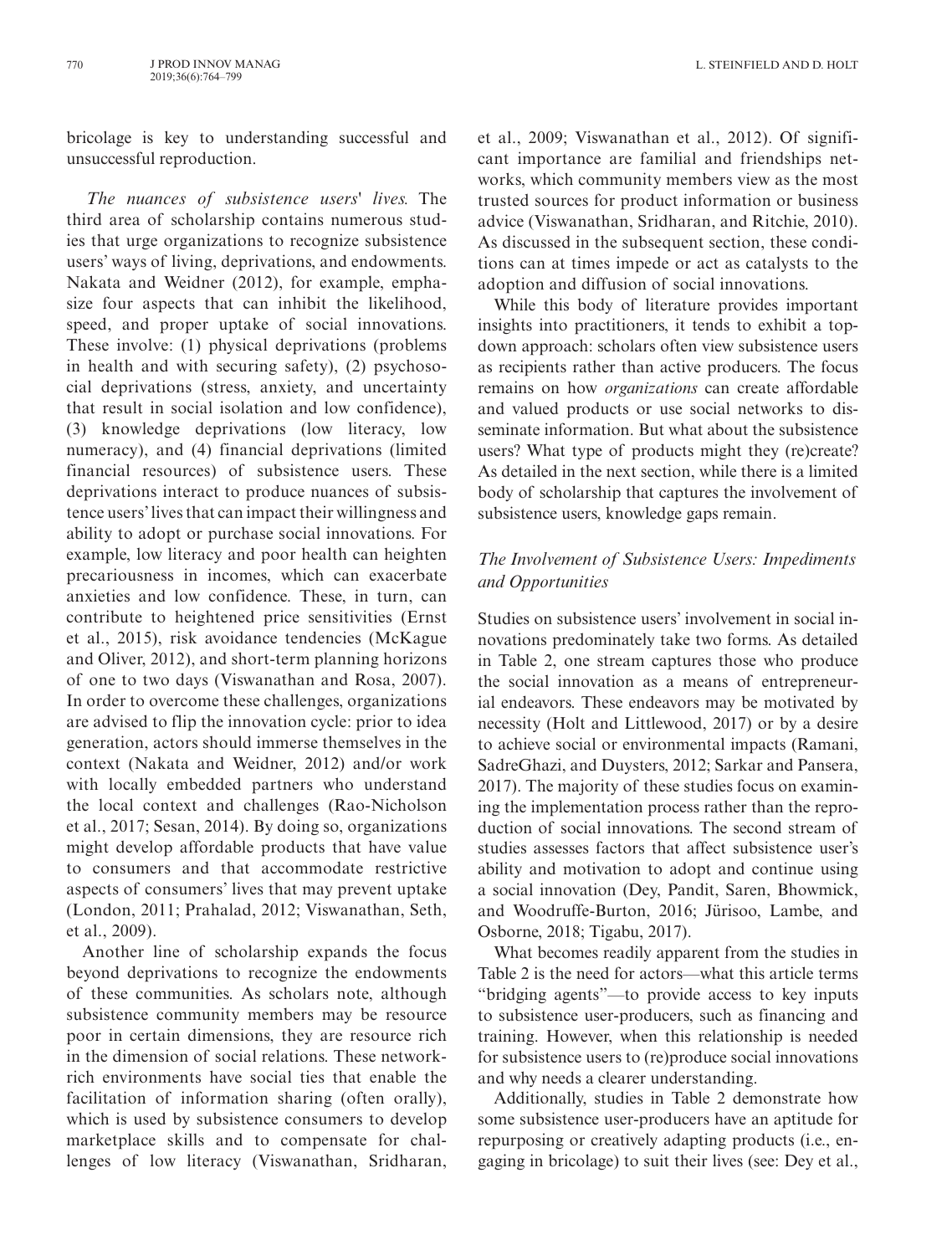bricolage is key to understanding successful and unsuccessful reproduction.

*The nuances of subsistence users' lives.* The third area of scholarship contains numerous studies that urge organizations to recognize subsistence users' ways of living, deprivations, and endowments. Nakata and Weidner (2012), for example, emphasize four aspects that can inhibit the likelihood, speed, and proper uptake of social innovations. These involve: (1) physical deprivations (problems in health and with securing safety), (2) psychosocial deprivations (stress, anxiety, and uncertainty that result in social isolation and low confidence), (3) knowledge deprivations (low literacy, low numeracy), and (4) financial deprivations (limited financial resources) of subsistence users. These deprivations interact to produce nuances of subsistence users' lives that can impact their willingness and ability to adopt or purchase social innovations. For example, low literacy and poor health can heighten precariousness in incomes, which can exacerbate anxieties and low confidence. These, in turn, can contribute to heightened price sensitivities (Ernst et al., 2015), risk avoidance tendencies (McKague and Oliver, 2012), and short-term planning horizons of one to two days (Viswanathan and Rosa, 2007). In order to overcome these challenges, organizations are advised to flip the innovation cycle: prior to idea generation, actors should immerse themselves in the context (Nakata and Weidner, 2012) and/or work with locally embedded partners who understand the local context and challenges (Rao-Nicholson et al., 2017; Sesan, 2014). By doing so, organizations might develop affordable products that have value to consumers and that accommodate restrictive aspects of consumers' lives that may prevent uptake (London, 2011; Prahalad, 2012; Viswanathan, Seth, et al., 2009).

Another line of scholarship expands the focus beyond deprivations to recognize the endowments of these communities. As scholars note, although subsistence community members may be resource poor in certain dimensions, they are resource rich in the dimension of social relations. These networkrich environments have social ties that enable the facilitation of information sharing (often orally), which is used by subsistence consumers to develop marketplace skills and to compensate for challenges of low literacy (Viswanathan, Sridharan,

et al., 2009; Viswanathan et al., 2012). Of significant importance are familial and friendships networks, which community members view as the most trusted sources for product information or business advice (Viswanathan, Sridharan, and Ritchie, 2010). As discussed in the subsequent section, these conditions can at times impede or act as catalysts to the adoption and diffusion of social innovations.

While this body of literature provides important insights into practitioners, it tends to exhibit a topdown approach: scholars often view subsistence users as recipients rather than active producers. The focus remains on how *organizations* can create affordable and valued products or use social networks to disseminate information. But what about the subsistence users? What type of products might they (re)create? As detailed in the next section, while there is a limited body of scholarship that captures the involvement of subsistence users, knowledge gaps remain.

# *The Involvement of Subsistence Users: Impediments and Opportunities*

Studies on subsistence users' involvement in social innovations predominately take two forms. As detailed in Table 2, one stream captures those who produce the social innovation as a means of entrepreneurial endeavors. These endeavors may be motivated by necessity (Holt and Littlewood, 2017) or by a desire to achieve social or environmental impacts (Ramani, SadreGhazi, and Duysters, 2012; Sarkar and Pansera, 2017). The majority of these studies focus on examining the implementation process rather than the reproduction of social innovations. The second stream of studies assesses factors that affect subsistence user's ability and motivation to adopt and continue using a social innovation (Dey, Pandit, Saren, Bhowmick, and Woodruffe-Burton, 2016; Jürisoo, Lambe, and Osborne, 2018; Tigabu, 2017).

What becomes readily apparent from the studies in Table 2 is the need for actors—what this article terms "bridging agents"—to provide access to key inputs to subsistence user-producers, such as financing and training. However, when this relationship is needed for subsistence users to (re)produce social innovations and why needs a clearer understanding.

Additionally, studies in Table 2 demonstrate how some subsistence user-producers have an aptitude for repurposing or creatively adapting products (i.e., engaging in bricolage) to suit their lives (see: Dey et al.,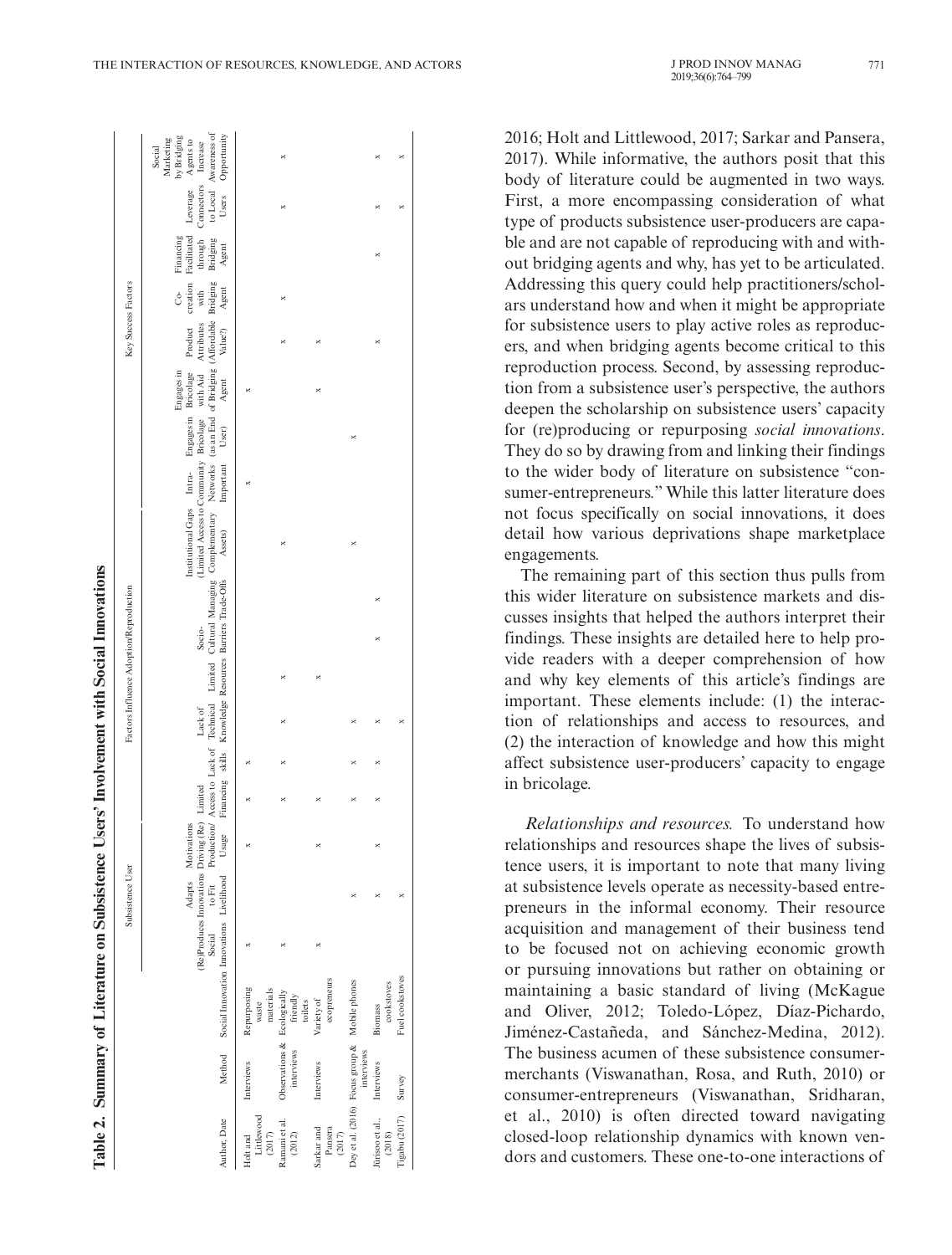|                                  |                                                             |                                                | Subsistence User |                    |  | Factors Influence Adoption/Reproduction                          |  |                                                                                                                                                                                                                                                                                                           |                 |                     | Key Success Factors |                         |                                                                                       |                                |                                                                |
|----------------------------------|-------------------------------------------------------------|------------------------------------------------|------------------|--------------------|--|------------------------------------------------------------------|--|-----------------------------------------------------------------------------------------------------------------------------------------------------------------------------------------------------------------------------------------------------------------------------------------------------------|-----------------|---------------------|---------------------|-------------------------|---------------------------------------------------------------------------------------|--------------------------------|----------------------------------------------------------------|
| Author, Date                     | Method                                                      | Social Innovation Innovations Livelihood Usage |                  | Adapts Motivations |  | Financing skills Knowledge Resources Barriers Trade-Offs Assets) |  | (Re)Produces Innovations Driving (Re) Limited<br>Social to Fit Production/Acess to Lack of Technical Limited Cultural Managing Complementary Networks (as an End of Bridging (Affordable Bridging<br>Institutional Gaps Intra-<br>Engages in Bricolage<br>(Limited Access to Community Bricolage with Aid | Important User) | Engages in<br>Agent | Product<br>Value?)  | creation<br>්-<br>Agent | through Connectors Increase<br>Facilitated Leverage<br>Bridging<br>Financing<br>Agent | to Local Awareness of<br>Users | Opportunity<br>Marketing<br>by Bridging<br>Agents to<br>Social |
| Littlewood<br>(2017)<br>Holt and | Interviews                                                  | Repurposing<br>materials<br>waste              |                  |                    |  |                                                                  |  |                                                                                                                                                                                                                                                                                                           |                 |                     |                     |                         |                                                                                       |                                |                                                                |
| Ramani et al.<br>(2012)          | Observations & Ecologically<br>interviews                   | friendly<br>toilets                            |                  |                    |  |                                                                  |  |                                                                                                                                                                                                                                                                                                           |                 |                     |                     |                         |                                                                                       |                                |                                                                |
| Sarkar and<br>Pansera<br>(2017)  | Interviews                                                  | ecopreneurs<br>Variety of                      |                  |                    |  |                                                                  |  |                                                                                                                                                                                                                                                                                                           |                 |                     |                     |                         |                                                                                       |                                |                                                                |
|                                  | Dey et al. (2016) Focus group & Mobile phones<br>interviews |                                                |                  |                    |  |                                                                  |  |                                                                                                                                                                                                                                                                                                           |                 |                     |                     |                         |                                                                                       |                                |                                                                |
| Jürisoo et al.,<br>(2018)        | Interviews                                                  | cookstoves<br>Biomass                          |                  |                    |  |                                                                  |  |                                                                                                                                                                                                                                                                                                           |                 |                     |                     |                         |                                                                                       |                                |                                                                |
| Tigabu (2017) Survey             |                                                             | Fuel cookstoves                                |                  |                    |  |                                                                  |  |                                                                                                                                                                                                                                                                                                           |                 |                     |                     |                         |                                                                                       |                                |                                                                |

2016; Holt and Littlewood, 2017; Sarkar and Pansera, 2017). While informative, the authors posit that this body of literature could be augmented in two ways. First, a more encompassing consideration of what type of products subsistence user-producers are capa ble and are not capable of reproducing with and with out bridging agents and why, has yet to be articulated. Addressing this query could help practitioners/schol ars understand how and when it might be appropriate for subsistence users to play active roles as reproduc ers, and when bridging agents become critical to this reproduction process. Second, by assessing reproduc tion from a subsistence user's perspective, the authors deepen the scholarship on subsistence users' capacity for (re)producing or repurposing *social innovations*. They do so by drawing from and linking their findings to the wider body of literature on subsistence "con sumer-entrepreneurs." While this latter literature does not focus specifically on social innovations, it does detail how various deprivations shape marketplace engagements.

The remaining part of this section thus pulls from this wider literature on subsistence markets and dis cusses insights that helped the authors interpret their findings. These insights are detailed here to help pro vide readers with a deeper comprehension of how and why key elements of this article's findings are important. These elements include: (1) the interac tion of relationships and access to resources, and (2) the interaction of knowledge and how this might affect subsistence user-producers' capacity to engage in bricolage.

*Relationships and resources.* To understand how relationships and resources shape the lives of subsis tence users, it is important to note that many living at subsistence levels operate as necessity-based entre preneurs in the informal economy. Their resource acquisition and management of their business tend to be focused not on achieving economic growth or pursuing innovations but rather on obtaining or maintaining a basic standard of living (McKague and Oliver, 2012; Toledo-López, Díaz-Pichardo, Jiménez-Castañeda, and Sánchez-Medina, 2012). The business acumen of these subsistence consumermerchants (Viswanathan, Rosa, and Ruth, 2010) or consumer-entrepreneurs (Viswanathan, Sridharan, et al., 2010) is often directed toward navigating closed-loop relationship dynamics with known ven dors and customers. These one-to-one interactions of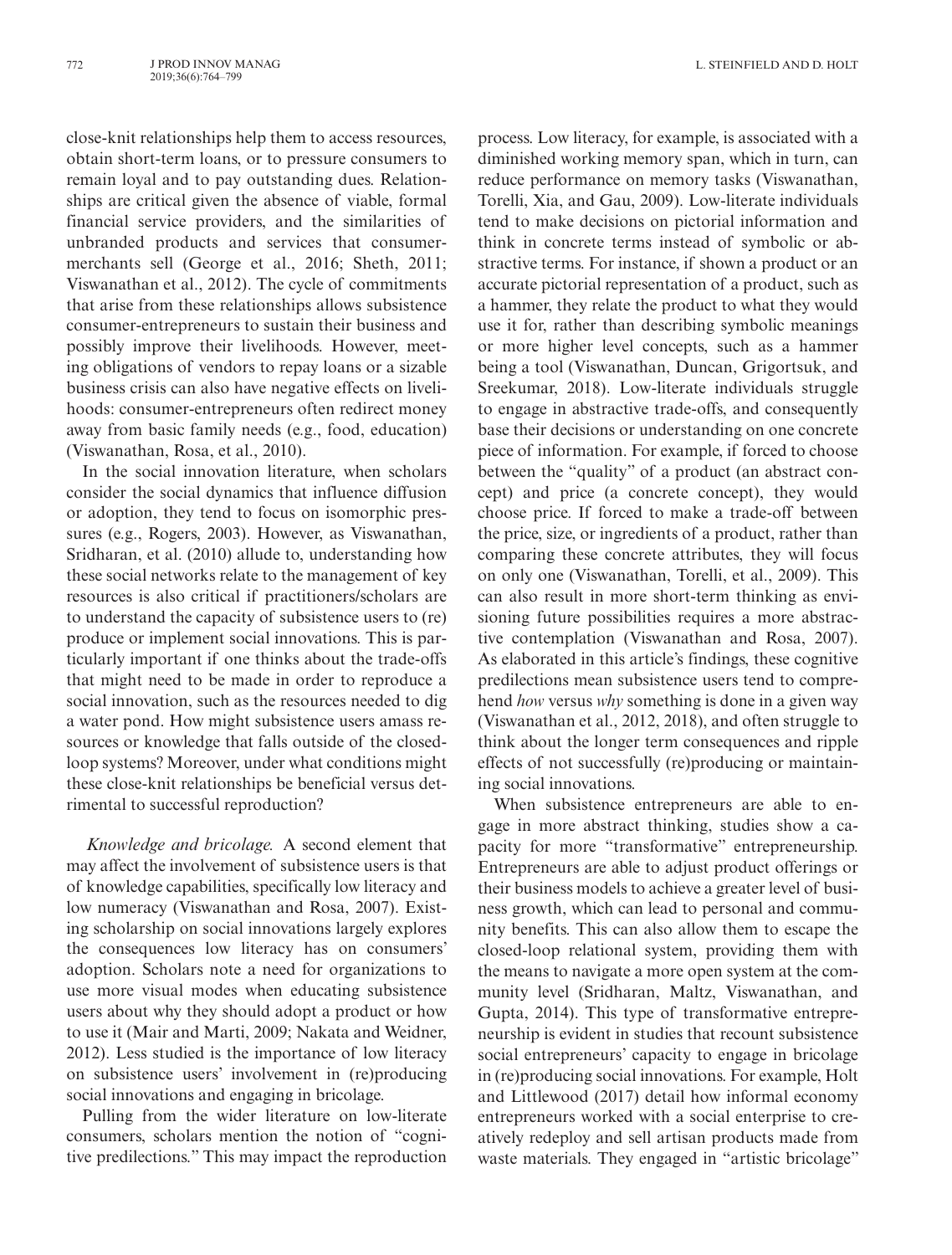close-knit relationships help them to access resources, obtain short-term loans, or to pressure consumers to remain loyal and to pay outstanding dues. Relationships are critical given the absence of viable, formal financial service providers, and the similarities of unbranded products and services that consumermerchants sell (George et al., 2016; Sheth, 2011; Viswanathan et al., 2012). The cycle of commitments that arise from these relationships allows subsistence consumer-entrepreneurs to sustain their business and possibly improve their livelihoods. However, meeting obligations of vendors to repay loans or a sizable business crisis can also have negative effects on livelihoods: consumer-entrepreneurs often redirect money away from basic family needs (e.g., food, education) (Viswanathan, Rosa, et al., 2010).

In the social innovation literature, when scholars consider the social dynamics that influence diffusion or adoption, they tend to focus on isomorphic pressures (e.g., Rogers, 2003). However, as Viswanathan, Sridharan, et al. (2010) allude to, understanding how these social networks relate to the management of key resources is also critical if practitioners/scholars are to understand the capacity of subsistence users to (re) produce or implement social innovations. This is particularly important if one thinks about the trade-offs that might need to be made in order to reproduce a social innovation, such as the resources needed to dig a water pond. How might subsistence users amass resources or knowledge that falls outside of the closedloop systems? Moreover, under what conditions might these close-knit relationships be beneficial versus detrimental to successful reproduction?

*Knowledge and bricolage.* A second element that may affect the involvement of subsistence users is that of knowledge capabilities, specifically low literacy and low numeracy (Viswanathan and Rosa, 2007). Existing scholarship on social innovations largely explores the consequences low literacy has on consumers' adoption. Scholars note a need for organizations to use more visual modes when educating subsistence users about why they should adopt a product or how to use it (Mair and Marti, 2009; Nakata and Weidner, 2012). Less studied is the importance of low literacy on subsistence users' involvement in (re)producing social innovations and engaging in bricolage.

Pulling from the wider literature on low-literate consumers, scholars mention the notion of "cognitive predilections." This may impact the reproduction

process. Low literacy, for example, is associated with a diminished working memory span, which in turn, can reduce performance on memory tasks (Viswanathan, Torelli, Xia, and Gau, 2009). Low-literate individuals tend to make decisions on pictorial information and think in concrete terms instead of symbolic or abstractive terms. For instance, if shown a product or an accurate pictorial representation of a product, such as a hammer, they relate the product to what they would use it for, rather than describing symbolic meanings or more higher level concepts, such as a hammer being a tool (Viswanathan, Duncan, Grigortsuk, and Sreekumar, 2018). Low-literate individuals struggle to engage in abstractive trade-offs, and consequently base their decisions or understanding on one concrete piece of information. For example, if forced to choose between the "quality" of a product (an abstract concept) and price (a concrete concept), they would choose price. If forced to make a trade-off between the price, size, or ingredients of a product, rather than comparing these concrete attributes, they will focus on only one (Viswanathan, Torelli, et al., 2009). This can also result in more short-term thinking as envisioning future possibilities requires a more abstractive contemplation (Viswanathan and Rosa, 2007). As elaborated in this article's findings, these cognitive predilections mean subsistence users tend to comprehend *how* versus *why* something is done in a given way (Viswanathan et al., 2012, 2018), and often struggle to think about the longer term consequences and ripple effects of not successfully (re)producing or maintaining social innovations.

When subsistence entrepreneurs are able to engage in more abstract thinking, studies show a capacity for more "transformative" entrepreneurship. Entrepreneurs are able to adjust product offerings or their business models to achieve a greater level of business growth, which can lead to personal and community benefits. This can also allow them to escape the closed-loop relational system, providing them with the means to navigate a more open system at the community level (Sridharan, Maltz, Viswanathan, and Gupta, 2014). This type of transformative entrepreneurship is evident in studies that recount subsistence social entrepreneurs' capacity to engage in bricolage in (re)producing social innovations. For example, Holt and Littlewood (2017) detail how informal economy entrepreneurs worked with a social enterprise to creatively redeploy and sell artisan products made from waste materials. They engaged in "artistic bricolage"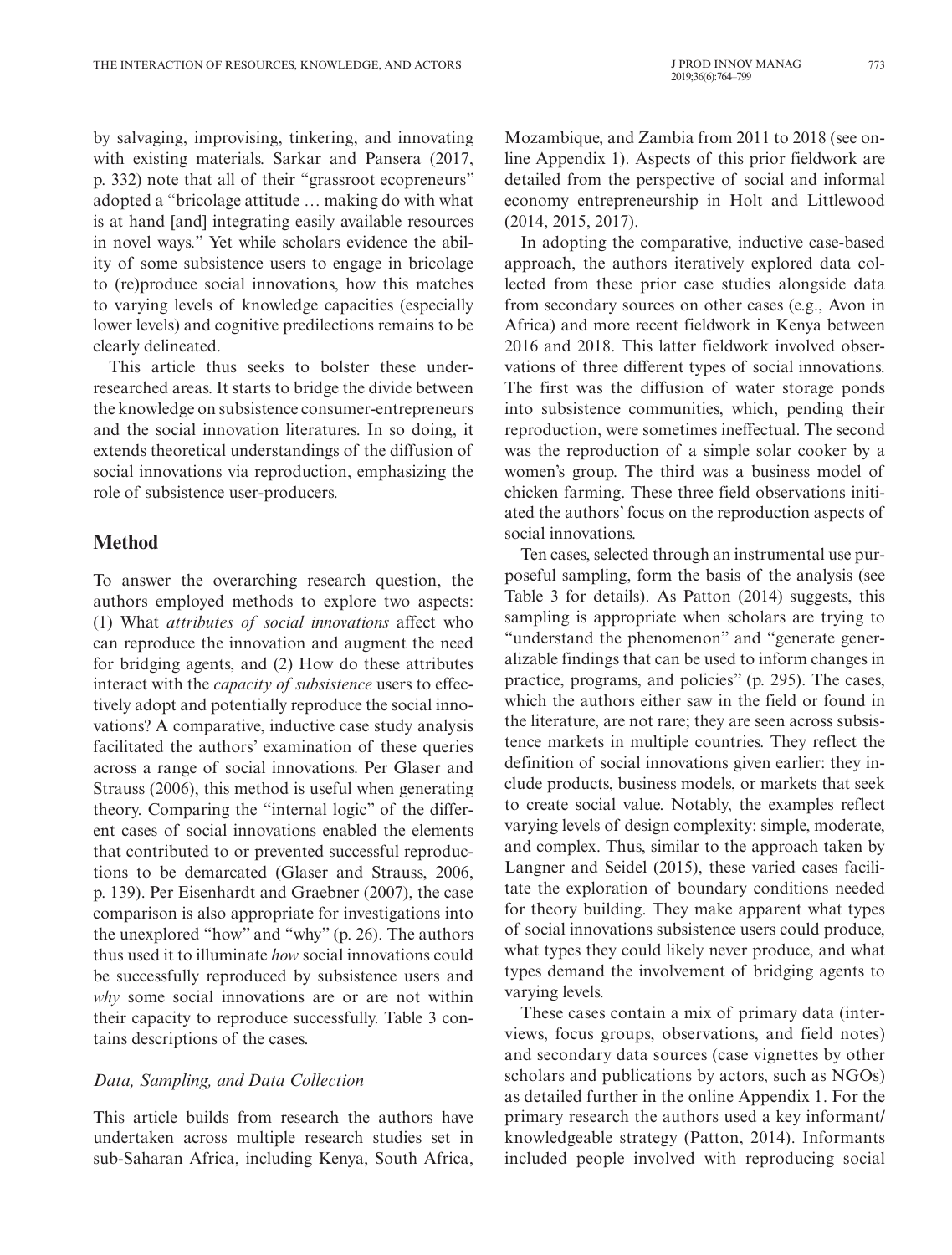by salvaging, improvising, tinkering, and innovating with existing materials. Sarkar and Pansera (2017, p. 332) note that all of their "grassroot ecopreneurs" adopted a "bricolage attitude … making do with what is at hand [and] integrating easily available resources in novel ways." Yet while scholars evidence the ability of some subsistence users to engage in bricolage to (re)produce social innovations, how this matches to varying levels of knowledge capacities (especially lower levels) and cognitive predilections remains to be clearly delineated.

This article thus seeks to bolster these underresearched areas. It starts to bridge the divide between the knowledge on subsistence consumer-entrepreneurs and the social innovation literatures. In so doing, it extends theoretical understandings of the diffusion of social innovations via reproduction, emphasizing the role of subsistence user-producers.

# **Method**

To answer the overarching research question, the authors employed methods to explore two aspects: (1) What *attributes of social innovations* affect who can reproduce the innovation and augment the need for bridging agents, and (2) How do these attributes interact with the *capacity of subsistence* users to effectively adopt and potentially reproduce the social innovations? A comparative, inductive case study analysis facilitated the authors' examination of these queries across a range of social innovations. Per Glaser and Strauss (2006), this method is useful when generating theory. Comparing the "internal logic" of the different cases of social innovations enabled the elements that contributed to or prevented successful reproductions to be demarcated (Glaser and Strauss, 2006, p. 139). Per Eisenhardt and Graebner (2007), the case comparison is also appropriate for investigations into the unexplored "how" and "why" (p. 26). The authors thus used it to illuminate *how* social innovations could be successfully reproduced by subsistence users and *why* some social innovations are or are not within their capacity to reproduce successfully. Table 3 contains descriptions of the cases.

# *Data, Sampling, and Data Collection*

This article builds from research the authors have undertaken across multiple research studies set in sub-Saharan Africa, including Kenya, South Africa, Mozambique, and Zambia from 2011 to 2018 (see online Appendix 1). Aspects of this prior fieldwork are detailed from the perspective of social and informal economy entrepreneurship in Holt and Littlewood (2014, 2015, 2017).

In adopting the comparative, inductive case-based approach, the authors iteratively explored data collected from these prior case studies alongside data from secondary sources on other cases (e.g., Avon in Africa) and more recent fieldwork in Kenya between 2016 and 2018. This latter fieldwork involved observations of three different types of social innovations. The first was the diffusion of water storage ponds into subsistence communities, which, pending their reproduction, were sometimes ineffectual. The second was the reproduction of a simple solar cooker by a women's group. The third was a business model of chicken farming. These three field observations initiated the authors' focus on the reproduction aspects of social innovations.

Ten cases, selected through an instrumental use purposeful sampling, form the basis of the analysis (see Table 3 for details). As Patton (2014) suggests, this sampling is appropriate when scholars are trying to "understand the phenomenon" and "generate generalizable findings that can be used to inform changes in practice, programs, and policies" (p. 295). The cases, which the authors either saw in the field or found in the literature, are not rare; they are seen across subsistence markets in multiple countries. They reflect the definition of social innovations given earlier: they include products, business models, or markets that seek to create social value. Notably, the examples reflect varying levels of design complexity: simple, moderate, and complex. Thus, similar to the approach taken by Langner and Seidel (2015), these varied cases facilitate the exploration of boundary conditions needed for theory building. They make apparent what types of social innovations subsistence users could produce, what types they could likely never produce, and what types demand the involvement of bridging agents to varying levels.

These cases contain a mix of primary data (interviews, focus groups, observations, and field notes) and secondary data sources (case vignettes by other scholars and publications by actors, such as NGOs) as detailed further in the online Appendix 1. For the primary research the authors used a key informant/ knowledgeable strategy (Patton, 2014). Informants included people involved with reproducing social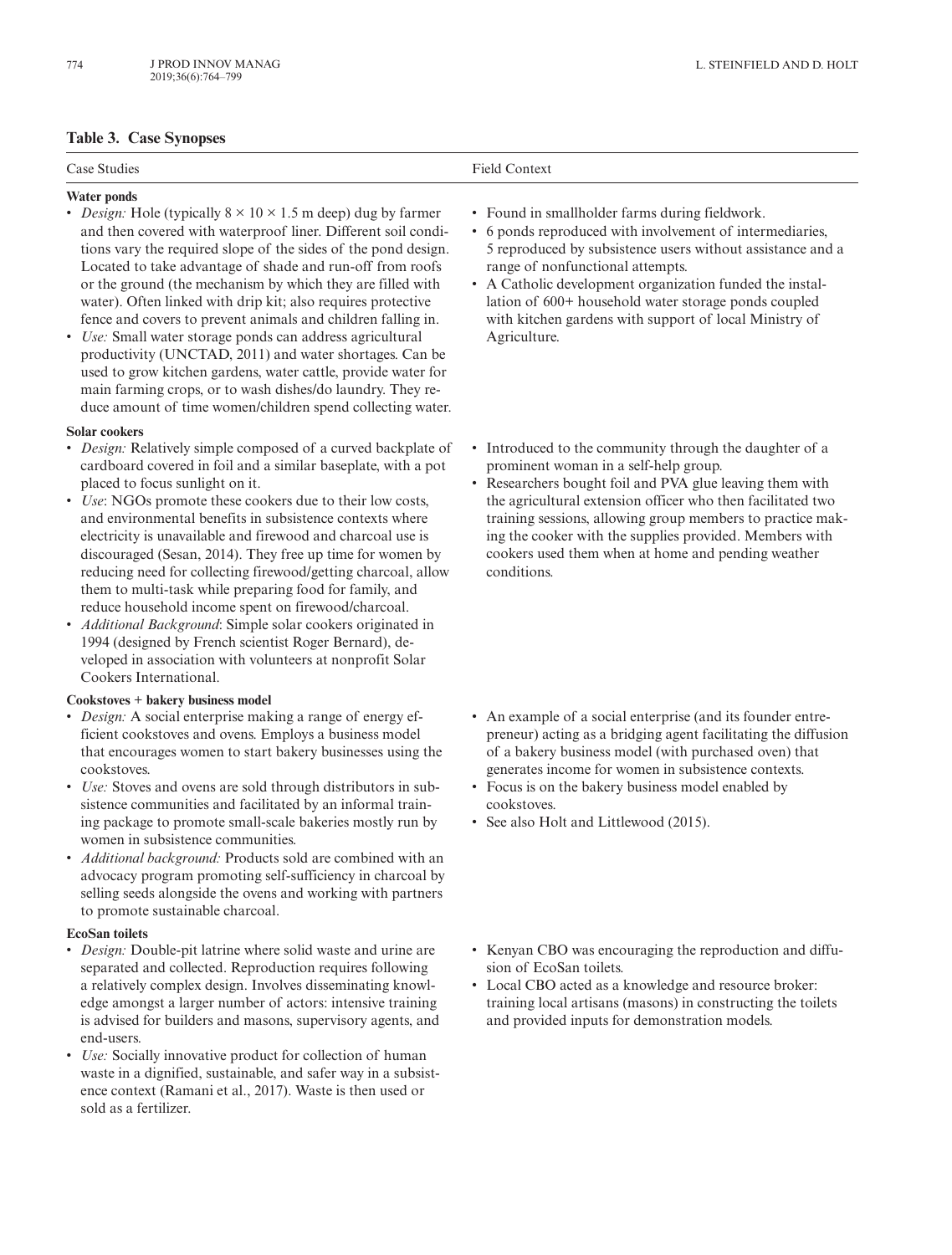# **Table 3. Case Synopses**

| Case Studies                                                                                                                                                                                                                                                                                                                                                                                                                 | Field Context                                                                                                                                                                                                                                                                                                                    |
|------------------------------------------------------------------------------------------------------------------------------------------------------------------------------------------------------------------------------------------------------------------------------------------------------------------------------------------------------------------------------------------------------------------------------|----------------------------------------------------------------------------------------------------------------------------------------------------------------------------------------------------------------------------------------------------------------------------------------------------------------------------------|
| Water ponds<br>• <i>Design:</i> Hole (typically $8 \times 10 \times 1.5$ m deep) dug by farmer<br>and then covered with waterproof liner. Different soil condi-<br>tions vary the required slope of the sides of the pond design.<br>Located to take advantage of shade and run-off from roofs<br>or the ground (the mechanism by which they are filled with<br>water). Often linked with drip kit; also requires protective | • Found in smallholder farms during fieldwork.<br>• 6 ponds reproduced with involvement of intermediaries,<br>5 reproduced by subsistence users without assistance and a<br>range of nonfunctional attempts.<br>• A Catholic development organization funded the instal-<br>lation of 600+ household water storage ponds coupled |
|                                                                                                                                                                                                                                                                                                                                                                                                                              |                                                                                                                                                                                                                                                                                                                                  |

fence and covers to prevent animals and children falling in. • *Use:* Small water storage ponds can address agricultural productivity (UNCTAD, 2011) and water shortages. Can be used to grow kitchen gardens, water cattle, provide water for main farming crops, or to wash dishes/do laundry. They reduce amount of time women/children spend collecting water.

### **Solar cookers**

- *Design:* Relatively simple composed of a curved backplate of cardboard covered in foil and a similar baseplate, with a pot placed to focus sunlight on it.
- *Use*: NGOs promote these cookers due to their low costs, and environmental benefits in subsistence contexts where electricity is unavailable and firewood and charcoal use is discouraged (Sesan, 2014). They free up time for women by reducing need for collecting firewood/getting charcoal, allow them to multi-task while preparing food for family, and reduce household income spent on firewood/charcoal.
- *Additional Background*: Simple solar cookers originated in 1994 (designed by French scientist Roger Bernard), developed in association with volunteers at nonprofit Solar Cookers International.

# **Cookstoves** + **bakery business model**

- *Design:* A social enterprise making a range of energy efficient cookstoves and ovens. Employs a business model that encourages women to start bakery businesses using the cookstoves.
- *Use:* Stoves and ovens are sold through distributors in subsistence communities and facilitated by an informal training package to promote small-scale bakeries mostly run by women in subsistence communities.
- *Additional background:* Products sold are combined with an advocacy program promoting self-sufficiency in charcoal by selling seeds alongside the ovens and working with partners to promote sustainable charcoal.

### **EcoSan toilets**

- *Design:* Double-pit latrine where solid waste and urine are separated and collected. Reproduction requires following a relatively complex design. Involves disseminating knowledge amongst a larger number of actors: intensive training is advised for builders and masons, supervisory agents, and end-users.
- *Use:* Socially innovative product for collection of human waste in a dignified, sustainable, and safer way in a subsistence context (Ramani et al., 2017). Waste is then used or sold as a fertilizer.
- with kitchen gardens with support of local Ministry of Agriculture.
- Introduced to the community through the daughter of a prominent woman in a self-help group.
- Researchers bought foil and PVA glue leaving them with the agricultural extension officer who then facilitated two training sessions, allowing group members to practice making the cooker with the supplies provided. Members with cookers used them when at home and pending weather conditions.
- An example of a social enterprise (and its founder entrepreneur) acting as a bridging agent facilitating the diffusion of a bakery business model (with purchased oven) that generates income for women in subsistence contexts.
- Focus is on the bakery business model enabled by cookstoves.
- See also Holt and Littlewood (2015).
- Kenyan CBO was encouraging the reproduction and diffusion of EcoSan toilets.
- Local CBO acted as a knowledge and resource broker: training local artisans (masons) in constructing the toilets and provided inputs for demonstration models.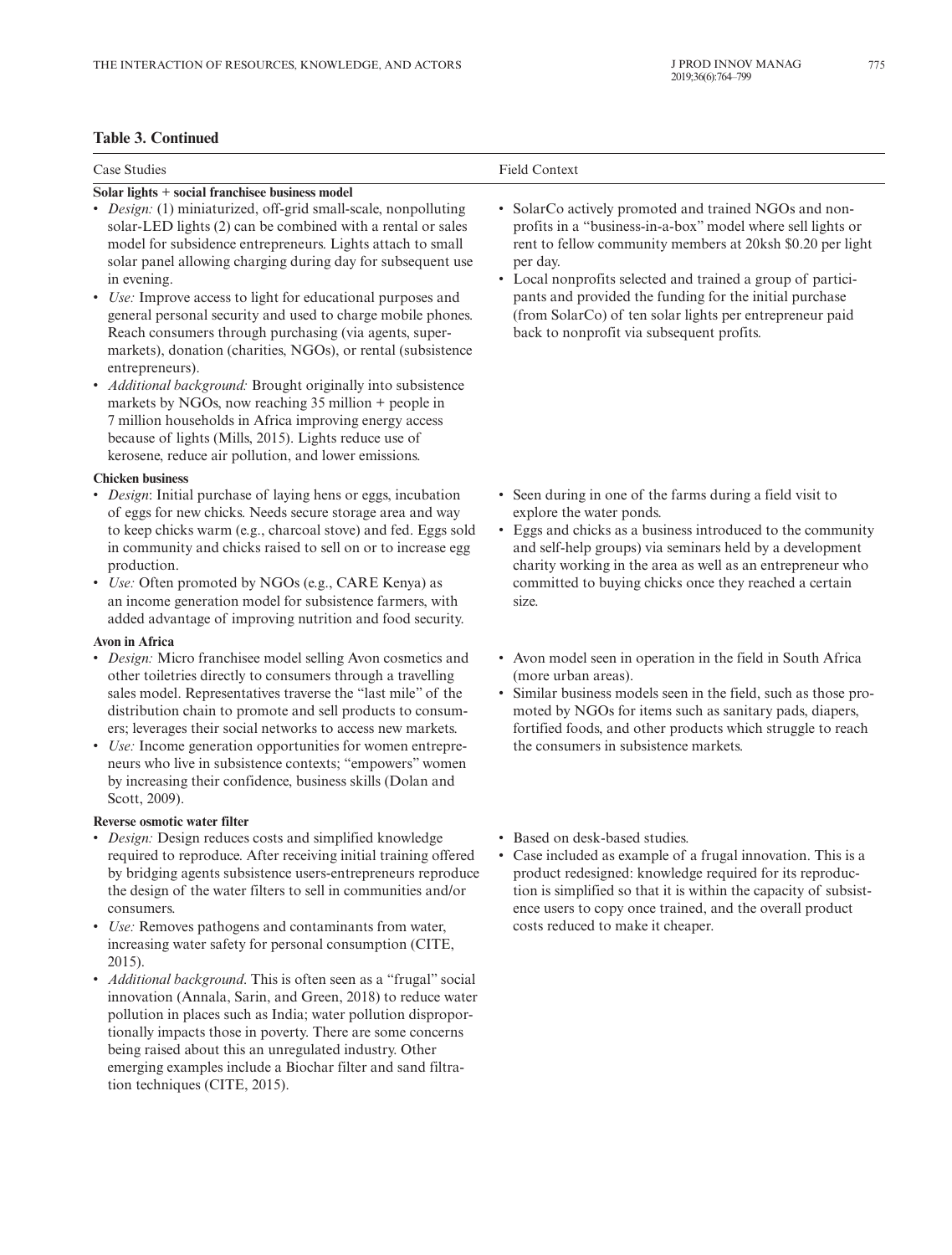sales model. Representatives traverse the "last mile" of the distribution chain to promote and sell products to consumers; leverages their social networks to access new markets. • *Use:* Income generation opportunities for women entrepreneurs who live in subsistence contexts; "empowers" women by increasing their confidence, business skills (Dolan and

• *Design:* Design reduces costs and simplified knowledge required to reproduce. After receiving initial training offered by bridging agents subsistence users-entrepreneurs reproduce the design of the water filters to sell in communities and/or

• *Use:* Removes pathogens and contaminants from water, increasing water safety for personal consumption (CITE,

• *Additional background*. This is often seen as a "frugal" social innovation (Annala, Sarin, and Green, 2018) to reduce water pollution in places such as India; water pollution disproportionally impacts those in poverty. There are some concerns being raised about this an unregulated industry. Other emerging examples include a Biochar filter and sand filtra-

# **Table 3. Continued**

Scott, 2009).

consumers.

2015).

**Reverse osmotic water filter**

tion techniques (CITE, 2015).

| таріс э. Сонишиси                                                                                                                                                                                                                                                                                                                                                                                                                                                                                                                                                                                                                                                                                                                                                                                                                                                                                                  |                                                                                                                                                                                                                                                                                                                                                                                                                                   |
|--------------------------------------------------------------------------------------------------------------------------------------------------------------------------------------------------------------------------------------------------------------------------------------------------------------------------------------------------------------------------------------------------------------------------------------------------------------------------------------------------------------------------------------------------------------------------------------------------------------------------------------------------------------------------------------------------------------------------------------------------------------------------------------------------------------------------------------------------------------------------------------------------------------------|-----------------------------------------------------------------------------------------------------------------------------------------------------------------------------------------------------------------------------------------------------------------------------------------------------------------------------------------------------------------------------------------------------------------------------------|
| <b>Case Studies</b>                                                                                                                                                                                                                                                                                                                                                                                                                                                                                                                                                                                                                                                                                                                                                                                                                                                                                                | <b>Field Context</b>                                                                                                                                                                                                                                                                                                                                                                                                              |
| Solar lights + social franchisee business model<br>• Design: (1) miniaturized, off-grid small-scale, nonpolluting<br>solar-LED lights (2) can be combined with a rental or sales<br>model for subsidence entrepreneurs. Lights attach to small<br>solar panel allowing charging during day for subsequent use<br>in evening.<br>• <i>Use:</i> Improve access to light for educational purposes and<br>general personal security and used to charge mobile phones.<br>Reach consumers through purchasing (via agents, super-<br>markets), donation (charities, NGOs), or rental (subsistence)<br>entrepreneurs).<br>· Additional background: Brought originally into subsistence<br>markets by NGOs, now reaching 35 million + people in<br>7 million households in Africa improving energy access<br>because of lights (Mills, 2015). Lights reduce use of<br>kerosene, reduce air pollution, and lower emissions. | · SolarCo actively promoted and trained NGOs and non-<br>profits in a "business-in-a-box" model where sell lights or<br>rent to fellow community members at 20ksh \$0.20 per light<br>per day.<br>• Local nonprofits selected and trained a group of partici-<br>pants and provided the funding for the initial purchase<br>(from SolarCo) of ten solar lights per entrepreneur paid<br>back to nonprofit via subsequent profits. |
| <b>Chicken business</b>                                                                                                                                                                                                                                                                                                                                                                                                                                                                                                                                                                                                                                                                                                                                                                                                                                                                                            | • Seen during in one of the farms during a field visit to<br>explore the water ponds.                                                                                                                                                                                                                                                                                                                                             |
| • Design: Initial purchase of laying hens or eggs, incubation<br>of eggs for new chicks. Needs secure storage area and way<br>to keep chicks warm (e.g., charcoal stove) and fed. Eggs sold<br>in community and chicks raised to sell on or to increase egg<br>production.<br>• Use: Often promoted by NGOs (e.g., CARE Kenya) as<br>an income generation model for subsistence farmers, with<br>added advantage of improving nutrition and food security.                                                                                                                                                                                                                                                                                                                                                                                                                                                         | • Eggs and chicks as a business introduced to the community<br>and self-help groups) via seminars held by a development<br>charity working in the area as well as an entrepreneur who<br>committed to buying chicks once they reached a certain<br>size.                                                                                                                                                                          |
| <b>Avon in Africa</b>                                                                                                                                                                                                                                                                                                                                                                                                                                                                                                                                                                                                                                                                                                                                                                                                                                                                                              |                                                                                                                                                                                                                                                                                                                                                                                                                                   |
| · Design: Micro franchisee model selling Avon cosmetics and<br>other toiletries directly to consumers through a travelling                                                                                                                                                                                                                                                                                                                                                                                                                                                                                                                                                                                                                                                                                                                                                                                         | • Avon model seen in operation in the field in South Africa<br>(more urban areas).                                                                                                                                                                                                                                                                                                                                                |

- Similar business models seen in the field, such as those promoted by NGOs for items such as sanitary pads, diapers, fortified foods, and other products which struggle to reach the consumers in subsistence markets.
	- Based on desk-based studies.
	- Case included as example of a frugal innovation. This is a product redesigned: knowledge required for its reproduction is simplified so that it is within the capacity of subsistence users to copy once trained, and the overall product costs reduced to make it cheaper.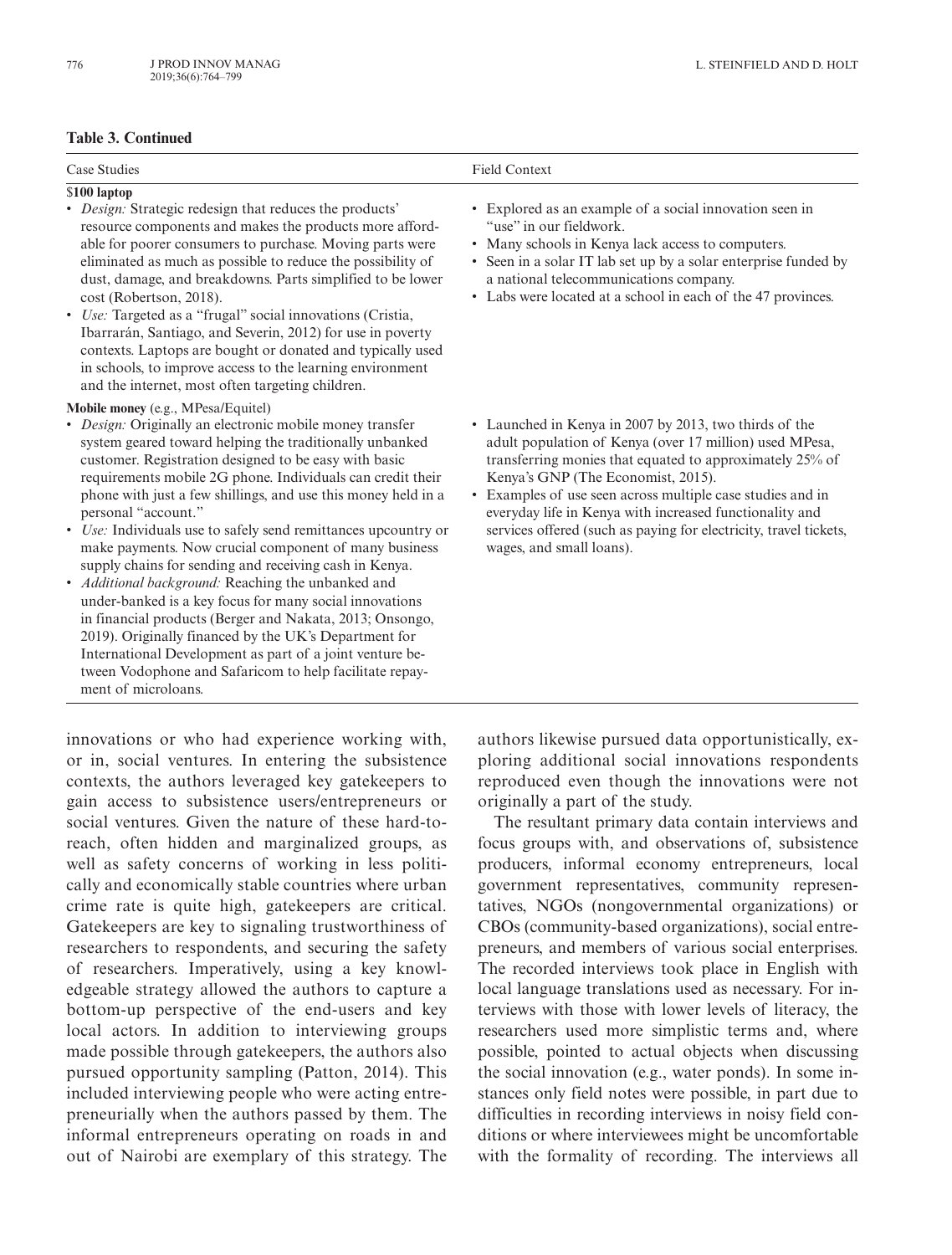| Case Studies                                                                                                                                                                                                                                                                                                                                                                                                                                                                                                                                                                                                                                                                                                                                                                                                                                                                                                                                      | Field Context                                                                                                                                                                                                                                                                                                                                                                                                                                 |
|---------------------------------------------------------------------------------------------------------------------------------------------------------------------------------------------------------------------------------------------------------------------------------------------------------------------------------------------------------------------------------------------------------------------------------------------------------------------------------------------------------------------------------------------------------------------------------------------------------------------------------------------------------------------------------------------------------------------------------------------------------------------------------------------------------------------------------------------------------------------------------------------------------------------------------------------------|-----------------------------------------------------------------------------------------------------------------------------------------------------------------------------------------------------------------------------------------------------------------------------------------------------------------------------------------------------------------------------------------------------------------------------------------------|
| \$100 laptop<br>• Design: Strategic redesign that reduces the products'<br>resource components and makes the products more afford-<br>able for poorer consumers to purchase. Moving parts were<br>eliminated as much as possible to reduce the possibility of<br>dust, damage, and breakdowns. Parts simplified to be lower<br>cost (Robertson, 2018).<br>• Use: Targeted as a "frugal" social innovations (Cristia,<br>Ibarrarán, Santiago, and Severin, 2012) for use in poverty<br>contexts. Laptops are bought or donated and typically used<br>in schools, to improve access to the learning environment<br>and the internet, most often targeting children.                                                                                                                                                                                                                                                                                 | • Explored as an example of a social innovation seen in<br>"use" in our fieldwork.<br>• Many schools in Kenya lack access to computers.<br>• Seen in a solar IT lab set up by a solar enterprise funded by<br>a national telecommunications company.<br>• Labs were located at a school in each of the 47 provinces.                                                                                                                          |
| Mobile money (e.g., MPesa/Equitel)<br>• Design: Originally an electronic mobile money transfer<br>system geared toward helping the traditionally unbanked<br>customer. Registration designed to be easy with basic<br>requirements mobile 2G phone. Individuals can credit their<br>phone with just a few shillings, and use this money held in a<br>personal "account."<br>• Use: Individuals use to safely send remittances upcountry or<br>make payments. Now crucial component of many business<br>supply chains for sending and receiving cash in Kenya.<br>• Additional background: Reaching the unbanked and<br>under-banked is a key focus for many social innovations<br>in financial products (Berger and Nakata, 2013; Onsongo,<br>2019). Originally financed by the UK's Department for<br>International Development as part of a joint venture be-<br>tween Vodophone and Safaricom to help facilitate repay-<br>ment of microloans. | • Launched in Kenya in 2007 by 2013, two thirds of the<br>adult population of Kenya (over 17 million) used MPesa,<br>transferring monies that equated to approximately 25% of<br>Kenya's GNP (The Economist, 2015).<br>• Examples of use seen across multiple case studies and in<br>everyday life in Kenya with increased functionality and<br>services offered (such as paying for electricity, travel tickets,<br>wages, and small loans). |

innovations or who had experience working with, or in, social ventures. In entering the subsistence contexts, the authors leveraged key gatekeepers to gain access to subsistence users/entrepreneurs or social ventures. Given the nature of these hard-toreach, often hidden and marginalized groups, as well as safety concerns of working in less politically and economically stable countries where urban crime rate is quite high, gatekeepers are critical. Gatekeepers are key to signaling trustworthiness of researchers to respondents, and securing the safety of researchers. Imperatively, using a key knowledgeable strategy allowed the authors to capture a bottom-up perspective of the end-users and key local actors. In addition to interviewing groups made possible through gatekeepers, the authors also pursued opportunity sampling (Patton, 2014). This included interviewing people who were acting entrepreneurially when the authors passed by them. The informal entrepreneurs operating on roads in and out of Nairobi are exemplary of this strategy. The

authors likewise pursued data opportunistically, exploring additional social innovations respondents reproduced even though the innovations were not originally a part of the study.

The resultant primary data contain interviews and focus groups with, and observations of, subsistence producers, informal economy entrepreneurs, local government representatives, community representatives, NGOs (nongovernmental organizations) or CBOs (community-based organizations), social entrepreneurs, and members of various social enterprises. The recorded interviews took place in English with local language translations used as necessary. For interviews with those with lower levels of literacy, the researchers used more simplistic terms and, where possible, pointed to actual objects when discussing the social innovation (e.g., water ponds). In some instances only field notes were possible, in part due to difficulties in recording interviews in noisy field conditions or where interviewees might be uncomfortable with the formality of recording. The interviews all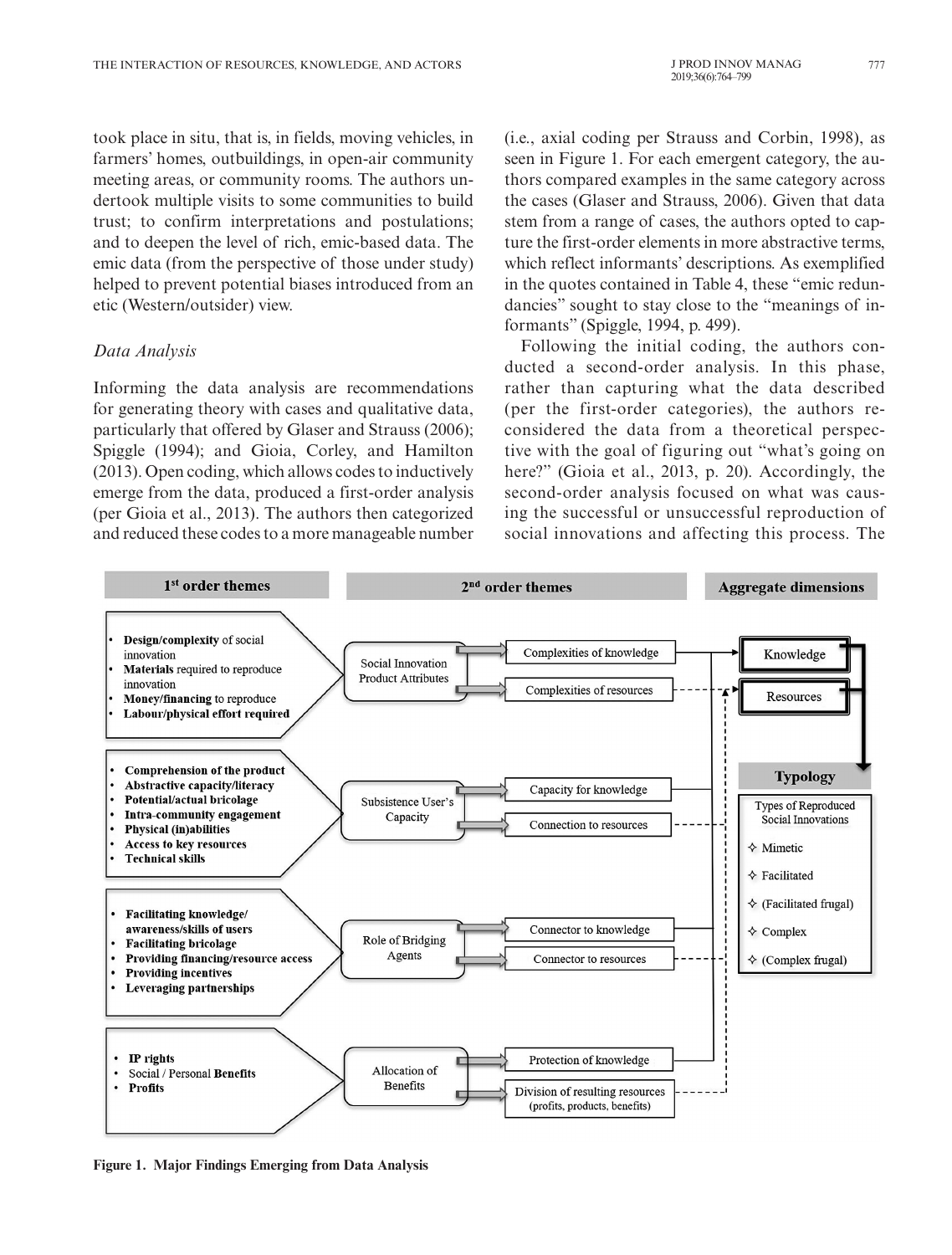took place in situ, that is, in fields, moving vehicles, in farmers' homes, outbuildings, in open-air community meeting areas, or community rooms. The authors undertook multiple visits to some communities to build trust; to confirm interpretations and postulations; and to deepen the level of rich, emic-based data. The emic data (from the perspective of those under study) helped to prevent potential biases introduced from an etic (Western/outsider) view.

# *Data Analysis*

Informing the data analysis are recommendations for generating theory with cases and qualitative data, particularly that offered by Glaser and Strauss (2006); Spiggle (1994); and Gioia, Corley, and Hamilton (2013). Open coding, which allows codes to inductively emerge from the data, produced a first-order analysis (per Gioia et al., 2013). The authors then categorized and reduced these codes to a more manageable number (i.e., axial coding per Strauss and Corbin, 1998), as seen in Figure 1. For each emergent category, the authors compared examples in the same category across the cases (Glaser and Strauss, 2006). Given that data stem from a range of cases, the authors opted to capture the first-order elements in more abstractive terms, which reflect informants' descriptions. As exemplified in the quotes contained in Table 4, these "emic redundancies" sought to stay close to the "meanings of informants" (Spiggle, 1994, p. 499).

Following the initial coding, the authors conducted a second-order analysis. In this phase, rather than capturing what the data described (per the first-order categories), the authors reconsidered the data from a theoretical perspective with the goal of figuring out "what's going on here?" (Gioia et al., 2013, p. 20). Accordingly, the second-order analysis focused on what was causing the successful or unsuccessful reproduction of social innovations and affecting this process. The



**Figure 1. Major Findings Emerging from Data Analysis**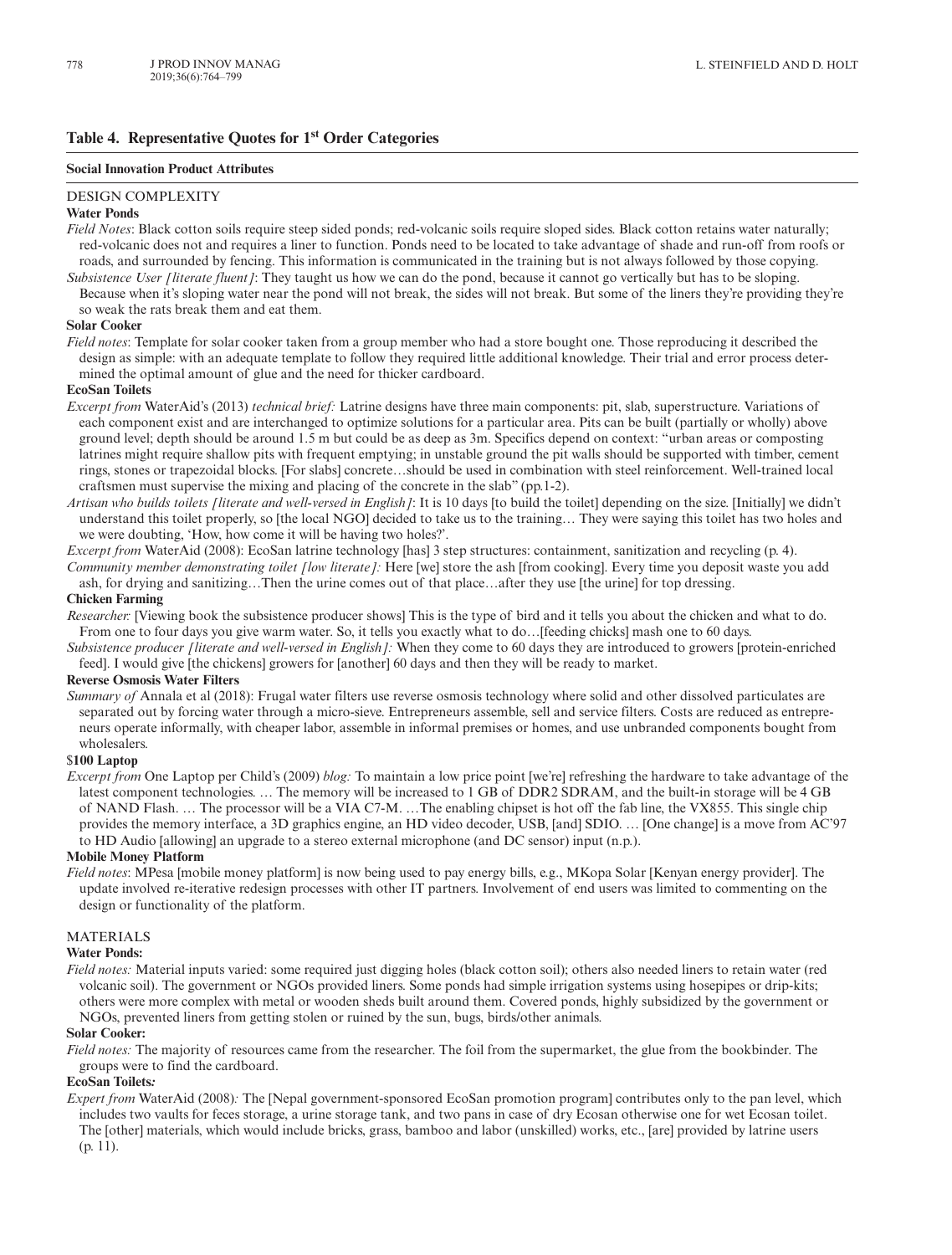# **Table 4. Representative Quotes for 1st Order Categories**

#### **Social Innovation Product Attributes**

#### DESIGN COMPLEXITY

### **Water Ponds**

*Field Notes*: Black cotton soils require steep sided ponds; red-volcanic soils require sloped sides. Black cotton retains water naturally; red-volcanic does not and requires a liner to function. Ponds need to be located to take advantage of shade and run-off from roofs or roads, and surrounded by fencing. This information is communicated in the training but is not always followed by those copying. *Subsistence User [literate fluent]*: They taught us how we can do the pond, because it cannot go vertically but has to be sloping.

Because when it's sloping water near the pond will not break, the sides will not break. But some of the liners they're providing they're so weak the rats break them and eat them.

#### **Solar Cooker**

*Field notes*: Template for solar cooker taken from a group member who had a store bought one. Those reproducing it described the design as simple: with an adequate template to follow they required little additional knowledge. Their trial and error process determined the optimal amount of glue and the need for thicker cardboard.

#### **EcoSan Toilets**

*Excerpt from* WaterAid's (2013) *technical brief:* Latrine designs have three main components: pit, slab, superstructure. Variations of each component exist and are interchanged to optimize solutions for a particular area. Pits can be built (partially or wholly) above ground level; depth should be around 1.5 m but could be as deep as 3m. Specifics depend on context: "urban areas or composting latrines might require shallow pits with frequent emptying; in unstable ground the pit walls should be supported with timber, cement rings, stones or trapezoidal blocks. [For slabs] concrete…should be used in combination with steel reinforcement. Well-trained local craftsmen must supervise the mixing and placing of the concrete in the slab" (pp.1-2).

*Artisan who builds toilets [literate and well-versed in English]*: It is 10 days [to build the toilet] depending on the size. [Initially] we didn't understand this toilet properly, so [the local NGO] decided to take us to the training… They were saying this toilet has two holes and we were doubting, 'How, how come it will be having two holes?'.

*Excerpt from* WaterAid (2008): EcoSan latrine technology [has] 3 step structures: containment, sanitization and recycling (p. 4).

*Community member demonstrating toilet [low literate]:* Here [we] store the ash [from cooking]. Every time you deposit waste you add ash, for drying and sanitizing…Then the urine comes out of that place…after they use [the urine] for top dressing.

#### **Chicken Farming**

*Researcher:* [Viewing book the subsistence producer shows] This is the type of bird and it tells you about the chicken and what to do. From one to four days you give warm water. So, it tells you exactly what to do…[feeding chicks] mash one to 60 days.

*Subsistence producer [literate and well-versed in English]:* When they come to 60 days they are introduced to growers [protein-enriched feed]. I would give [the chickens] growers for [another] 60 days and then they will be ready to market.

### **Reverse Osmosis Water Filters**

*Summary of* Annala et al (2018): Frugal water filters use reverse osmosis technology where solid and other dissolved particulates are separated out by forcing water through a micro-sieve. Entrepreneurs assemble, sell and service filters. Costs are reduced as entrepreneurs operate informally, with cheaper labor, assemble in informal premises or homes, and use unbranded components bought from wholesalers.

#### \$**100 Laptop**

*Excerpt from* One Laptop per Child's (2009) *blog:* To maintain a low price point [we're] refreshing the hardware to take advantage of the latest component technologies. … The memory will be increased to 1 GB of DDR2 SDRAM, and the built-in storage will be 4 GB of NAND Flash. … The processor will be a VIA C7-M. …The enabling chipset is hot off the fab line, the VX855. This single chip provides the memory interface, a 3D graphics engine, an HD video decoder, USB, [and] SDIO. … [One change] is a move from AC'97 to HD Audio [allowing] an upgrade to a stereo external microphone (and DC sensor) input (n.p.).

#### **Mobile Money Platform**

*Field notes*: MPesa [mobile money platform] is now being used to pay energy bills, e.g., MKopa Solar [Kenyan energy provider]. The update involved re-iterative redesign processes with other IT partners. Involvement of end users was limited to commenting on the design or functionality of the platform.

#### MATERIALS

# **Water Ponds:**

*Field notes:* Material inputs varied: some required just digging holes (black cotton soil); others also needed liners to retain water (red volcanic soil). The government or NGOs provided liners. Some ponds had simple irrigation systems using hosepipes or drip-kits; others were more complex with metal or wooden sheds built around them. Covered ponds, highly subsidized by the government or NGOs, prevented liners from getting stolen or ruined by the sun, bugs, birds/other animals.

#### **Solar Cooker:**

*Field notes:* The majority of resources came from the researcher. The foil from the supermarket, the glue from the bookbinder. The groups were to find the cardboard.

### **EcoSan Toilets***:*

*Expert from* WaterAid (2008)*:* The [Nepal government-sponsored EcoSan promotion program] contributes only to the pan level, which includes two vaults for feces storage, a urine storage tank, and two pans in case of dry Ecosan otherwise one for wet Ecosan toilet. The [other] materials, which would include bricks, grass, bamboo and labor (unskilled) works, etc., [are] provided by latrine users (p. 11).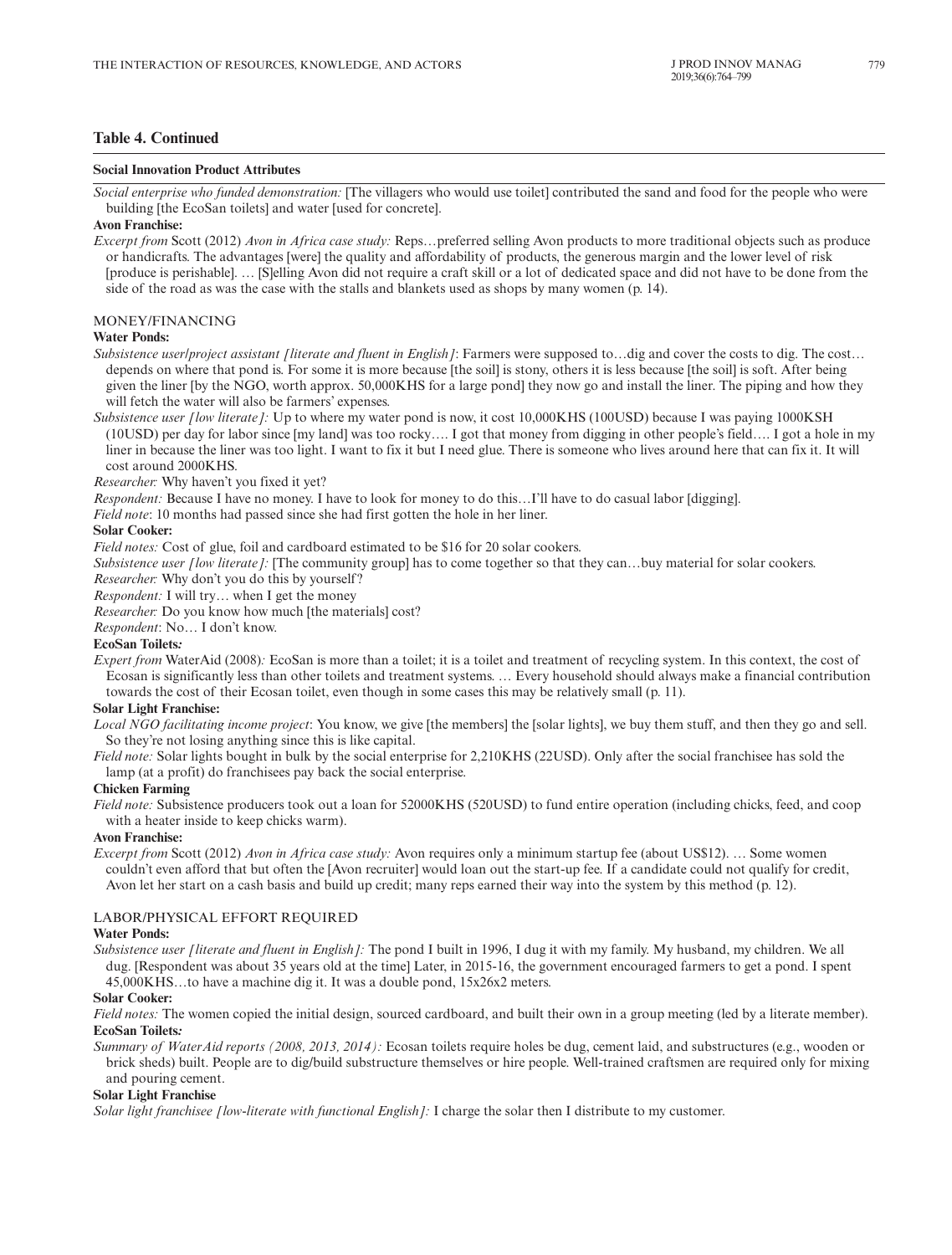#### **Social Innovation Product Attributes**

*Social enterprise who funded demonstration:* [The villagers who would use toilet] contributed the sand and food for the people who were building [the EcoSan toilets] and water [used for concrete].

#### **Avon Franchise:**

*Excerpt from* Scott (2012) *Avon in Africa case study:* Reps…preferred selling Avon products to more traditional objects such as produce or handicrafts. The advantages [were] the quality and affordability of products, the generous margin and the lower level of risk [produce is perishable]. … [S]elling Avon did not require a craft skill or a lot of dedicated space and did not have to be done from the side of the road as was the case with the stalls and blankets used as shops by many women (p. 14).

#### MONEY/FINANCING

#### **Water Ponds:**

*Subsistence user/project assistant [literate and fluent in English]*: Farmers were supposed to…dig and cover the costs to dig. The cost… depends on where that pond is. For some it is more because [the soil] is stony, others it is less because [the soil] is soft. After being given the liner [by the NGO, worth approx. 50,000KHS for a large pond] they now go and install the liner. The piping and how they will fetch the water will also be farmers' expenses.

*Subsistence user [low literate]:* Up to where my water pond is now, it cost 10,000KHS (100USD) because I was paying 1000KSH (10USD) per day for labor since [my land] was too rocky…. I got that money from digging in other people's field…. I got a hole in my liner in because the liner was too light. I want to fix it but I need glue. There is someone who lives around here that can fix it. It will cost around 2000KHS.

*Researcher:* Why haven't you fixed it yet?

*Respondent:* Because I have no money. I have to look for money to do this…I'll have to do casual labor [digging].

*Field note*: 10 months had passed since she had first gotten the hole in her liner.

#### **Solar Cooker:**

*Field notes:* Cost of glue, foil and cardboard estimated to be \$16 for 20 solar cookers.

*Subsistence user [low literate]:* [The community group] has to come together so that they can…buy material for solar cookers.

*Researcher:* Why don't you do this by yourself?

*Respondent:* I will try… when I get the money

*Researcher:* Do you know how much [the materials] cost?

*Respondent*: No… I don't know.

#### **EcoSan Toilets***:*

*Expert from* WaterAid (2008)*:* EcoSan is more than a toilet; it is a toilet and treatment of recycling system. In this context, the cost of Ecosan is significantly less than other toilets and treatment systems. … Every household should always make a financial contribution towards the cost of their Ecosan toilet, even though in some cases this may be relatively small (p. 11).

#### **Solar Light Franchise:**

*Local NGO facilitating income project*: You know, we give [the members] the [solar lights], we buy them stuff, and then they go and sell. So they're not losing anything since this is like capital.

*Field note:* Solar lights bought in bulk by the social enterprise for 2,210KHS (22USD). Only after the social franchisee has sold the lamp (at a profit) do franchisees pay back the social enterprise.

#### **Chicken Farming**

*Field note:* Subsistence producers took out a loan for 52000KHS (520USD) to fund entire operation (including chicks, feed, and coop with a heater inside to keep chicks warm).

#### **Avon Franchise:**

*Excerpt from* Scott (2012) *Avon in Africa case study:* Avon requires only a minimum startup fee (about US\$12). … Some women couldn't even afford that but often the [Avon recruiter] would loan out the start-up fee. If a candidate could not qualify for credit, Avon let her start on a cash basis and build up credit; many reps earned their way into the system by this method (p. 12).

### LABOR/PHYSICAL EFFORT REQUIRED

#### **Water Ponds:**

*Subsistence user [literate and fluent in English]:* The pond I built in 1996, I dug it with my family. My husband, my children. We all dug. [Respondent was about 35 years old at the time] Later, in 2015-16, the government encouraged farmers to get a pond. I spent 45,000KHS…to have a machine dig it. It was a double pond, 15x26x2 meters.

#### **Solar Cooker:**

*Field notes:* The women copied the initial design, sourced cardboard, and built their own in a group meeting (led by a literate member). **EcoSan Toilets***:*

*Summary of WaterAid reports (2008, 2013, 2014):* Ecosan toilets require holes be dug, cement laid, and substructures (e.g., wooden or brick sheds) built. People are to dig/build substructure themselves or hire people. Well-trained craftsmen are required only for mixing and pouring cement.

#### **Solar Light Franchise**

*Solar light franchisee [low-literate with functional English]:* I charge the solar then I distribute to my customer.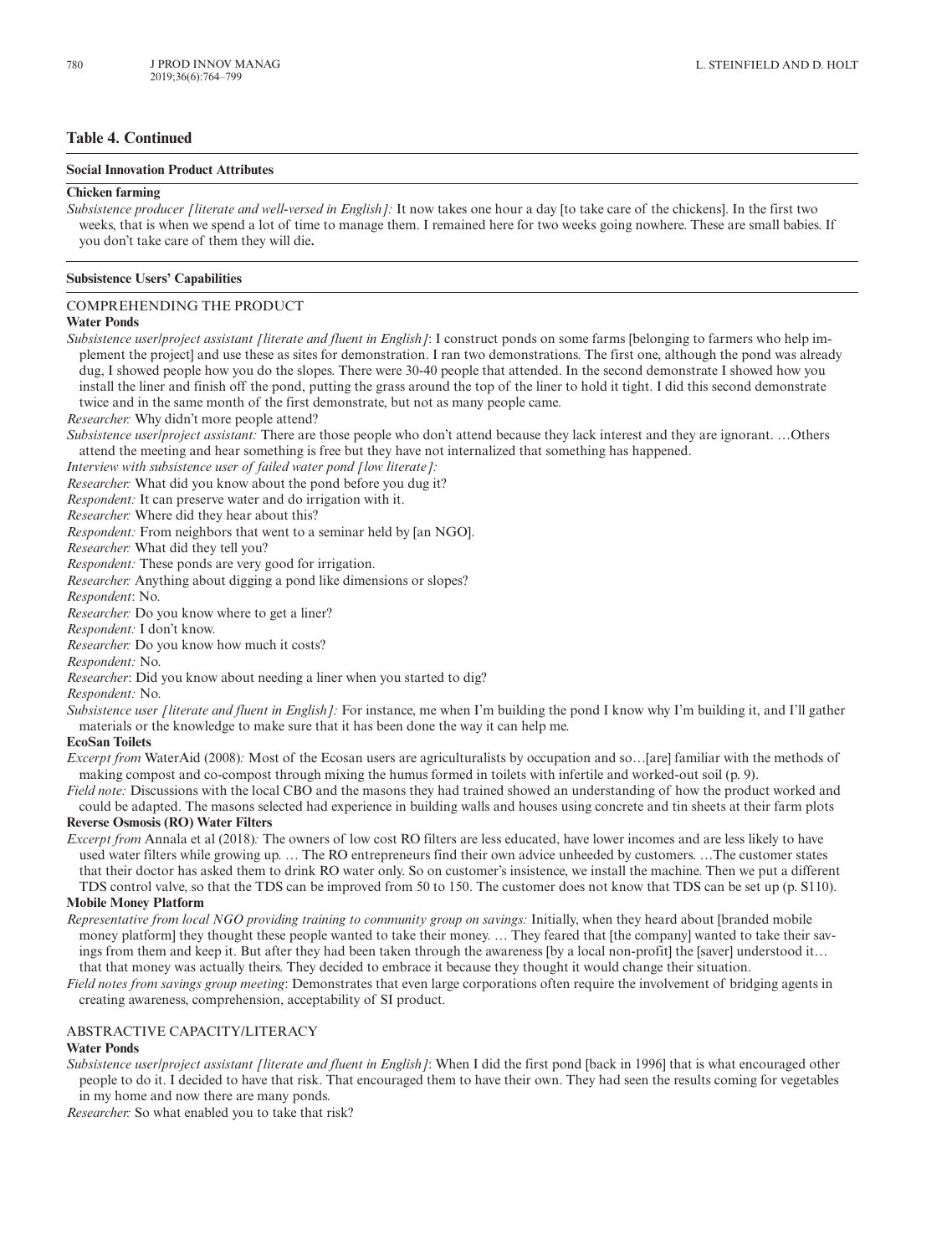### **Social Innovation Product Attributes**

#### **Chicken farming**

*Subsistence producer [literate and well-versed in English]:* It now takes one hour a day [to take care of the chickens]. In the first two weeks, that is when we spend a lot of time to manage them. I remained here for two weeks going nowhere. These are small babies. If you don't take care of them they will die**.**

#### **Subsistence Users' Capabilities**

#### COMPREHENDING THE PRODUCT

#### **Water Ponds**

*Subsistence user/project assistant [literate and fluent in English]*: I construct ponds on some farms [belonging to farmers who help implement the project] and use these as sites for demonstration. I ran two demonstrations. The first one, although the pond was already dug, I showed people how you do the slopes. There were 30-40 people that attended. In the second demonstrate I showed how you install the liner and finish off the pond, putting the grass around the top of the liner to hold it tight. I did this second demonstrate twice and in the same month of the first demonstrate, but not as many people came.

*Researcher:* Why didn't more people attend?

*Subsistence user/project assistant:* There are those people who don't attend because they lack interest and they are ignorant. …Others attend the meeting and hear something is free but they have not internalized that something has happened.

*Interview with subsistence user of failed water pond [low literate]:*

*Researcher:* What did you know about the pond before you dug it?

*Respondent:* It can preserve water and do irrigation with it.

*Researcher:* Where did they hear about this?

*Respondent:* From neighbors that went to a seminar held by [an NGO].

*Researcher:* What did they tell you?

*Respondent:* These ponds are very good for irrigation.

*Researcher:* Anything about digging a pond like dimensions or slopes?

*Respondent*: No.

*Researcher:* Do you know where to get a liner?

*Respondent:* I don't know.

*Researcher:* Do you know how much it costs?

*Respondent:* No.

*Researcher*: Did you know about needing a liner when you started to dig?

*Respondent:* No.

*Subsistence user [literate and fluent in English]:* For instance, me when I'm building the pond I know why I'm building it, and I'll gather materials or the knowledge to make sure that it has been done the way it can help me.

#### **EcoSan Toilets**

*Excerpt from* WaterAid (2008): Most of the Ecosan users are agriculturalists by occupation and so...[are] familiar with the methods of making compost and co-compost through mixing the humus formed in toilets with infertile and worked-out soil (p. 9).

*Field note:* Discussions with the local CBO and the masons they had trained showed an understanding of how the product worked and could be adapted. The masons selected had experience in building walls and houses using concrete and tin sheets at their farm plots

### **Reverse Osmosis (RO) Water Filters**

*Excerpt from* Annala et al (2018): The owners of low cost RO filters are less educated, have lower incomes and are less likely to have used water filters while growing up. … The RO entrepreneurs find their own advice unheeded by customers. …The customer states that their doctor has asked them to drink RO water only. So on customer's insistence, we install the machine. Then we put a different TDS control valve, so that the TDS can be improved from 50 to 150. The customer does not know that TDS can be set up (p. S110).

#### **Mobile Money Platform**

*Representative from local NGO providing training to community group on savings:* Initially, when they heard about [branded mobile money platform] they thought these people wanted to take their money. ... They feared that [the company] wanted to take their savings from them and keep it. But after they had been taken through the awareness [by a local non-profit] the [saver] understood it… that that money was actually theirs. They decided to embrace it because they thought it would change their situation.

*Field notes from savings group meeting*: Demonstrates that even large corporations often require the involvement of bridging agents in creating awareness, comprehension, acceptability of SI product.

### ABSTRACTIVE CAPACITY/LITERACY

### **Water Ponds**

*Subsistence user/project assistant [literate and fluent in English]*: When I did the first pond [back in 1996] that is what encouraged other people to do it. I decided to have that risk. That encouraged them to have their own. They had seen the results coming for vegetables in my home and now there are many ponds.

*Researcher:* So what enabled you to take that risk?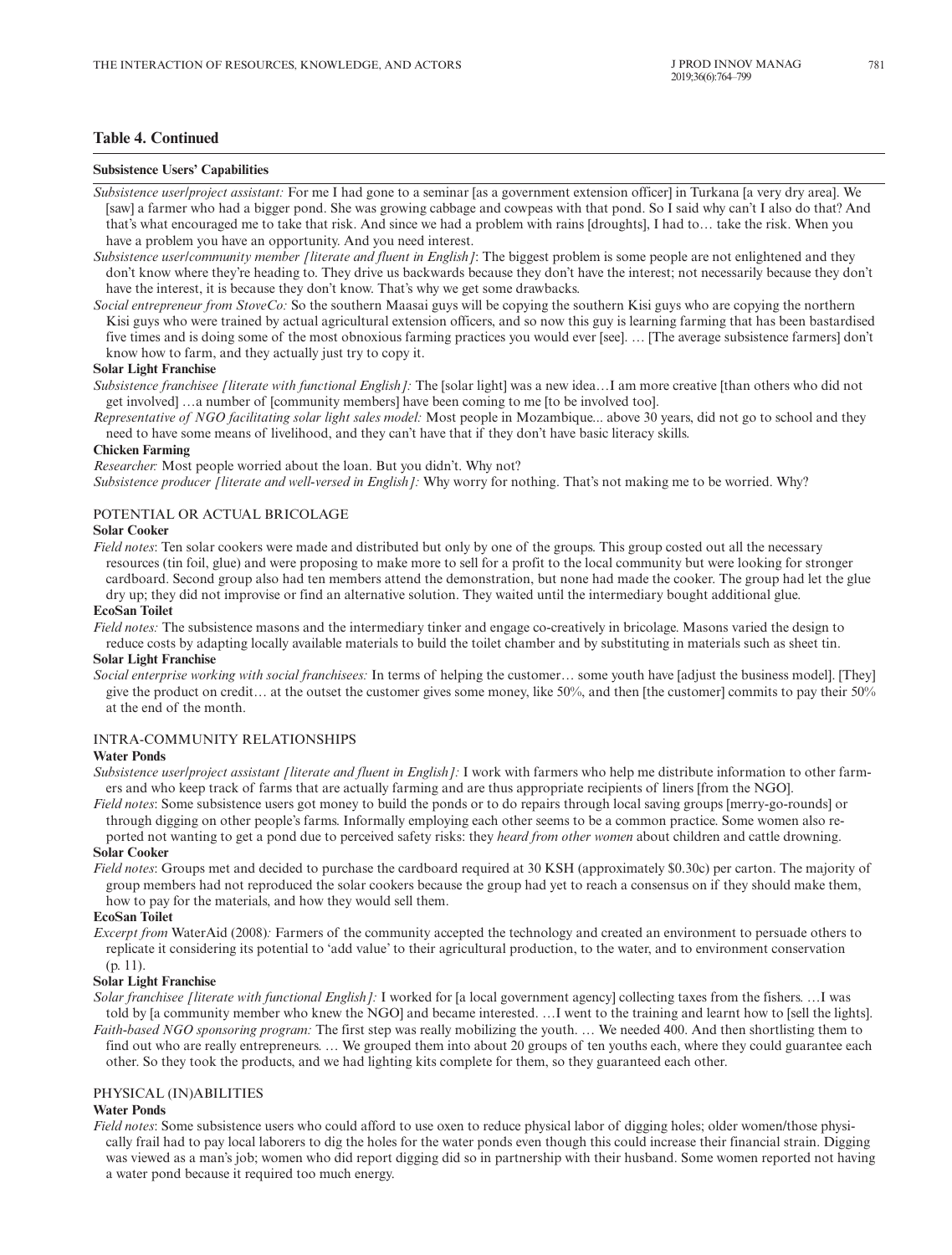#### **Subsistence Users' Capabilities**

*Subsistence user/project assistant:* For me I had gone to a seminar [as a government extension officer] in Turkana [a very dry area]. We [saw] a farmer who had a bigger pond. She was growing cabbage and cowpeas with that pond. So I said why can't I also do that? And that's what encouraged me to take that risk. And since we had a problem with rains [droughts], I had to… take the risk. When you have a problem you have an opportunity. And you need interest.

*Subsistence user/community member [literate and fluent in English]*: The biggest problem is some people are not enlightened and they don't know where they're heading to. They drive us backwards because they don't have the interest; not necessarily because they don't have the interest, it is because they don't know. That's why we get some drawbacks.

*Social entrepreneur from StoveCo:* So the southern Maasai guys will be copying the southern Kisi guys who are copying the northern Kisi guys who were trained by actual agricultural extension officers, and so now this guy is learning farming that has been bastardised five times and is doing some of the most obnoxious farming practices you would ever [see]. … [The average subsistence farmers] don't know how to farm, and they actually just try to copy it.

#### **Solar Light Franchise**

*Subsistence franchisee [literate with functional English]:* The [solar light] was a new idea…I am more creative [than others who did not get involved] …a number of [community members] have been coming to me [to be involved too].

*Representative of NGO facilitating solar light sales model:* Most people in Mozambique... above 30 years, did not go to school and they need to have some means of livelihood, and they can't have that if they don't have basic literacy skills.

#### **Chicken Farming**

*Researcher:* Most people worried about the loan. But you didn't. Why not?

*Subsistence producer [literate and well-versed in English]:* Why worry for nothing. That's not making me to be worried. Why?

#### POTENTIAL OR ACTUAL BRICOLAGE

#### **Solar Cooker**

*Field notes*: Ten solar cookers were made and distributed but only by one of the groups. This group costed out all the necessary resources (tin foil, glue) and were proposing to make more to sell for a profit to the local community but were looking for stronger cardboard. Second group also had ten members attend the demonstration, but none had made the cooker. The group had let the glue dry up; they did not improvise or find an alternative solution. They waited until the intermediary bought additional glue.

#### **EcoSan Toilet**

*Field notes:* The subsistence masons and the intermediary tinker and engage co-creatively in bricolage. Masons varied the design to reduce costs by adapting locally available materials to build the toilet chamber and by substituting in materials such as sheet tin.

#### **Solar Light Franchise**

*Social enterprise working with social franchisees:* In terms of helping the customer… some youth have [adjust the business model]. [They] give the product on credit… at the outset the customer gives some money, like 50%, and then [the customer] commits to pay their 50% at the end of the month.

#### INTRA-COMMUNITY RELATIONSHIPS

#### **Water Ponds**

*Subsistence user/project assistant [literate and fluent in English]:* I work with farmers who help me distribute information to other farmers and who keep track of farms that are actually farming and are thus appropriate recipients of liners [from the NGO].

*Field notes*: Some subsistence users got money to build the ponds or to do repairs through local saving groups [merry-go-rounds] or through digging on other people's farms. Informally employing each other seems to be a common practice. Some women also reported not wanting to get a pond due to perceived safety risks: they *heard from other women* about children and cattle drowning.

#### **Solar Cooker**

*Field notes*: Groups met and decided to purchase the cardboard required at 30 KSH (approximately \$0.30c) per carton. The majority of group members had not reproduced the solar cookers because the group had yet to reach a consensus on if they should make them, how to pay for the materials, and how they would sell them.

#### **EcoSan Toilet**

*Excerpt from* WaterAid (2008)*:* Farmers of the community accepted the technology and created an environment to persuade others to replicate it considering its potential to 'add value' to their agricultural production, to the water, and to environment conservation (p. 11).

#### **Solar Light Franchise**

*Solar franchisee [literate with functional English]:* I worked for [a local government agency] collecting taxes from the fishers. …I was told by [a community member who knew the NGO] and became interested. …I went to the training and learnt how to [sell the lights]. *Faith-based NGO sponsoring program:* The first step was really mobilizing the youth. ... We needed 400. And then shortlisting them to

find out who are really entrepreneurs. … We grouped them into about 20 groups of ten youths each, where they could guarantee each other. So they took the products, and we had lighting kits complete for them, so they guaranteed each other.

#### PHYSICAL (IN)ABILITIES

### **Water Ponds**

*Field notes*: Some subsistence users who could afford to use oxen to reduce physical labor of digging holes; older women/those physically frail had to pay local laborers to dig the holes for the water ponds even though this could increase their financial strain. Digging was viewed as a man's job; women who did report digging did so in partnership with their husband. Some women reported not having a water pond because it required too much energy.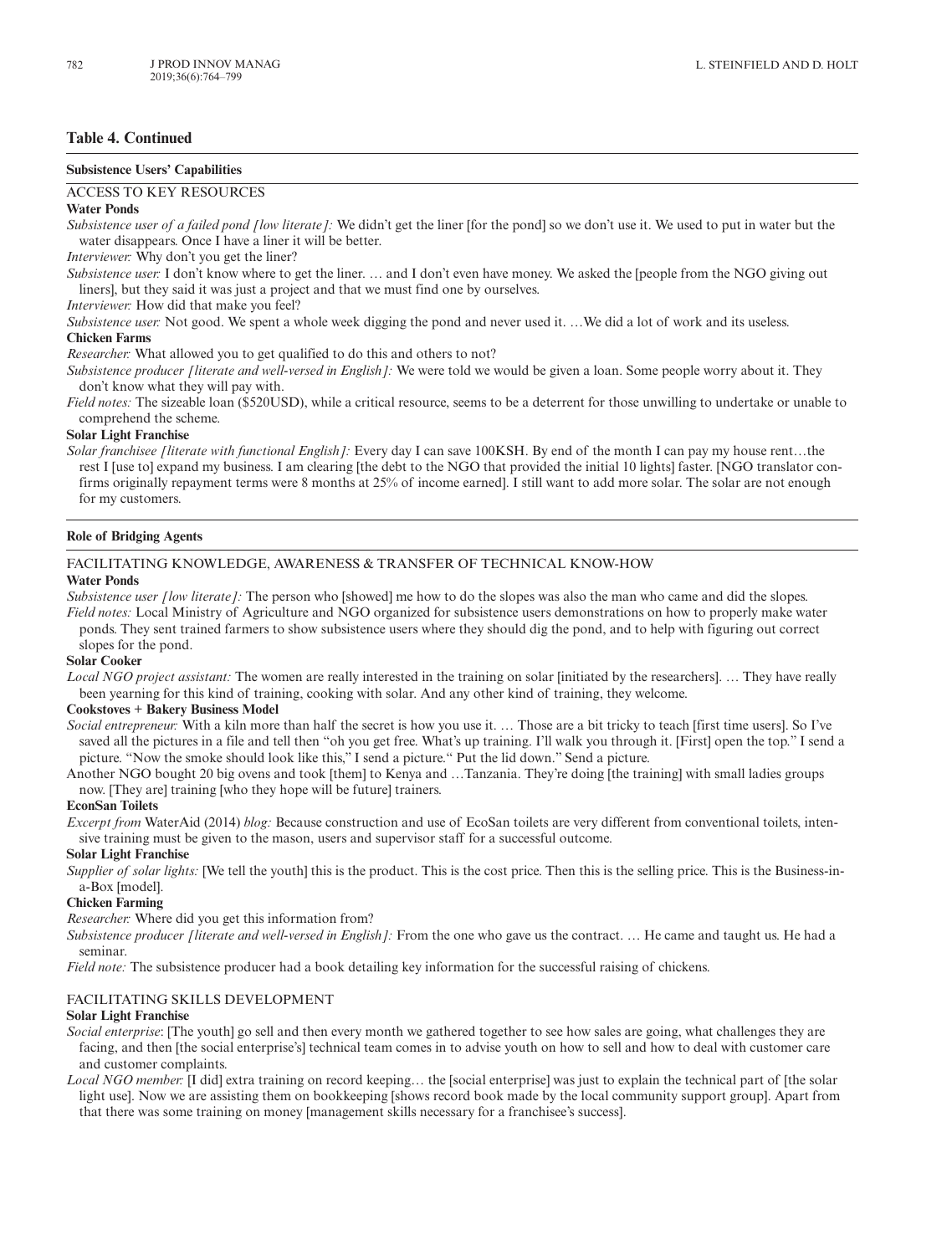### **Subsistence Users' Capabilities**

#### ACCESS TO KEY RESOURCES

### **Water Ponds**

*Subsistence user of a failed pond [low literate]:* We didn't get the liner [for the pond] so we don't use it. We used to put in water but the water disappears. Once I have a liner it will be better.

*Interviewer:* Why don't you get the liner?

*Subsistence user:* I don't know where to get the liner. … and I don't even have money. We asked the [people from the NGO giving out liners], but they said it was just a project and that we must find one by ourselves.

*Interviewer:* How did that make you feel?

*Subsistence user:* Not good. We spent a whole week digging the pond and never used it. …We did a lot of work and its useless. **Chicken Farms**

*Researcher:* What allowed you to get qualified to do this and others to not?

*Subsistence producer [literate and well-versed in English]:* We were told we would be given a loan. Some people worry about it. They don't know what they will pay with.

*Field notes:* The sizeable loan (\$520USD), while a critical resource, seems to be a deterrent for those unwilling to undertake or unable to comprehend the scheme.

#### **Solar Light Franchise**

*Solar franchisee [literate with functional English]:* Every day I can save 100KSH. By end of the month I can pay my house rent…the rest I [use to] expand my business. I am clearing [the debt to the NGO that provided the initial 10 lights] faster. [NGO translator confirms originally repayment terms were 8 months at 25% of income earned]. I still want to add more solar. The solar are not enough for my customers.

#### **Role of Bridging Agents**

### FACILITATING KNOWLEDGE, AWARENESS & TRANSFER OF TECHNICAL KNOW-HOW

### **Water Ponds**

*Subsistence user [low literate]:* The person who [showed] me how to do the slopes was also the man who came and did the slopes. *Field notes:* Local Ministry of Agriculture and NGO organized for subsistence users demonstrations on how to properly make water ponds. They sent trained farmers to show subsistence users where they should dig the pond, and to help with figuring out correct slopes for the pond.

#### **Solar Cooker**

*Local NGO project assistant:* The women are really interested in the training on solar [initiated by the researchers]. … They have really been yearning for this kind of training, cooking with solar. And any other kind of training, they welcome.

#### **Cookstoves** + **Bakery Business Model**

*Social entrepreneur:* With a kiln more than half the secret is how you use it. … Those are a bit tricky to teach [first time users]. So I've saved all the pictures in a file and tell then "oh you get free. What's up training. I'll walk you through it. [First] open the top." I send a picture. "Now the smoke should look like this," I send a picture." Put the lid down." Send a picture.

Another NGO bought 20 big ovens and took [them] to Kenya and …Tanzania. They're doing [the training] with small ladies groups now. [They are] training [who they hope will be future] trainers.

#### **EconSan Toilets**

*Excerpt from* WaterAid (2014) *blog:* Because construction and use of EcoSan toilets are very different from conventional toilets, intensive training must be given to the mason, users and supervisor staff for a successful outcome.

# **Solar Light Franchise**

*Supplier of solar lights:* [We tell the youth] this is the product. This is the cost price. Then this is the selling price. This is the Business-ina-Box [model].

#### **Chicken Farming**

*Researcher:* Where did you get this information from?

*Subsistence producer [literate and well-versed in English]:* From the one who gave us the contract. … He came and taught us. He had a seminar.

*Field note:* The subsistence producer had a book detailing key information for the successful raising of chickens.

#### FACILITATING SKILLS DEVELOPMENT

#### **Solar Light Franchise**

*Social enterprise*: [The youth] go sell and then every month we gathered together to see how sales are going, what challenges they are facing, and then [the social enterprise's] technical team comes in to advise youth on how to sell and how to deal with customer care and customer complaints.

*Local NGO member*: [I did] extra training on record keeping... the [social enterprise] was just to explain the technical part of [the solar light use]. Now we are assisting them on bookkeeping [shows record book made by the local community support group]. Apart from that there was some training on money [management skills necessary for a franchisee's success].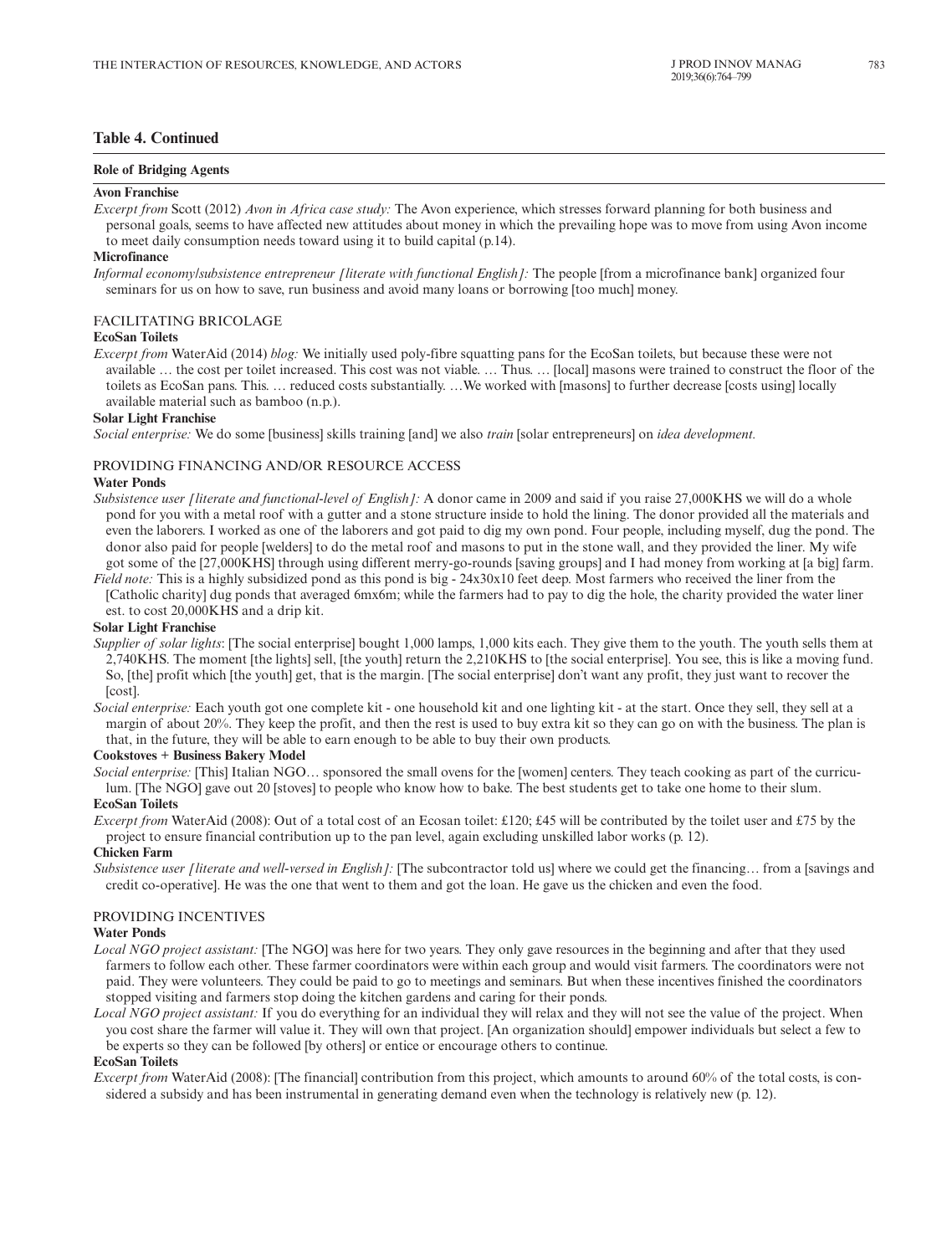#### **Role of Bridging Agents**

#### **Avon Franchise**

*Excerpt from* Scott (2012) *Avon in Africa case study:* The Avon experience, which stresses forward planning for both business and personal goals, seems to have affected new attitudes about money in which the prevailing hope was to move from using Avon income to meet daily consumption needs toward using it to build capital (p.14).

#### **Microfinance**

*Informal economy/subsistence entrepreneur [literate with functional English]:* The people [from a microfinance bank] organized four seminars for us on how to save, run business and avoid many loans or borrowing [too much] money.

#### FACILITATING BRICOLAGE

#### **EcoSan Toilets**

*Excerpt from* WaterAid (2014) *blog:* We initially used poly-fibre squatting pans for the EcoSan toilets, but because these were not available … the cost per toilet increased. This cost was not viable. … Thus. … [local] masons were trained to construct the floor of the toilets as EcoSan pans. This. … reduced costs substantially. …We worked with [masons] to further decrease [costs using] locally available material such as bamboo (n.p.).

#### **Solar Light Franchise**

*Social enterprise:* We do some [business] skills training [and] we also *train* [solar entrepreneurs] on *idea development.*

#### PROVIDING FINANCING AND/OR RESOURCE ACCESS

#### **Water Ponds**

*Subsistence user [literate and functional-level of English]:* A donor came in 2009 and said if you raise 27,000KHS we will do a whole pond for you with a metal roof with a gutter and a stone structure inside to hold the lining. The donor provided all the materials and even the laborers. I worked as one of the laborers and got paid to dig my own pond. Four people, including myself, dug the pond. The donor also paid for people [welders] to do the metal roof and masons to put in the stone wall, and they provided the liner. My wife got some of the [27,000KHS] through using different merry-go-rounds [saving groups] and I had money from working at [a big] farm.

*Field note:* This is a highly subsidized pond as this pond is big - 24x30x10 feet deep. Most farmers who received the liner from the [Catholic charity] dug ponds that averaged 6mx6m; while the farmers had to pay to dig the hole, the charity provided the water liner est. to cost 20,000KHS and a drip kit.

#### **Solar Light Franchise**

*Supplier of solar lights*: [The social enterprise] bought 1,000 lamps, 1,000 kits each. They give them to the youth. The youth sells them at 2,740KHS. The moment [the lights] sell, [the youth] return the 2,210KHS to [the social enterprise]. You see, this is like a moving fund. So, [the] profit which [the youth] get, that is the margin. [The social enterprise] don't want any profit, they just want to recover the [cost].

*Social enterprise:* Each youth got one complete kit - one household kit and one lighting kit - at the start. Once they sell, they sell at a margin of about 20%. They keep the profit, and then the rest is used to buy extra kit so they can go on with the business. The plan is that, in the future, they will be able to earn enough to be able to buy their own products.

**Cookstoves** + **Business Bakery Model**

*Social enterprise:* [This] Italian NGO… sponsored the small ovens for the [women] centers. They teach cooking as part of the curriculum. [The NGO] gave out 20 [stoves] to people who know how to bake. The best students get to take one home to their slum.

#### **EcoSan Toilets**

*Excerpt from* WaterAid (2008): Out of a total cost of an Ecosan toilet: £120; £45 will be contributed by the toilet user and £75 by the project to ensure financial contribution up to the pan level, again excluding unskilled labor works (p. 12).

#### **Chicken Farm**

*Subsistence user [literate and well-versed in English]:* [The subcontractor told us] where we could get the financing… from a [savings and credit co-operative]. He was the one that went to them and got the loan. He gave us the chicken and even the food.

#### PROVIDING INCENTIVES

#### **Water Ponds**

- *Local NGO project assistant:* [The NGO] was here for two years. They only gave resources in the beginning and after that they used farmers to follow each other. These farmer coordinators were within each group and would visit farmers. The coordinators were not paid. They were volunteers. They could be paid to go to meetings and seminars. But when these incentives finished the coordinators stopped visiting and farmers stop doing the kitchen gardens and caring for their ponds.
- *Local NGO project assistant:* If you do everything for an individual they will relax and they will not see the value of the project. When you cost share the farmer will value it. They will own that project. [An organization should] empower individuals but select a few to be experts so they can be followed [by others] or entice or encourage others to continue.

#### **EcoSan Toilets**

*Excerpt from* WaterAid (2008): [The financial] contribution from this project, which amounts to around 60% of the total costs, is considered a subsidy and has been instrumental in generating demand even when the technology is relatively new (p. 12).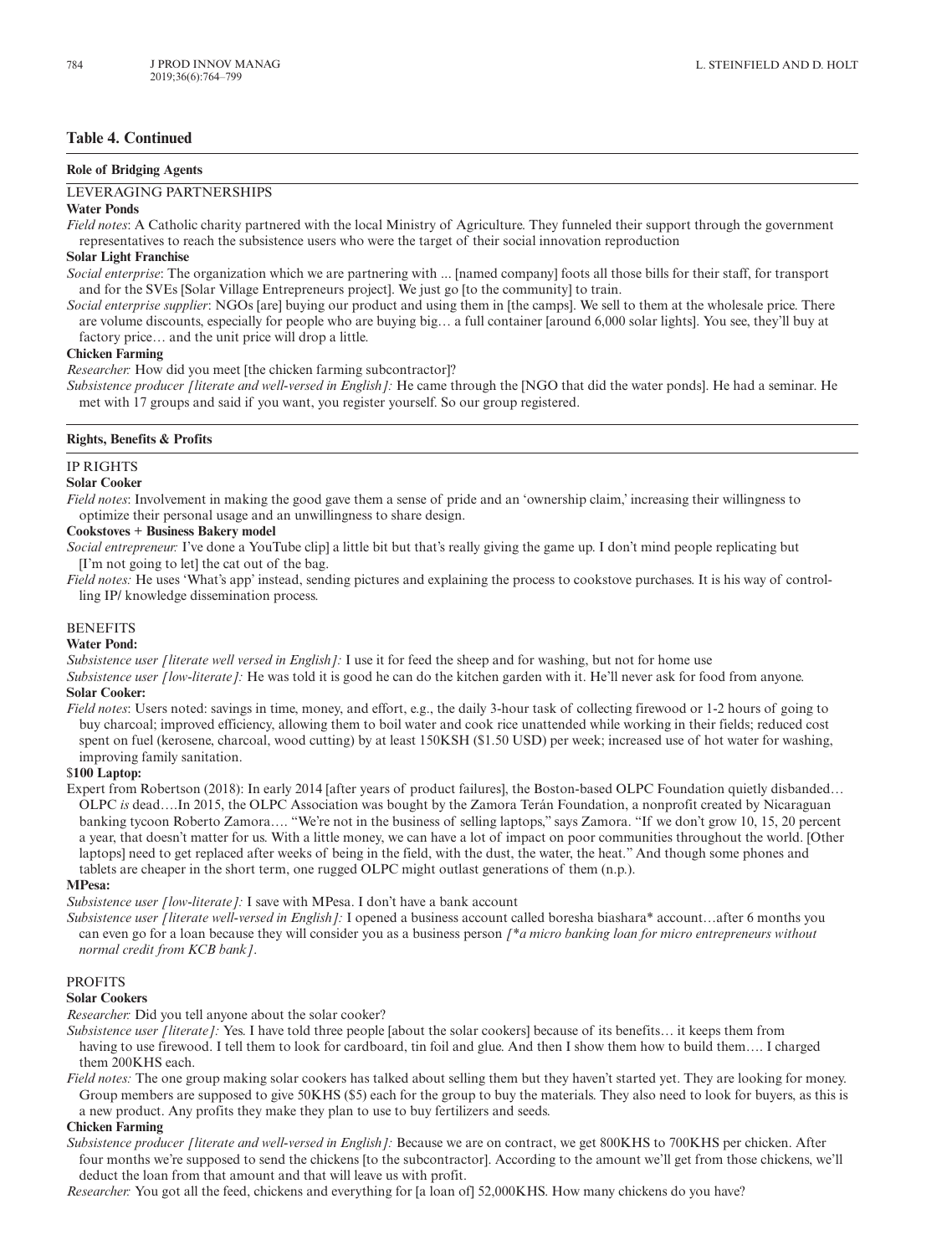#### **Role of Bridging Agents**

#### LEVERAGING PARTNERSHIPS

# **Water Ponds**

*Field notes*: A Catholic charity partnered with the local Ministry of Agriculture. They funneled their support through the government representatives to reach the subsistence users who were the target of their social innovation reproduction

#### **Solar Light Franchise**

*Social enterprise*: The organization which we are partnering with ... [named company] foots all those bills for their staff, for transport and for the SVEs [Solar Village Entrepreneurs project]. We just go [to the community] to train.

*Social enterprise supplier*: NGOs [are] buying our product and using them in [the camps]. We sell to them at the wholesale price. There are volume discounts, especially for people who are buying big… a full container [around 6,000 solar lights]. You see, they'll buy at factory price… and the unit price will drop a little.

#### **Chicken Farming**

*Researcher:* How did you meet [the chicken farming subcontractor]?

*Subsistence producer [literate and well-versed in English]:* He came through the [NGO that did the water ponds]. He had a seminar. He met with 17 groups and said if you want, you register yourself. So our group registered.

#### **Rights, Benefits & Profits**

#### IP RIGHTS

#### **Solar Cooker**

*Field notes*: Involvement in making the good gave them a sense of pride and an 'ownership claim,' increasing their willingness to optimize their personal usage and an unwillingness to share design.

#### **Cookstoves** + **Business Bakery model**

*Social entrepreneur:* I've done a YouTube clip] a little bit but that's really giving the game up. I don't mind people replicating but [I'm not going to let] the cat out of the bag.

*Field notes:* He uses 'What's app' instead, sending pictures and explaining the process to cookstove purchases. It is his way of controlling IP/ knowledge dissemination process.

#### **BENEFITS**

#### **Water Pond:**

*Subsistence user [literate well versed in English]:* I use it for feed the sheep and for washing, but not for home use

*Subsistence user [low-literate]*: He was told it is good he can do the kitchen garden with it. He'll never ask for food from anyone. **Solar Cooker:**

*Field notes*: Users noted: savings in time, money, and effort, e.g., the daily 3-hour task of collecting firewood or 1-2 hours of going to buy charcoal; improved efficiency, allowing them to boil water and cook rice unattended while working in their fields; reduced cost spent on fuel (kerosene, charcoal, wood cutting) by at least 150KSH (\$1.50 USD) per week; increased use of hot water for washing, improving family sanitation.

#### \$**100 Laptop:**

Expert from Robertson (2018): In early 2014 [after years of product failures], the Boston-based OLPC Foundation quietly disbanded… OLPC *is* dead….In 2015, the OLPC Association was bought by the Zamora Terán Foundation, a nonprofit created by Nicaraguan banking tycoon Roberto Zamora…. "We're not in the business of selling laptops," says Zamora. "If we don't grow 10, 15, 20 percent a year, that doesn't matter for us. With a little money, we can have a lot of impact on poor communities throughout the world. [Other laptops] need to get replaced after weeks of being in the field, with the dust, the water, the heat." And though some phones and tablets are cheaper in the short term, one rugged OLPC might outlast generations of them (n.p.).

#### **MPesa:**

*Subsistence user [low-literate]:* I save with MPesa. I don't have a bank account

*Subsistence user [literate well-versed in English]:* I opened a business account called boresha biashara\* account…after 6 months you can even go for a loan because they will consider you as a business person *[\*a micro banking loan for micro entrepreneurs without normal credit from KCB bank]*.

#### PROFITS

#### **Solar Cookers**

*Researcher:* Did you tell anyone about the solar cooker?

*Subsistence user [literate]:* Yes. I have told three people [about the solar cookers] because of its benefits… it keeps them from having to use firewood. I tell them to look for cardboard, tin foil and glue. And then I show them how to build them…. I charged them 200KHS each.

*Field notes:* The one group making solar cookers has talked about selling them but they haven't started yet. They are looking for money. Group members are supposed to give 50KHS (\$5) each for the group to buy the materials. They also need to look for buyers, as this is a new product. Any profits they make they plan to use to buy fertilizers and seeds.

#### **Chicken Farming**

*Subsistence producer [literate and well-versed in English]:* Because we are on contract, we get 800KHS to 700KHS per chicken. After four months we're supposed to send the chickens [to the subcontractor]. According to the amount we'll get from those chickens, we'll deduct the loan from that amount and that will leave us with profit.

*Researcher:* You got all the feed, chickens and everything for [a loan of] 52,000KHS. How many chickens do you have?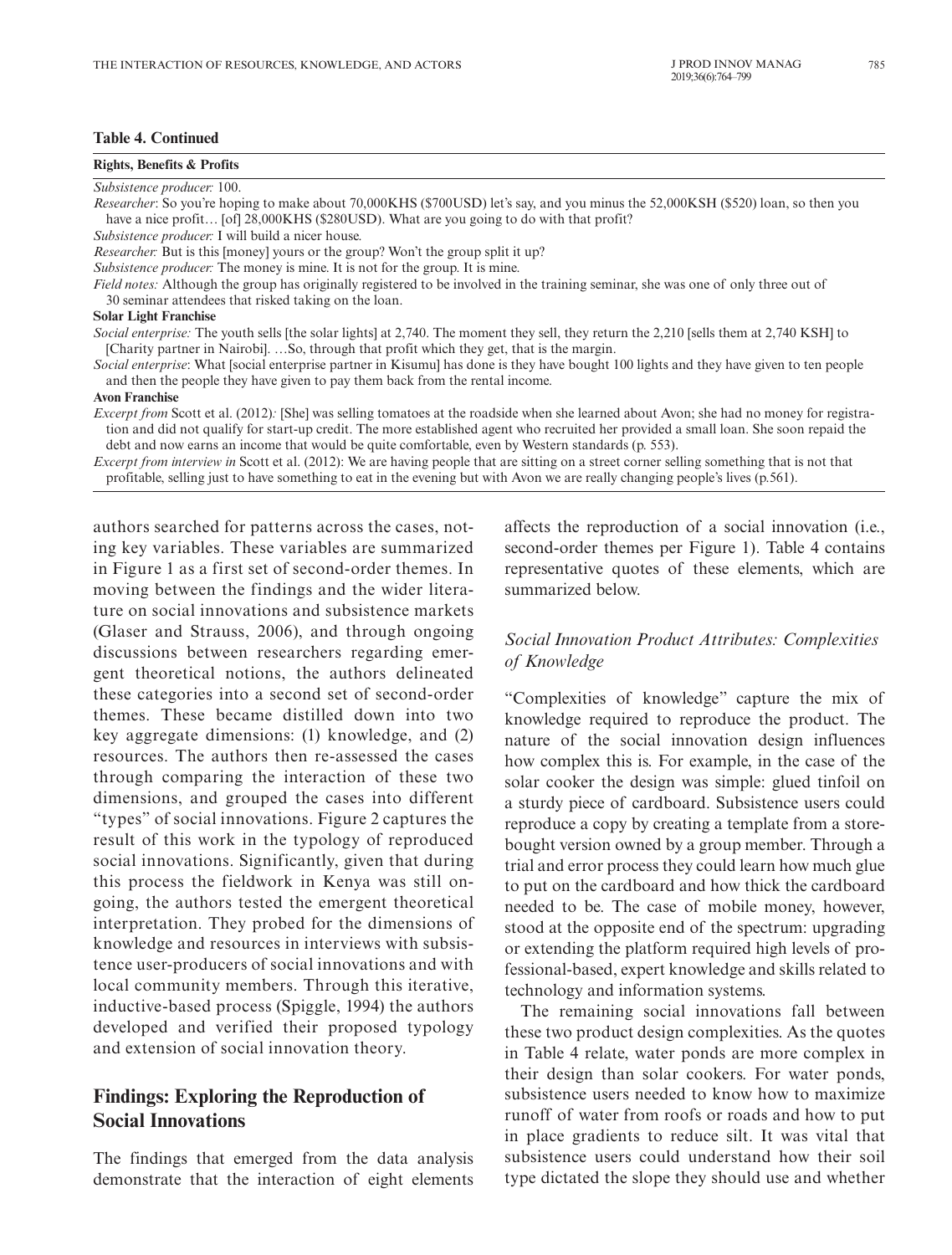#### **Rights, Benefits & Profits**

*Subsistence producer:* 100.

*Researcher*: So you're hoping to make about 70,000KHS (\$700USD) let's say, and you minus the 52,000KSH (\$520) loan, so then you have a nice profit... [of] 28,000KHS (\$280USD). What are you going to do with that profit?

*Subsistence producer:* I will build a nicer house.

*Researcher:* But is this [money] yours or the group? Won't the group split it up?

*Subsistence producer:* The money is mine. It is not for the group. It is mine.

*Field notes:* Although the group has originally registered to be involved in the training seminar, she was one of only three out of 30 seminar attendees that risked taking on the loan.

#### **Solar Light Franchise**

*Social enterprise:* The youth sells [the solar lights] at 2,740. The moment they sell, they return the 2,210 [sells them at 2,740 KSH] to [Charity partner in Nairobi]. …So, through that profit which they get, that is the margin.

*Social enterprise*: What [social enterprise partner in Kisumu] has done is they have bought 100 lights and they have given to ten people and then the people they have given to pay them back from the rental income.

#### **Avon Franchise**

*Excerpt from* Scott et al. (2012)*:* [She] was selling tomatoes at the roadside when she learned about Avon; she had no money for registration and did not qualify for start-up credit. The more established agent who recruited her provided a small loan. She soon repaid the debt and now earns an income that would be quite comfortable, even by Western standards (p. 553).

*Excerpt from interview in* Scott et al. (2012): We are having people that are sitting on a street corner selling something that is not that profitable, selling just to have something to eat in the evening but with Avon we are really changing people's lives (p.561).

authors searched for patterns across the cases, noting key variables. These variables are summarized in Figure 1 as a first set of second-order themes. In moving between the findings and the wider literature on social innovations and subsistence markets (Glaser and Strauss, 2006), and through ongoing discussions between researchers regarding emergent theoretical notions, the authors delineated these categories into a second set of second-order themes. These became distilled down into two key aggregate dimensions: (1) knowledge, and (2) resources. The authors then re-assessed the cases through comparing the interaction of these two dimensions, and grouped the cases into different "types" of social innovations. Figure 2 captures the result of this work in the typology of reproduced social innovations. Significantly, given that during this process the fieldwork in Kenya was still ongoing, the authors tested the emergent theoretical interpretation. They probed for the dimensions of knowledge and resources in interviews with subsistence user-producers of social innovations and with local community members. Through this iterative, inductive-based process (Spiggle, 1994) the authors developed and verified their proposed typology and extension of social innovation theory.

# **Findings: Exploring the Reproduction of Social Innovations**

The findings that emerged from the data analysis demonstrate that the interaction of eight elements affects the reproduction of a social innovation (i.e., second-order themes per Figure 1). Table 4 contains representative quotes of these elements, which are summarized below.

# *Social Innovation Product Attributes: Complexities of Knowledge*

"Complexities of knowledge" capture the mix of knowledge required to reproduce the product. The nature of the social innovation design influences how complex this is. For example, in the case of the solar cooker the design was simple: glued tinfoil on a sturdy piece of cardboard. Subsistence users could reproduce a copy by creating a template from a storebought version owned by a group member. Through a trial and error process they could learn how much glue to put on the cardboard and how thick the cardboard needed to be. The case of mobile money, however, stood at the opposite end of the spectrum: upgrading or extending the platform required high levels of professional-based, expert knowledge and skills related to technology and information systems.

The remaining social innovations fall between these two product design complexities. As the quotes in Table 4 relate, water ponds are more complex in their design than solar cookers. For water ponds, subsistence users needed to know how to maximize runoff of water from roofs or roads and how to put in place gradients to reduce silt. It was vital that subsistence users could understand how their soil type dictated the slope they should use and whether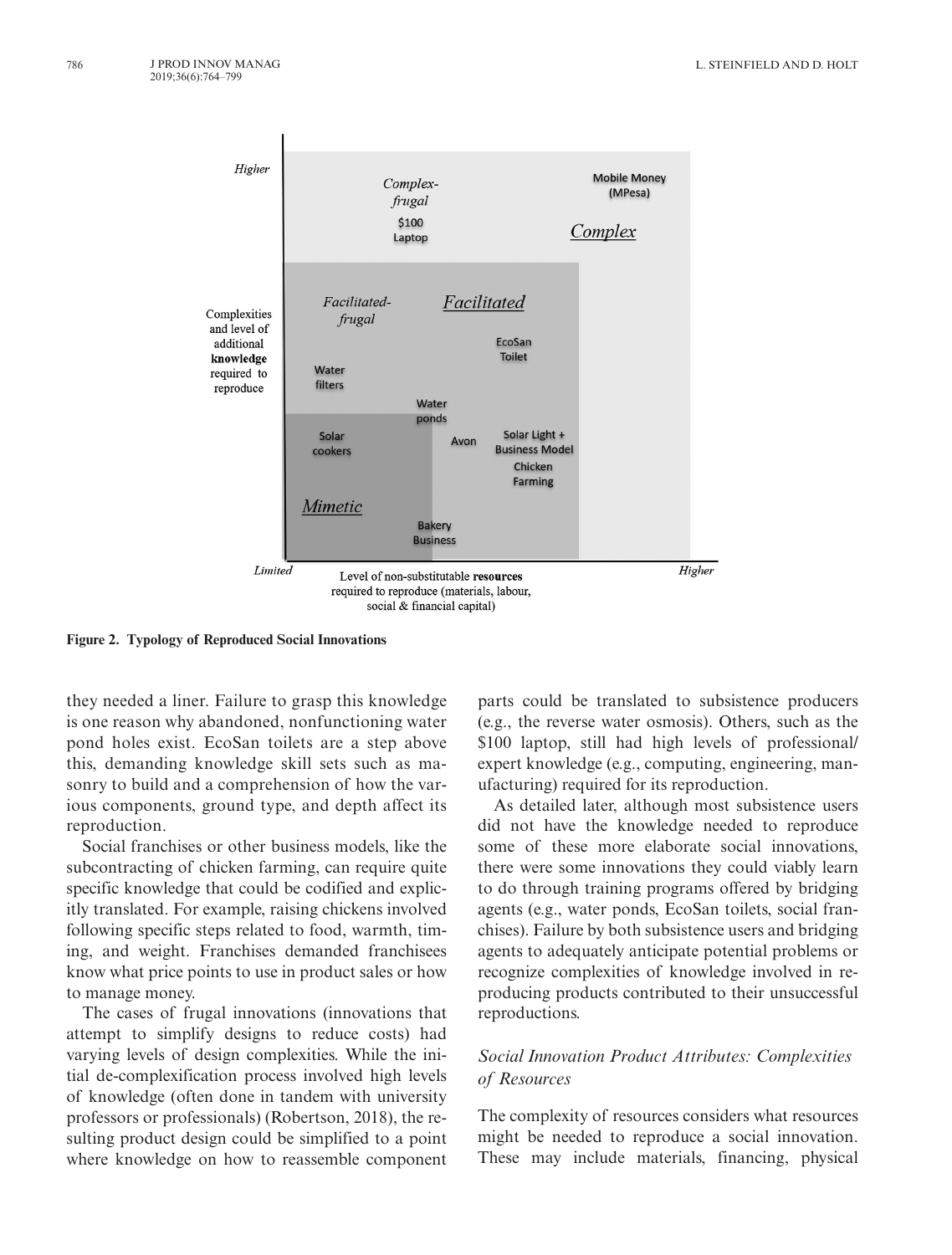

**Figure 2. Typology of Reproduced Social Innovations**

they needed a liner. Failure to grasp this knowledge is one reason why abandoned, nonfunctioning water pond holes exist. EcoSan toilets are a step above this, demanding knowledge skill sets such as masonry to build and a comprehension of how the various components, ground type, and depth affect its reproduction.

Social franchises or other business models, like the subcontracting of chicken farming, can require quite specific knowledge that could be codified and explicitly translated. For example, raising chickens involved following specific steps related to food, warmth, timing, and weight. Franchises demanded franchisees know what price points to use in product sales or how to manage money.

The cases of frugal innovations (innovations that attempt to simplify designs to reduce costs) had varying levels of design complexities. While the initial de-complexification process involved high levels of knowledge (often done in tandem with university professors or professionals) (Robertson, 2018), the resulting product design could be simplified to a point where knowledge on how to reassemble component

parts could be translated to subsistence producers (e.g., the reverse water osmosis). Others, such as the \$100 laptop, still had high levels of professional/ expert knowledge (e.g., computing, engineering, manufacturing) required for its reproduction.

As detailed later, although most subsistence users did not have the knowledge needed to reproduce some of these more elaborate social innovations, there were some innovations they could viably learn to do through training programs offered by bridging agents (e.g., water ponds, EcoSan toilets, social franchises). Failure by both subsistence users and bridging agents to adequately anticipate potential problems or recognize complexities of knowledge involved in reproducing products contributed to their unsuccessful reproductions.

# *Social Innovation Product Attributes: Complexities of Resources*

The complexity of resources considers what resources might be needed to reproduce a social innovation. These may include materials, financing, physical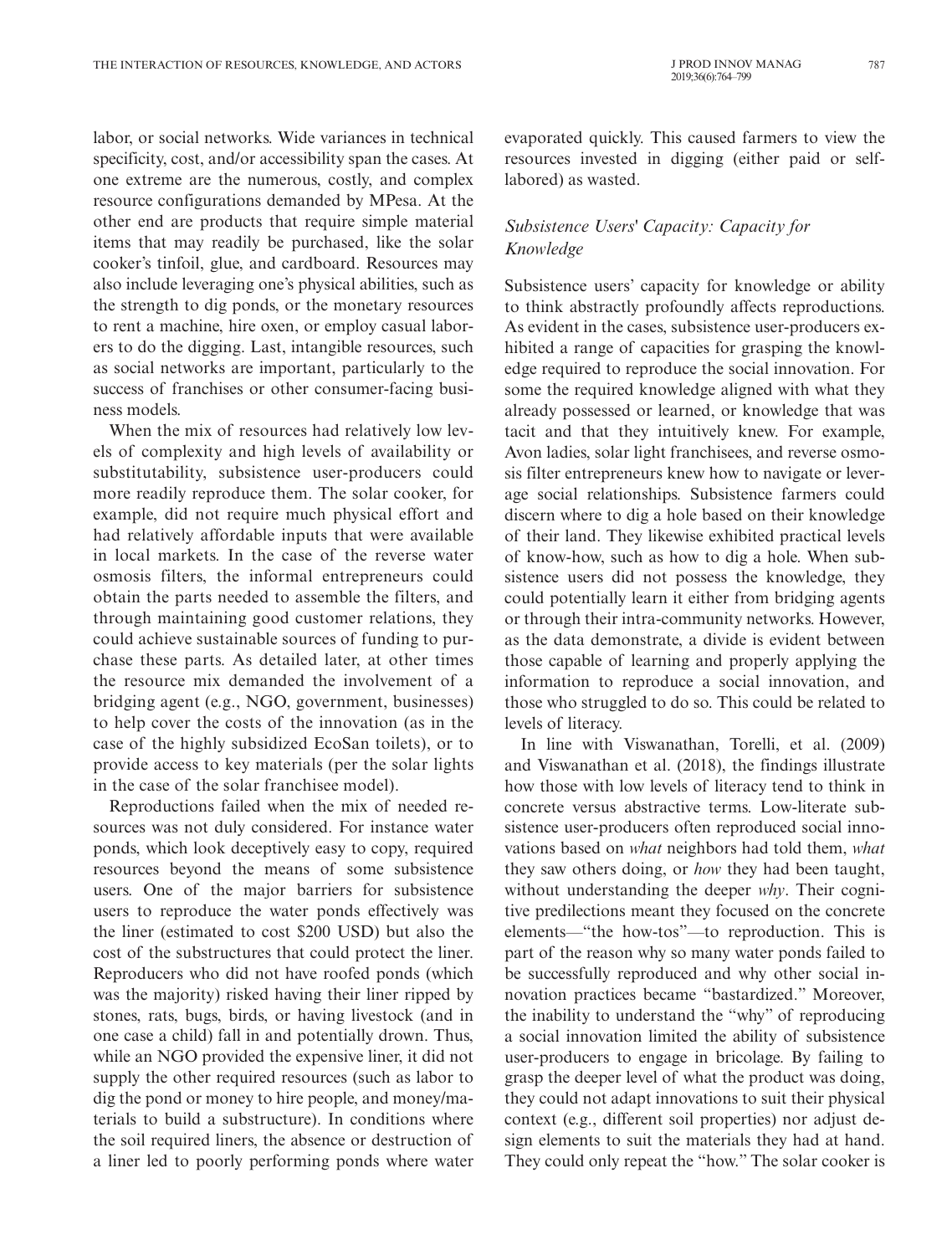labor, or social networks. Wide variances in technical specificity, cost, and/or accessibility span the cases. At one extreme are the numerous, costly, and complex resource configurations demanded by MPesa. At the other end are products that require simple material items that may readily be purchased, like the solar cooker's tinfoil, glue, and cardboard. Resources may also include leveraging one's physical abilities, such as the strength to dig ponds, or the monetary resources to rent a machine, hire oxen, or employ casual laborers to do the digging. Last, intangible resources, such as social networks are important, particularly to the success of franchises or other consumer-facing business models.

When the mix of resources had relatively low levels of complexity and high levels of availability or substitutability, subsistence user-producers could more readily reproduce them. The solar cooker, for example, did not require much physical effort and had relatively affordable inputs that were available in local markets. In the case of the reverse water osmosis filters, the informal entrepreneurs could obtain the parts needed to assemble the filters, and through maintaining good customer relations, they could achieve sustainable sources of funding to purchase these parts. As detailed later, at other times the resource mix demanded the involvement of a bridging agent (e.g., NGO, government, businesses) to help cover the costs of the innovation (as in the case of the highly subsidized EcoSan toilets), or to provide access to key materials (per the solar lights in the case of the solar franchisee model).

Reproductions failed when the mix of needed resources was not duly considered. For instance water ponds, which look deceptively easy to copy, required resources beyond the means of some subsistence users. One of the major barriers for subsistence users to reproduce the water ponds effectively was the liner (estimated to cost \$200 USD) but also the cost of the substructures that could protect the liner. Reproducers who did not have roofed ponds (which was the majority) risked having their liner ripped by stones, rats, bugs, birds, or having livestock (and in one case a child) fall in and potentially drown. Thus, while an NGO provided the expensive liner, it did not supply the other required resources (such as labor to dig the pond or money to hire people, and money/materials to build a substructure). In conditions where the soil required liners, the absence or destruction of a liner led to poorly performing ponds where water evaporated quickly. This caused farmers to view the resources invested in digging (either paid or selflabored) as wasted.

# *Subsistence Users' Capacity: Capacity for Knowledge*

Subsistence users' capacity for knowledge or ability to think abstractly profoundly affects reproductions. As evident in the cases, subsistence user-producers exhibited a range of capacities for grasping the knowledge required to reproduce the social innovation. For some the required knowledge aligned with what they already possessed or learned, or knowledge that was tacit and that they intuitively knew. For example, Avon ladies, solar light franchisees, and reverse osmosis filter entrepreneurs knew how to navigate or leverage social relationships. Subsistence farmers could discern where to dig a hole based on their knowledge of their land. They likewise exhibited practical levels of know-how, such as how to dig a hole. When subsistence users did not possess the knowledge, they could potentially learn it either from bridging agents or through their intra-community networks. However, as the data demonstrate, a divide is evident between those capable of learning and properly applying the information to reproduce a social innovation, and those who struggled to do so. This could be related to levels of literacy.

In line with Viswanathan, Torelli, et al. (2009) and Viswanathan et al. (2018), the findings illustrate how those with low levels of literacy tend to think in concrete versus abstractive terms. Low-literate subsistence user-producers often reproduced social innovations based on *what* neighbors had told them, *what* they saw others doing, or *how* they had been taught, without understanding the deeper *why*. Their cognitive predilections meant they focused on the concrete elements—"the how-tos"—to reproduction. This is part of the reason why so many water ponds failed to be successfully reproduced and why other social innovation practices became "bastardized." Moreover, the inability to understand the "why" of reproducing a social innovation limited the ability of subsistence user-producers to engage in bricolage. By failing to grasp the deeper level of what the product was doing, they could not adapt innovations to suit their physical context (e.g., different soil properties) nor adjust design elements to suit the materials they had at hand. They could only repeat the "how." The solar cooker is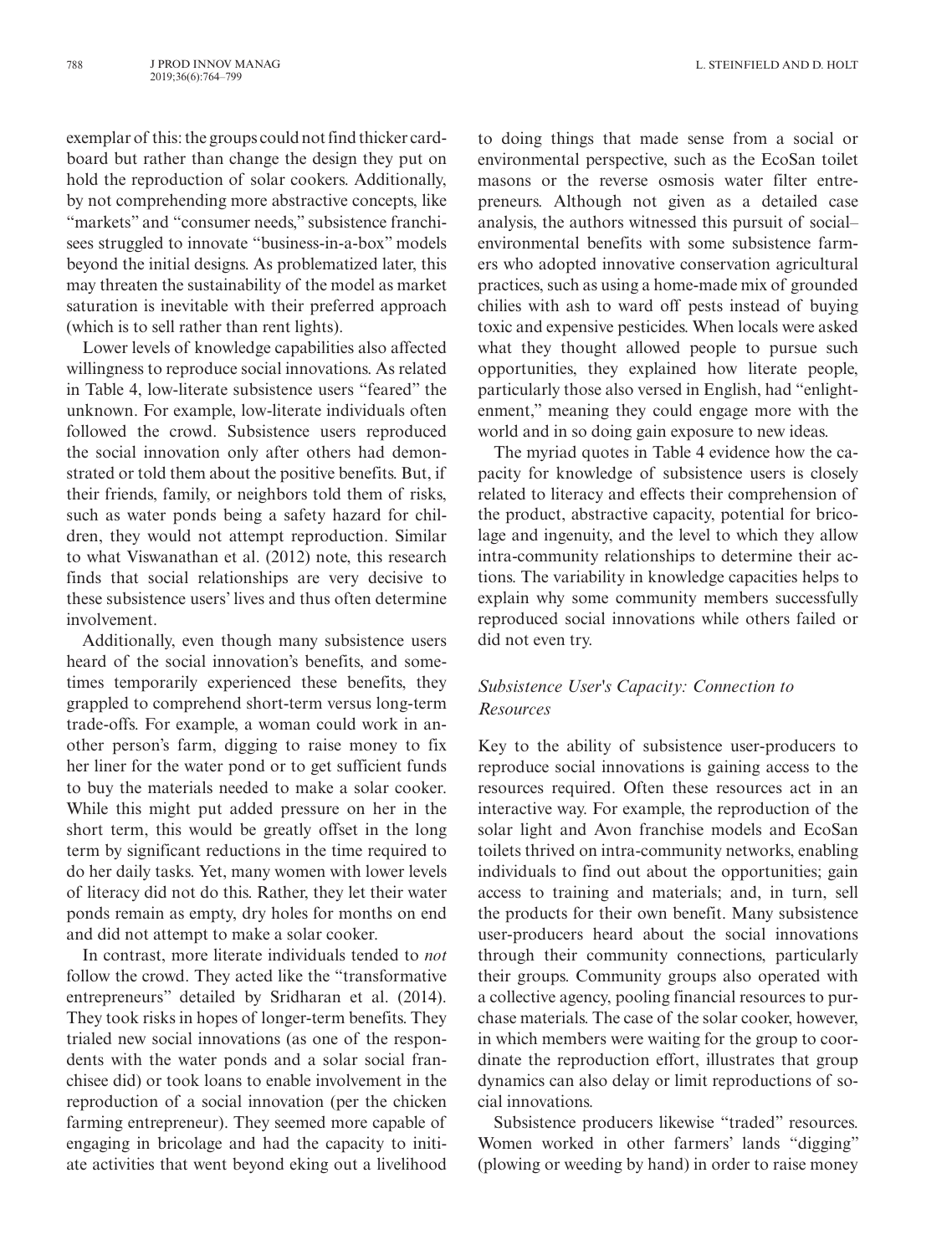exemplar of this: the groups could not find thicker cardboard but rather than change the design they put on hold the reproduction of solar cookers. Additionally, by not comprehending more abstractive concepts, like "markets" and "consumer needs," subsistence franchisees struggled to innovate "business-in-a-box" models beyond the initial designs. As problematized later, this may threaten the sustainability of the model as market saturation is inevitable with their preferred approach (which is to sell rather than rent lights).

Lower levels of knowledge capabilities also affected willingness to reproduce social innovations. As related in Table 4, low-literate subsistence users "feared" the unknown. For example, low-literate individuals often followed the crowd. Subsistence users reproduced the social innovation only after others had demonstrated or told them about the positive benefits. But, if their friends, family, or neighbors told them of risks, such as water ponds being a safety hazard for children, they would not attempt reproduction. Similar to what Viswanathan et al. (2012) note, this research finds that social relationships are very decisive to these subsistence users' lives and thus often determine involvement.

Additionally, even though many subsistence users heard of the social innovation's benefits, and sometimes temporarily experienced these benefits, they grappled to comprehend short-term versus long-term trade-offs. For example, a woman could work in another person's farm, digging to raise money to fix her liner for the water pond or to get sufficient funds to buy the materials needed to make a solar cooker. While this might put added pressure on her in the short term, this would be greatly offset in the long term by significant reductions in the time required to do her daily tasks. Yet, many women with lower levels of literacy did not do this. Rather, they let their water ponds remain as empty, dry holes for months on end and did not attempt to make a solar cooker.

In contrast, more literate individuals tended to *not* follow the crowd. They acted like the "transformative entrepreneurs" detailed by Sridharan et al. (2014). They took risks in hopes of longer-term benefits. They trialed new social innovations (as one of the respondents with the water ponds and a solar social franchisee did) or took loans to enable involvement in the reproduction of a social innovation (per the chicken farming entrepreneur). They seemed more capable of engaging in bricolage and had the capacity to initiate activities that went beyond eking out a livelihood

to doing things that made sense from a social or environmental perspective, such as the EcoSan toilet masons or the reverse osmosis water filter entrepreneurs. Although not given as a detailed case analysis, the authors witnessed this pursuit of social– environmental benefits with some subsistence farmers who adopted innovative conservation agricultural practices, such as using a home-made mix of grounded chilies with ash to ward off pests instead of buying toxic and expensive pesticides. When locals were asked what they thought allowed people to pursue such opportunities, they explained how literate people, particularly those also versed in English, had "enlightenment," meaning they could engage more with the world and in so doing gain exposure to new ideas.

The myriad quotes in Table 4 evidence how the capacity for knowledge of subsistence users is closely related to literacy and effects their comprehension of the product, abstractive capacity, potential for bricolage and ingenuity, and the level to which they allow intra-community relationships to determine their actions. The variability in knowledge capacities helps to explain why some community members successfully reproduced social innovations while others failed or did not even try.

# *Subsistence User's Capacity: Connection to Resources*

Key to the ability of subsistence user-producers to reproduce social innovations is gaining access to the resources required. Often these resources act in an interactive way. For example, the reproduction of the solar light and Avon franchise models and EcoSan toilets thrived on intra-community networks, enabling individuals to find out about the opportunities; gain access to training and materials; and, in turn, sell the products for their own benefit. Many subsistence user-producers heard about the social innovations through their community connections, particularly their groups. Community groups also operated with a collective agency, pooling financial resources to purchase materials. The case of the solar cooker, however, in which members were waiting for the group to coordinate the reproduction effort, illustrates that group dynamics can also delay or limit reproductions of social innovations.

Subsistence producers likewise "traded" resources. Women worked in other farmers' lands "digging" (plowing or weeding by hand) in order to raise money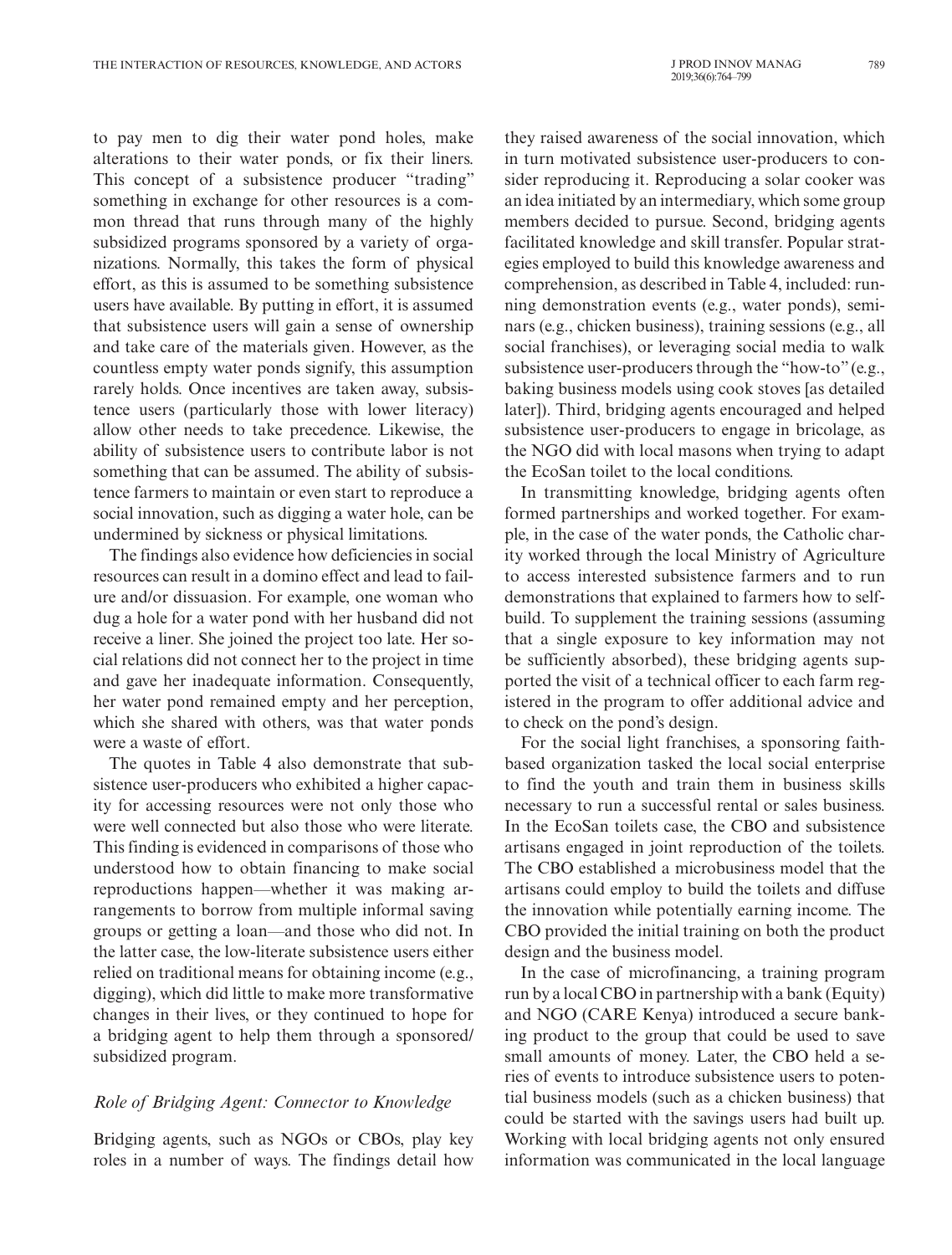to pay men to dig their water pond holes, make alterations to their water ponds, or fix their liners. This concept of a subsistence producer "trading" something in exchange for other resources is a common thread that runs through many of the highly subsidized programs sponsored by a variety of organizations. Normally, this takes the form of physical effort, as this is assumed to be something subsistence users have available. By putting in effort, it is assumed that subsistence users will gain a sense of ownership and take care of the materials given. However, as the countless empty water ponds signify, this assumption rarely holds. Once incentives are taken away, subsistence users (particularly those with lower literacy) allow other needs to take precedence. Likewise, the ability of subsistence users to contribute labor is not something that can be assumed. The ability of subsistence farmers to maintain or even start to reproduce a social innovation, such as digging a water hole, can be undermined by sickness or physical limitations.

The findings also evidence how deficiencies in social resources can result in a domino effect and lead to failure and/or dissuasion. For example, one woman who dug a hole for a water pond with her husband did not receive a liner. She joined the project too late. Her social relations did not connect her to the project in time and gave her inadequate information. Consequently, her water pond remained empty and her perception, which she shared with others, was that water ponds were a waste of effort.

The quotes in Table 4 also demonstrate that subsistence user-producers who exhibited a higher capacity for accessing resources were not only those who were well connected but also those who were literate. This finding is evidenced in comparisons of those who understood how to obtain financing to make social reproductions happen—whether it was making arrangements to borrow from multiple informal saving groups or getting a loan—and those who did not. In the latter case, the low-literate subsistence users either relied on traditional means for obtaining income (e.g., digging), which did little to make more transformative changes in their lives, or they continued to hope for a bridging agent to help them through a sponsored/ subsidized program.

### *Role of Bridging Agent: Connector to Knowledge*

Bridging agents, such as NGOs or CBOs, play key roles in a number of ways. The findings detail how they raised awareness of the social innovation, which in turn motivated subsistence user-producers to consider reproducing it. Reproducing a solar cooker was an idea initiated by an intermediary, which some group members decided to pursue. Second, bridging agents facilitated knowledge and skill transfer. Popular strategies employed to build this knowledge awareness and comprehension, as described in Table 4, included: running demonstration events (e.g., water ponds), seminars (e.g., chicken business), training sessions (e.g., all social franchises), or leveraging social media to walk subsistence user-producers through the "how-to" (e.g., baking business models using cook stoves [as detailed later]). Third, bridging agents encouraged and helped subsistence user-producers to engage in bricolage, as the NGO did with local masons when trying to adapt the EcoSan toilet to the local conditions.

In transmitting knowledge, bridging agents often formed partnerships and worked together. For example, in the case of the water ponds, the Catholic charity worked through the local Ministry of Agriculture to access interested subsistence farmers and to run demonstrations that explained to farmers how to selfbuild. To supplement the training sessions (assuming that a single exposure to key information may not be sufficiently absorbed), these bridging agents supported the visit of a technical officer to each farm registered in the program to offer additional advice and to check on the pond's design.

For the social light franchises, a sponsoring faithbased organization tasked the local social enterprise to find the youth and train them in business skills necessary to run a successful rental or sales business. In the EcoSan toilets case, the CBO and subsistence artisans engaged in joint reproduction of the toilets. The CBO established a microbusiness model that the artisans could employ to build the toilets and diffuse the innovation while potentially earning income. The CBO provided the initial training on both the product design and the business model.

In the case of microfinancing, a training program run by a local CBO in partnership with a bank (Equity) and NGO (CARE Kenya) introduced a secure banking product to the group that could be used to save small amounts of money. Later, the CBO held a series of events to introduce subsistence users to potential business models (such as a chicken business) that could be started with the savings users had built up. Working with local bridging agents not only ensured information was communicated in the local language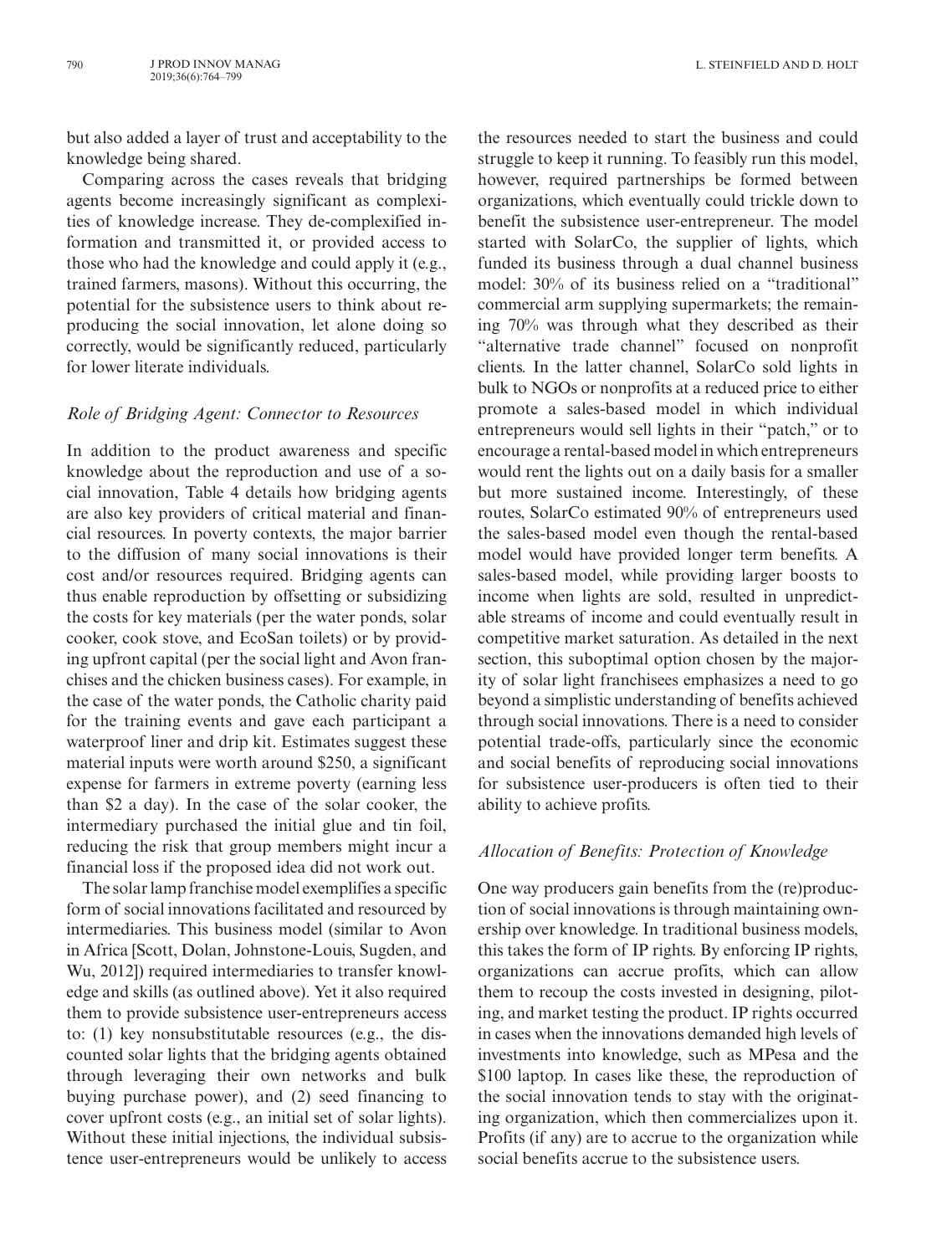but also added a layer of trust and acceptability to the knowledge being shared.

Comparing across the cases reveals that bridging agents become increasingly significant as complexities of knowledge increase. They de-complexified information and transmitted it, or provided access to those who had the knowledge and could apply it (e.g., trained farmers, masons). Without this occurring, the potential for the subsistence users to think about reproducing the social innovation, let alone doing so correctly, would be significantly reduced, particularly for lower literate individuals.

# *Role of Bridging Agent: Connector to Resources*

In addition to the product awareness and specific knowledge about the reproduction and use of a social innovation, Table 4 details how bridging agents are also key providers of critical material and financial resources. In poverty contexts, the major barrier to the diffusion of many social innovations is their cost and/or resources required. Bridging agents can thus enable reproduction by offsetting or subsidizing the costs for key materials (per the water ponds, solar cooker, cook stove, and EcoSan toilets) or by providing upfront capital (per the social light and Avon franchises and the chicken business cases). For example, in the case of the water ponds, the Catholic charity paid for the training events and gave each participant a waterproof liner and drip kit. Estimates suggest these material inputs were worth around \$250, a significant expense for farmers in extreme poverty (earning less than \$2 a day). In the case of the solar cooker, the intermediary purchased the initial glue and tin foil, reducing the risk that group members might incur a financial loss if the proposed idea did not work out.

The solar lamp franchise model exemplifies a specific form of social innovations facilitated and resourced by intermediaries. This business model (similar to Avon in Africa [Scott, Dolan, Johnstone-Louis, Sugden, and Wu, 2012]) required intermediaries to transfer knowledge and skills (as outlined above). Yet it also required them to provide subsistence user-entrepreneurs access to: (1) key nonsubstitutable resources (e.g., the discounted solar lights that the bridging agents obtained through leveraging their own networks and bulk buying purchase power), and (2) seed financing to cover upfront costs (e.g., an initial set of solar lights). Without these initial injections, the individual subsistence user-entrepreneurs would be unlikely to access

the resources needed to start the business and could struggle to keep it running. To feasibly run this model, however, required partnerships be formed between organizations, which eventually could trickle down to benefit the subsistence user-entrepreneur. The model started with SolarCo, the supplier of lights, which funded its business through a dual channel business model: 30% of its business relied on a "traditional" commercial arm supplying supermarkets; the remaining 70% was through what they described as their "alternative trade channel" focused on nonprofit clients. In the latter channel, SolarCo sold lights in bulk to NGOs or nonprofits at a reduced price to either promote a sales-based model in which individual entrepreneurs would sell lights in their "patch," or to encourage a rental-based model in which entrepreneurs would rent the lights out on a daily basis for a smaller but more sustained income. Interestingly, of these routes, SolarCo estimated 90% of entrepreneurs used the sales-based model even though the rental-based model would have provided longer term benefits. A sales-based model, while providing larger boosts to income when lights are sold, resulted in unpredictable streams of income and could eventually result in competitive market saturation. As detailed in the next section, this suboptimal option chosen by the majority of solar light franchisees emphasizes a need to go beyond a simplistic understanding of benefits achieved through social innovations. There is a need to consider potential trade-offs, particularly since the economic and social benefits of reproducing social innovations for subsistence user-producers is often tied to their ability to achieve profits.

# *Allocation of Benefits: Protection of Knowledge*

One way producers gain benefits from the (re)production of social innovations is through maintaining ownership over knowledge. In traditional business models, this takes the form of IP rights. By enforcing IP rights, organizations can accrue profits, which can allow them to recoup the costs invested in designing, piloting, and market testing the product. IP rights occurred in cases when the innovations demanded high levels of investments into knowledge, such as MPesa and the \$100 laptop. In cases like these, the reproduction of the social innovation tends to stay with the originating organization, which then commercializes upon it. Profits (if any) are to accrue to the organization while social benefits accrue to the subsistence users.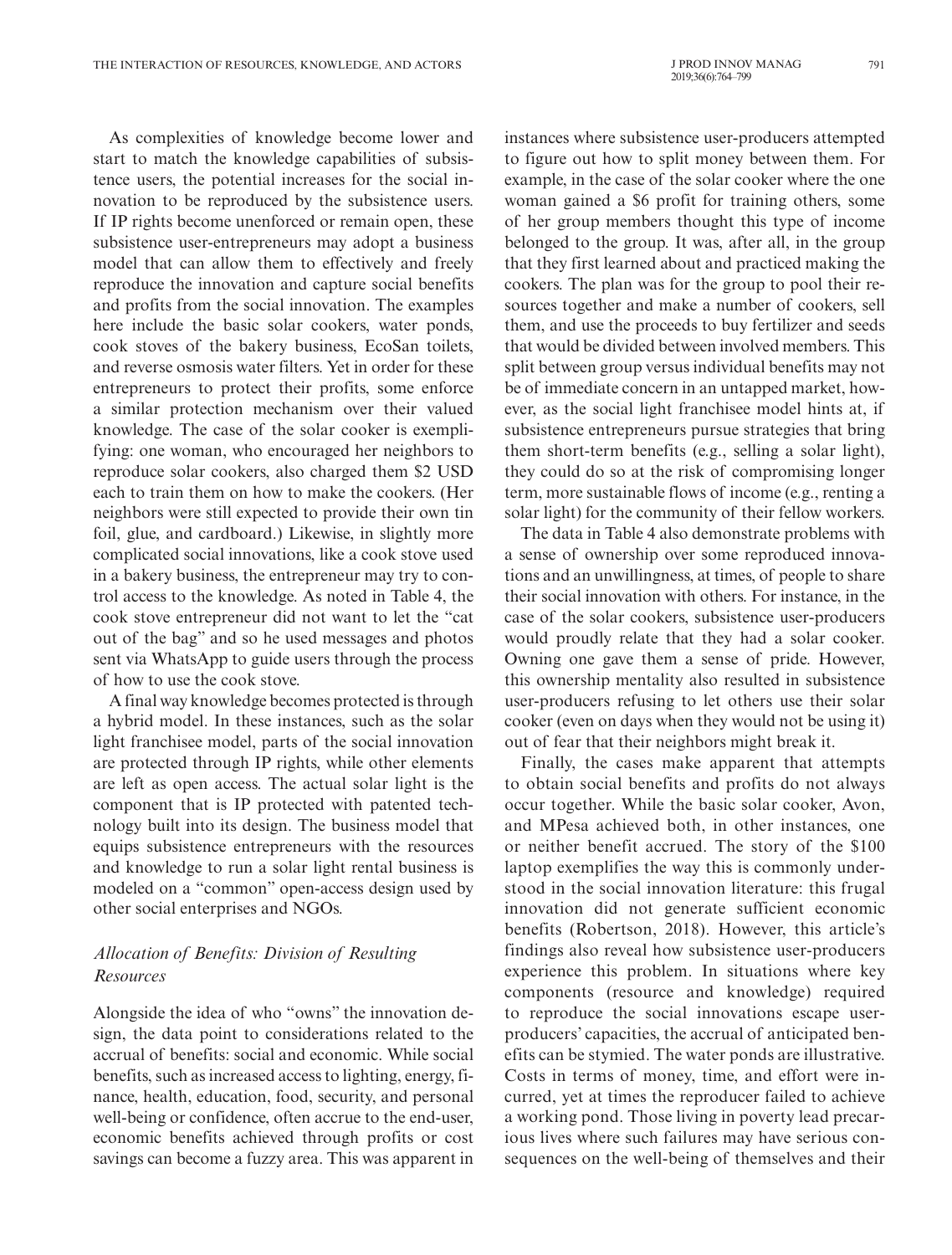As complexities of knowledge become lower and start to match the knowledge capabilities of subsistence users, the potential increases for the social innovation to be reproduced by the subsistence users. If IP rights become unenforced or remain open, these subsistence user-entrepreneurs may adopt a business model that can allow them to effectively and freely reproduce the innovation and capture social benefits and profits from the social innovation. The examples here include the basic solar cookers, water ponds, cook stoves of the bakery business, EcoSan toilets, and reverse osmosis water filters. Yet in order for these entrepreneurs to protect their profits, some enforce a similar protection mechanism over their valued knowledge. The case of the solar cooker is exemplifying: one woman, who encouraged her neighbors to reproduce solar cookers, also charged them \$2 USD each to train them on how to make the cookers. (Her neighbors were still expected to provide their own tin foil, glue, and cardboard.) Likewise, in slightly more complicated social innovations, like a cook stove used in a bakery business, the entrepreneur may try to control access to the knowledge. As noted in Table 4, the cook stove entrepreneur did not want to let the "cat out of the bag" and so he used messages and photos sent via WhatsApp to guide users through the process of how to use the cook stove.

A final way knowledge becomes protected is through a hybrid model. In these instances, such as the solar light franchisee model, parts of the social innovation are protected through IP rights, while other elements are left as open access. The actual solar light is the component that is IP protected with patented technology built into its design. The business model that equips subsistence entrepreneurs with the resources and knowledge to run a solar light rental business is modeled on a "common" open-access design used by other social enterprises and NGOs.

# *Allocation of Benefits: Division of Resulting Resources*

Alongside the idea of who "owns" the innovation design, the data point to considerations related to the accrual of benefits: social and economic. While social benefits, such as increased access to lighting, energy, finance, health, education, food, security, and personal well-being or confidence, often accrue to the end-user, economic benefits achieved through profits or cost savings can become a fuzzy area. This was apparent in instances where subsistence user-producers attempted to figure out how to split money between them. For example, in the case of the solar cooker where the one woman gained a \$6 profit for training others, some of her group members thought this type of income belonged to the group. It was, after all, in the group that they first learned about and practiced making the cookers. The plan was for the group to pool their resources together and make a number of cookers, sell them, and use the proceeds to buy fertilizer and seeds that would be divided between involved members. This split between group versus individual benefits may not be of immediate concern in an untapped market, however, as the social light franchisee model hints at, if subsistence entrepreneurs pursue strategies that bring them short-term benefits (e.g., selling a solar light), they could do so at the risk of compromising longer term, more sustainable flows of income (e.g., renting a solar light) for the community of their fellow workers.

The data in Table 4 also demonstrate problems with a sense of ownership over some reproduced innovations and an unwillingness, at times, of people to share their social innovation with others. For instance, in the case of the solar cookers, subsistence user-producers would proudly relate that they had a solar cooker. Owning one gave them a sense of pride. However, this ownership mentality also resulted in subsistence user-producers refusing to let others use their solar cooker (even on days when they would not be using it) out of fear that their neighbors might break it.

Finally, the cases make apparent that attempts to obtain social benefits and profits do not always occur together. While the basic solar cooker, Avon, and MPesa achieved both, in other instances, one or neither benefit accrued. The story of the \$100 laptop exemplifies the way this is commonly understood in the social innovation literature: this frugal innovation did not generate sufficient economic benefits (Robertson, 2018). However, this article's findings also reveal how subsistence user-producers experience this problem. In situations where key components (resource and knowledge) required to reproduce the social innovations escape userproducers' capacities, the accrual of anticipated benefits can be stymied. The water ponds are illustrative. Costs in terms of money, time, and effort were incurred, yet at times the reproducer failed to achieve a working pond. Those living in poverty lead precarious lives where such failures may have serious consequences on the well-being of themselves and their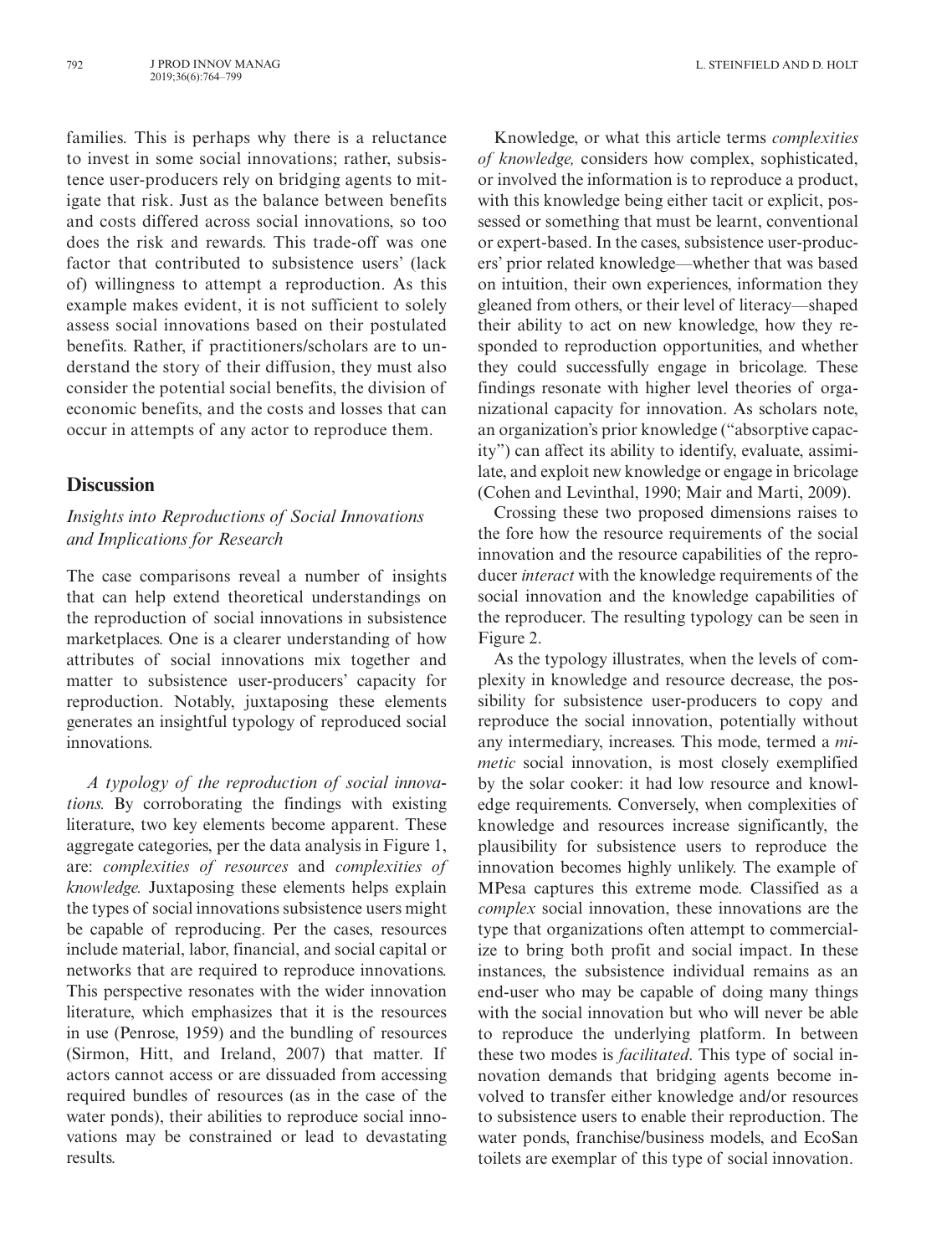families. This is perhaps why there is a reluctance to invest in some social innovations; rather, subsistence user-producers rely on bridging agents to mitigate that risk. Just as the balance between benefits and costs differed across social innovations, so too does the risk and rewards. This trade-off was one factor that contributed to subsistence users' (lack of) willingness to attempt a reproduction. As this example makes evident, it is not sufficient to solely assess social innovations based on their postulated benefits. Rather, if practitioners/scholars are to understand the story of their diffusion, they must also consider the potential social benefits, the division of economic benefits, and the costs and losses that can occur in attempts of any actor to reproduce them.

# **Discussion**

# *Insights into Reproductions of Social Innovations and Implications for Research*

The case comparisons reveal a number of insights that can help extend theoretical understandings on the reproduction of social innovations in subsistence marketplaces. One is a clearer understanding of how attributes of social innovations mix together and matter to subsistence user-producers' capacity for reproduction. Notably, juxtaposing these elements generates an insightful typology of reproduced social innovations.

*A typology of the reproduction of social innovations.* By corroborating the findings with existing literature, two key elements become apparent. These aggregate categories, per the data analysis in Figure 1, are: *complexities of resources* and *complexities of knowledge.* Juxtaposing these elements helps explain the types of social innovations subsistence users might be capable of reproducing. Per the cases, resources include material, labor, financial, and social capital or networks that are required to reproduce innovations. This perspective resonates with the wider innovation literature, which emphasizes that it is the resources in use (Penrose, 1959) and the bundling of resources (Sirmon, Hitt, and Ireland, 2007) that matter. If actors cannot access or are dissuaded from accessing required bundles of resources (as in the case of the water ponds), their abilities to reproduce social innovations may be constrained or lead to devastating results.

Knowledge, or what this article terms *complexities of knowledge,* considers how complex, sophisticated, or involved the information is to reproduce a product, with this knowledge being either tacit or explicit, possessed or something that must be learnt, conventional or expert-based. In the cases, subsistence user-producers' prior related knowledge—whether that was based on intuition, their own experiences, information they gleaned from others, or their level of literacy—shaped their ability to act on new knowledge, how they responded to reproduction opportunities, and whether they could successfully engage in bricolage. These findings resonate with higher level theories of organizational capacity for innovation. As scholars note, an organization's prior knowledge ("absorptive capacity") can affect its ability to identify, evaluate, assimilate, and exploit new knowledge or engage in bricolage (Cohen and Levinthal, 1990; Mair and Marti, 2009).

Crossing these two proposed dimensions raises to the fore how the resource requirements of the social innovation and the resource capabilities of the reproducer *interact* with the knowledge requirements of the social innovation and the knowledge capabilities of the reproducer. The resulting typology can be seen in Figure 2.

As the typology illustrates, when the levels of complexity in knowledge and resource decrease, the possibility for subsistence user-producers to copy and reproduce the social innovation, potentially without any intermediary, increases. This mode, termed a *mimetic* social innovation, is most closely exemplified by the solar cooker: it had low resource and knowledge requirements. Conversely, when complexities of knowledge and resources increase significantly, the plausibility for subsistence users to reproduce the innovation becomes highly unlikely. The example of MPesa captures this extreme mode. Classified as a *complex* social innovation, these innovations are the type that organizations often attempt to commercialize to bring both profit and social impact. In these instances, the subsistence individual remains as an end-user who may be capable of doing many things with the social innovation but who will never be able to reproduce the underlying platform. In between these two modes is *facilitated*. This type of social innovation demands that bridging agents become involved to transfer either knowledge and/or resources to subsistence users to enable their reproduction. The water ponds, franchise/business models, and EcoSan toilets are exemplar of this type of social innovation.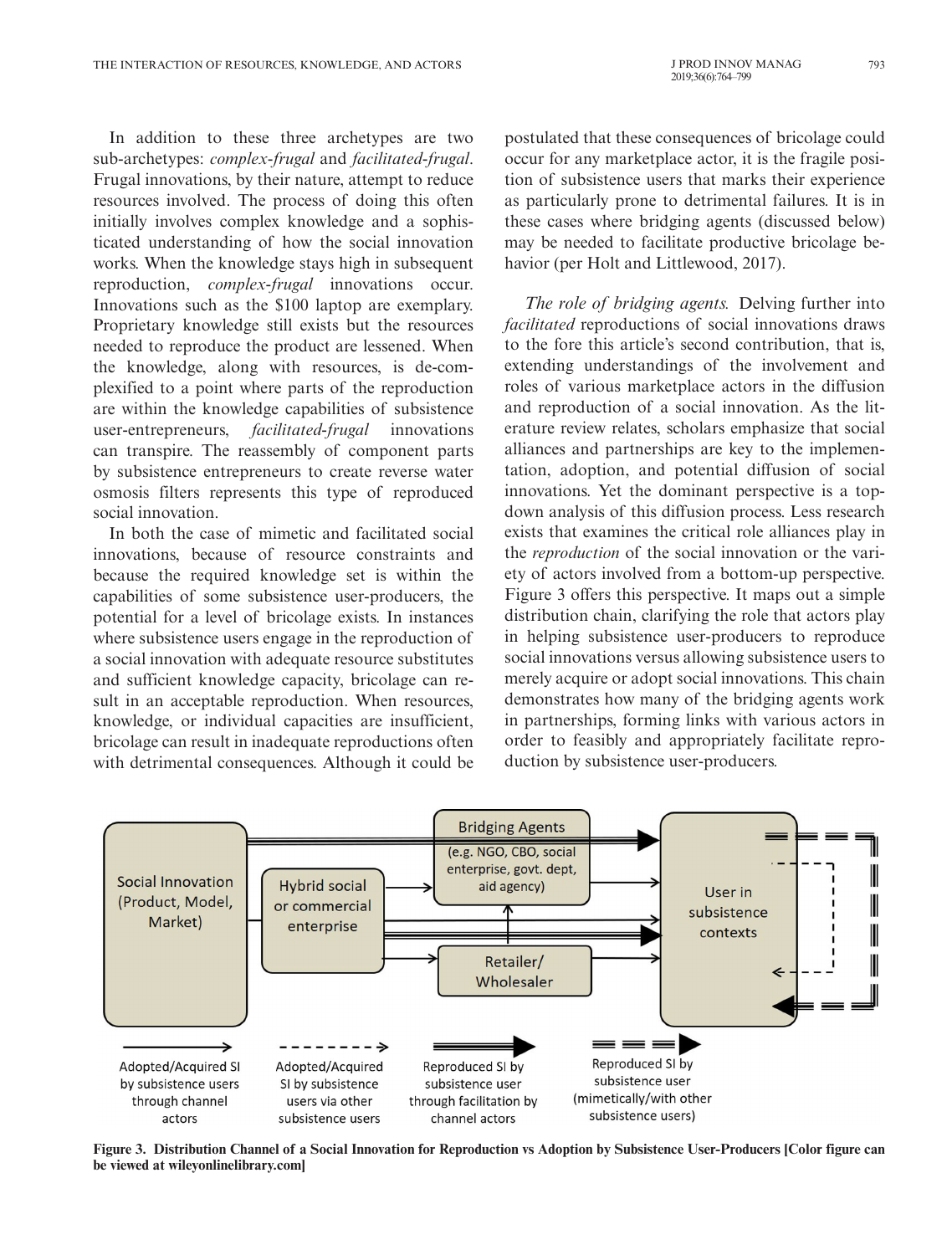In addition to these three archetypes are two sub-archetypes: *complex-frugal* and *facilitated-frugal*. Frugal innovations, by their nature, attempt to reduce resources involved. The process of doing this often initially involves complex knowledge and a sophisticated understanding of how the social innovation works. When the knowledge stays high in subsequent reproduction, *complex-frugal* innovations occur. Innovations such as the \$100 laptop are exemplary. Proprietary knowledge still exists but the resources needed to reproduce the product are lessened. When the knowledge, along with resources, is de-complexified to a point where parts of the reproduction are within the knowledge capabilities of subsistence user-entrepreneurs, *facilitated-frugal* innovations can transpire. The reassembly of component parts by subsistence entrepreneurs to create reverse water osmosis filters represents this type of reproduced social innovation.

In both the case of mimetic and facilitated social innovations, because of resource constraints and because the required knowledge set is within the capabilities of some subsistence user-producers, the potential for a level of bricolage exists. In instances where subsistence users engage in the reproduction of a social innovation with adequate resource substitutes and sufficient knowledge capacity, bricolage can result in an acceptable reproduction. When resources, knowledge, or individual capacities are insufficient, bricolage can result in inadequate reproductions often with detrimental consequences. Although it could be postulated that these consequences of bricolage could occur for any marketplace actor, it is the fragile position of subsistence users that marks their experience as particularly prone to detrimental failures. It is in these cases where bridging agents (discussed below) may be needed to facilitate productive bricolage behavior (per Holt and Littlewood, 2017).

*The role of bridging agents.* Delving further into *facilitated* reproductions of social innovations draws to the fore this article's second contribution, that is, extending understandings of the involvement and roles of various marketplace actors in the diffusion and reproduction of a social innovation. As the literature review relates, scholars emphasize that social alliances and partnerships are key to the implementation, adoption, and potential diffusion of social innovations. Yet the dominant perspective is a topdown analysis of this diffusion process. Less research exists that examines the critical role alliances play in the *reproduction* of the social innovation or the variety of actors involved from a bottom-up perspective. Figure 3 offers this perspective. It maps out a simple distribution chain, clarifying the role that actors play in helping subsistence user-producers to reproduce social innovations versus allowing subsistence users to merely acquire or adopt social innovations. This chain demonstrates how many of the bridging agents work in partnerships, forming links with various actors in order to feasibly and appropriately facilitate reproduction by subsistence user-producers.



**Figure 3. Distribution Channel of a Social Innovation for Reproduction vs Adoption by Subsistence User-Producers [Color figure can be viewed at [wileyonlinelibrary.com](www.wileyonlinelibrary.com)]**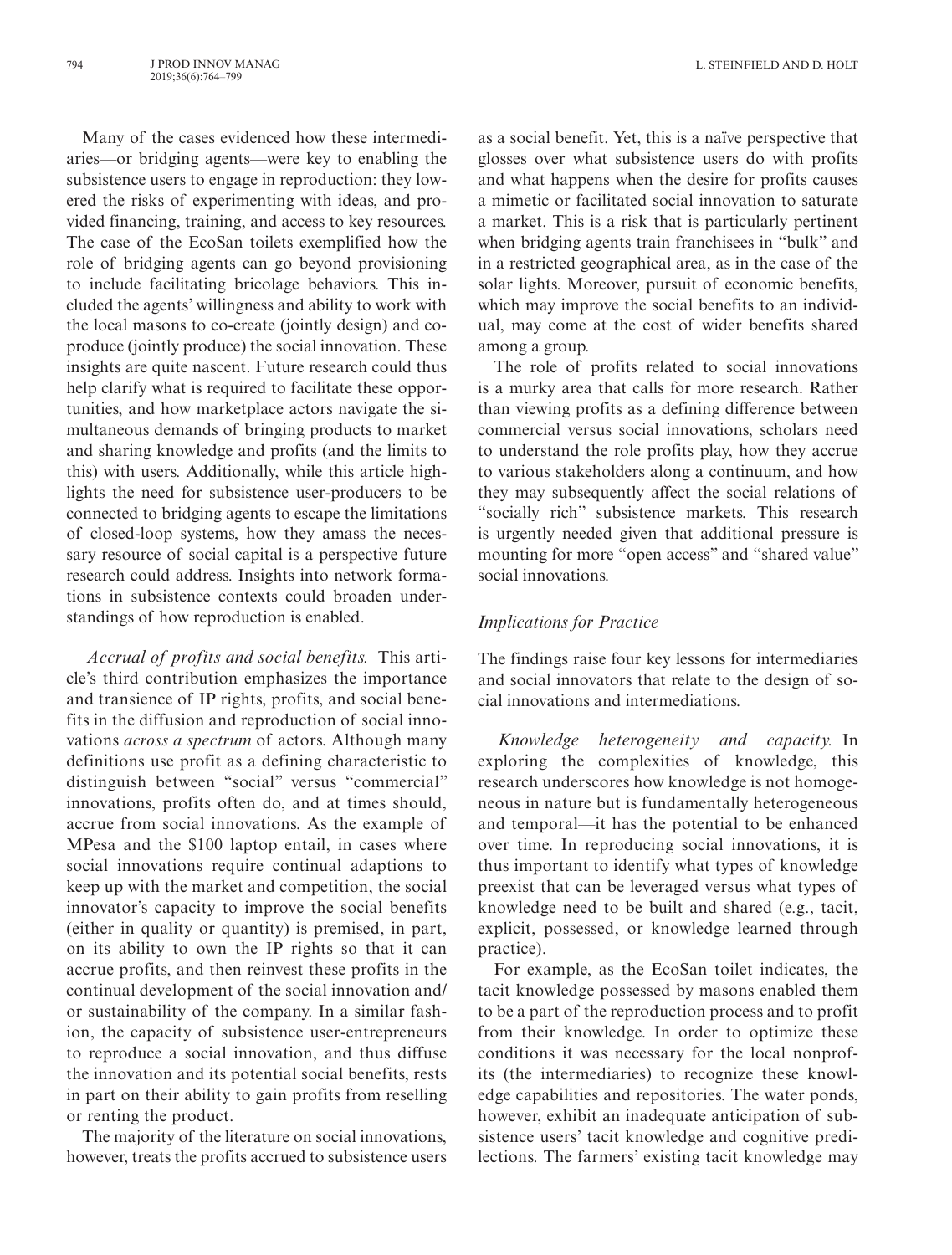Many of the cases evidenced how these intermediaries—or bridging agents—were key to enabling the subsistence users to engage in reproduction: they lowered the risks of experimenting with ideas, and provided financing, training, and access to key resources. The case of the EcoSan toilets exemplified how the role of bridging agents can go beyond provisioning to include facilitating bricolage behaviors. This included the agents' willingness and ability to work with the local masons to co-create (jointly design) and coproduce (jointly produce) the social innovation. These insights are quite nascent. Future research could thus help clarify what is required to facilitate these opportunities, and how marketplace actors navigate the simultaneous demands of bringing products to market and sharing knowledge and profits (and the limits to this) with users. Additionally, while this article highlights the need for subsistence user-producers to be connected to bridging agents to escape the limitations of closed-loop systems, how they amass the necessary resource of social capital is a perspective future research could address. Insights into network formations in subsistence contexts could broaden understandings of how reproduction is enabled.

*Accrual of profits and social benefits.* This article's third contribution emphasizes the importance and transience of IP rights, profits, and social benefits in the diffusion and reproduction of social innovations *across a spectrum* of actors. Although many definitions use profit as a defining characteristic to distinguish between "social" versus "commercial" innovations, profits often do, and at times should, accrue from social innovations. As the example of MPesa and the \$100 laptop entail, in cases where social innovations require continual adaptions to keep up with the market and competition, the social innovator's capacity to improve the social benefits (either in quality or quantity) is premised, in part, on its ability to own the IP rights so that it can accrue profits, and then reinvest these profits in the continual development of the social innovation and/ or sustainability of the company. In a similar fashion, the capacity of subsistence user-entrepreneurs to reproduce a social innovation, and thus diffuse the innovation and its potential social benefits, rests in part on their ability to gain profits from reselling or renting the product.

The majority of the literature on social innovations, however, treats the profits accrued to subsistence users as a social benefit. Yet, this is a naïve perspective that glosses over what subsistence users do with profits and what happens when the desire for profits causes a mimetic or facilitated social innovation to saturate a market. This is a risk that is particularly pertinent when bridging agents train franchisees in "bulk" and in a restricted geographical area, as in the case of the solar lights. Moreover, pursuit of economic benefits, which may improve the social benefits to an individual, may come at the cost of wider benefits shared among a group.

The role of profits related to social innovations is a murky area that calls for more research. Rather than viewing profits as a defining difference between commercial versus social innovations, scholars need to understand the role profits play, how they accrue to various stakeholders along a continuum, and how they may subsequently affect the social relations of "socially rich" subsistence markets. This research is urgently needed given that additional pressure is mounting for more "open access" and "shared value" social innovations.

# *Implications for Practice*

The findings raise four key lessons for intermediaries and social innovators that relate to the design of social innovations and intermediations.

*Knowledge heterogeneity and capacity.* In exploring the complexities of knowledge, this research underscores how knowledge is not homogeneous in nature but is fundamentally heterogeneous and temporal—it has the potential to be enhanced over time. In reproducing social innovations, it is thus important to identify what types of knowledge preexist that can be leveraged versus what types of knowledge need to be built and shared (e.g., tacit, explicit, possessed, or knowledge learned through practice).

For example, as the EcoSan toilet indicates, the tacit knowledge possessed by masons enabled them to be a part of the reproduction process and to profit from their knowledge. In order to optimize these conditions it was necessary for the local nonprofits (the intermediaries) to recognize these knowledge capabilities and repositories. The water ponds, however, exhibit an inadequate anticipation of subsistence users' tacit knowledge and cognitive predilections. The farmers' existing tacit knowledge may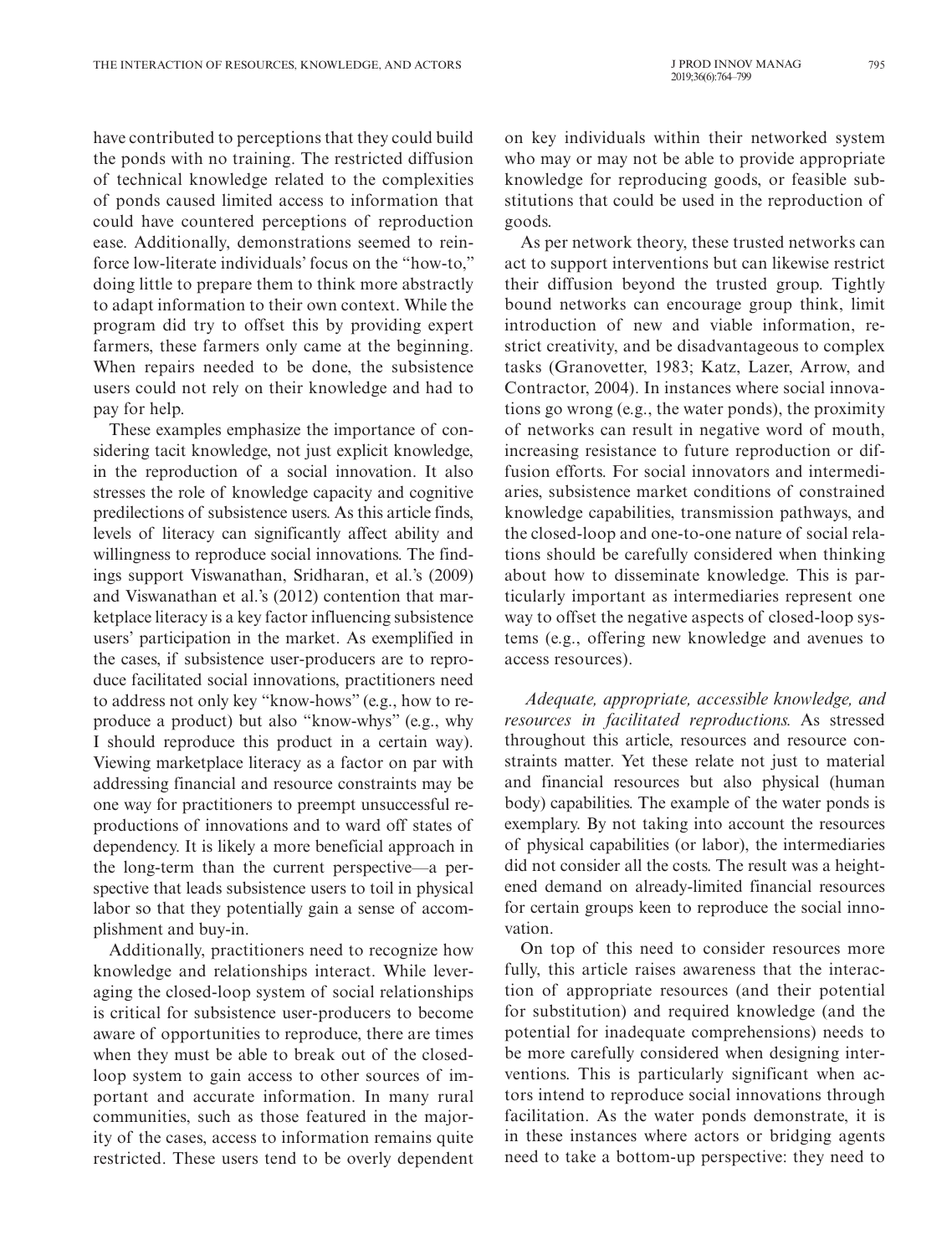have contributed to perceptions that they could build the ponds with no training. The restricted diffusion of technical knowledge related to the complexities of ponds caused limited access to information that could have countered perceptions of reproduction ease. Additionally, demonstrations seemed to reinforce low-literate individuals' focus on the "how-to," doing little to prepare them to think more abstractly to adapt information to their own context. While the program did try to offset this by providing expert farmers, these farmers only came at the beginning. When repairs needed to be done, the subsistence users could not rely on their knowledge and had to pay for help.

These examples emphasize the importance of considering tacit knowledge, not just explicit knowledge, in the reproduction of a social innovation. It also stresses the role of knowledge capacity and cognitive predilections of subsistence users. As this article finds, levels of literacy can significantly affect ability and willingness to reproduce social innovations. The findings support Viswanathan, Sridharan, et al.'s (2009) and Viswanathan et al.'s (2012) contention that marketplace literacy is a key factor influencing subsistence users' participation in the market. As exemplified in the cases, if subsistence user-producers are to reproduce facilitated social innovations, practitioners need to address not only key "know-hows" (e.g., how to reproduce a product) but also "know-whys" (e.g., why I should reproduce this product in a certain way). Viewing marketplace literacy as a factor on par with addressing financial and resource constraints may be one way for practitioners to preempt unsuccessful reproductions of innovations and to ward off states of dependency. It is likely a more beneficial approach in the long-term than the current perspective—a perspective that leads subsistence users to toil in physical labor so that they potentially gain a sense of accomplishment and buy-in.

Additionally, practitioners need to recognize how knowledge and relationships interact. While leveraging the closed-loop system of social relationships is critical for subsistence user-producers to become aware of opportunities to reproduce, there are times when they must be able to break out of the closedloop system to gain access to other sources of important and accurate information. In many rural communities, such as those featured in the majority of the cases, access to information remains quite restricted. These users tend to be overly dependent on key individuals within their networked system who may or may not be able to provide appropriate knowledge for reproducing goods, or feasible substitutions that could be used in the reproduction of goods.

As per network theory, these trusted networks can act to support interventions but can likewise restrict their diffusion beyond the trusted group. Tightly bound networks can encourage group think, limit introduction of new and viable information, restrict creativity, and be disadvantageous to complex tasks (Granovetter, 1983; Katz, Lazer, Arrow, and Contractor, 2004). In instances where social innovations go wrong (e.g., the water ponds), the proximity of networks can result in negative word of mouth, increasing resistance to future reproduction or diffusion efforts. For social innovators and intermediaries, subsistence market conditions of constrained knowledge capabilities, transmission pathways, and the closed-loop and one-to-one nature of social relations should be carefully considered when thinking about how to disseminate knowledge. This is particularly important as intermediaries represent one way to offset the negative aspects of closed-loop systems (e.g., offering new knowledge and avenues to access resources).

*Adequate, appropriate, accessible knowledge, and resources in facilitated reproductions.* As stressed throughout this article, resources and resource constraints matter. Yet these relate not just to material and financial resources but also physical (human body) capabilities. The example of the water ponds is exemplary. By not taking into account the resources of physical capabilities (or labor), the intermediaries did not consider all the costs. The result was a heightened demand on already-limited financial resources for certain groups keen to reproduce the social innovation.

On top of this need to consider resources more fully, this article raises awareness that the interaction of appropriate resources (and their potential for substitution) and required knowledge (and the potential for inadequate comprehensions) needs to be more carefully considered when designing interventions. This is particularly significant when actors intend to reproduce social innovations through facilitation. As the water ponds demonstrate, it is in these instances where actors or bridging agents need to take a bottom-up perspective: they need to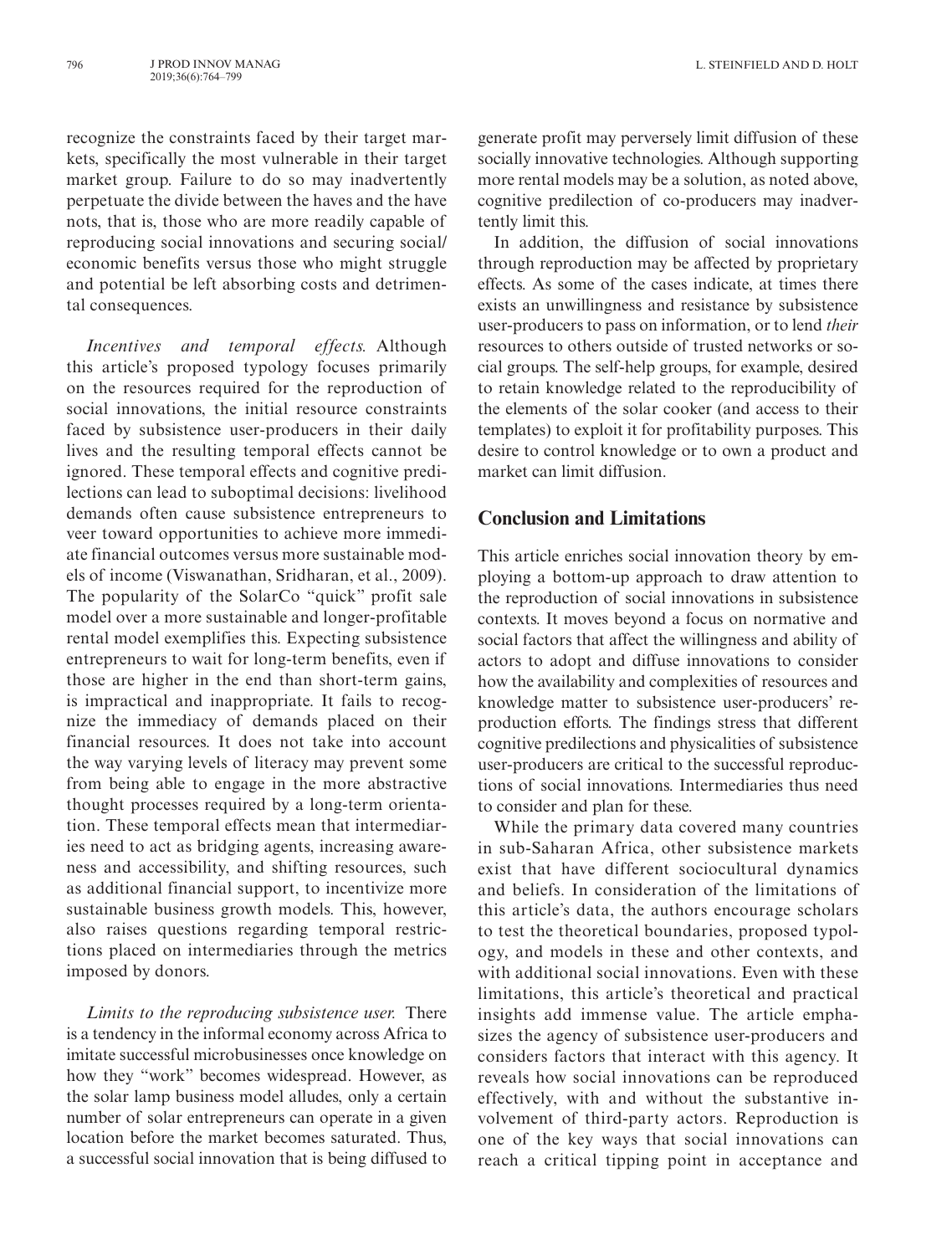recognize the constraints faced by their target markets, specifically the most vulnerable in their target market group. Failure to do so may inadvertently perpetuate the divide between the haves and the have nots, that is, those who are more readily capable of reproducing social innovations and securing social/ economic benefits versus those who might struggle and potential be left absorbing costs and detrimental consequences.

*Incentives and temporal effects.* Although this article's proposed typology focuses primarily on the resources required for the reproduction of social innovations, the initial resource constraints faced by subsistence user-producers in their daily lives and the resulting temporal effects cannot be ignored. These temporal effects and cognitive predilections can lead to suboptimal decisions: livelihood demands often cause subsistence entrepreneurs to veer toward opportunities to achieve more immediate financial outcomes versus more sustainable models of income (Viswanathan, Sridharan, et al., 2009). The popularity of the SolarCo "quick" profit sale model over a more sustainable and longer-profitable rental model exemplifies this. Expecting subsistence entrepreneurs to wait for long-term benefits, even if those are higher in the end than short-term gains, is impractical and inappropriate. It fails to recognize the immediacy of demands placed on their financial resources. It does not take into account the way varying levels of literacy may prevent some from being able to engage in the more abstractive thought processes required by a long-term orientation. These temporal effects mean that intermediaries need to act as bridging agents, increasing awareness and accessibility, and shifting resources, such as additional financial support, to incentivize more sustainable business growth models. This, however, also raises questions regarding temporal restrictions placed on intermediaries through the metrics imposed by donors.

*Limits to the reproducing subsistence user.* There is a tendency in the informal economy across Africa to imitate successful microbusinesses once knowledge on how they "work" becomes widespread. However, as the solar lamp business model alludes, only a certain number of solar entrepreneurs can operate in a given location before the market becomes saturated. Thus, a successful social innovation that is being diffused to

generate profit may perversely limit diffusion of these socially innovative technologies. Although supporting more rental models may be a solution, as noted above, cognitive predilection of co-producers may inadvertently limit this.

In addition, the diffusion of social innovations through reproduction may be affected by proprietary effects. As some of the cases indicate, at times there exists an unwillingness and resistance by subsistence user-producers to pass on information, or to lend *their* resources to others outside of trusted networks or social groups. The self-help groups, for example, desired to retain knowledge related to the reproducibility of the elements of the solar cooker (and access to their templates) to exploit it for profitability purposes. This desire to control knowledge or to own a product and market can limit diffusion.

# **Conclusion and Limitations**

This article enriches social innovation theory by employing a bottom-up approach to draw attention to the reproduction of social innovations in subsistence contexts. It moves beyond a focus on normative and social factors that affect the willingness and ability of actors to adopt and diffuse innovations to consider how the availability and complexities of resources and knowledge matter to subsistence user-producers' reproduction efforts. The findings stress that different cognitive predilections and physicalities of subsistence user-producers are critical to the successful reproductions of social innovations. Intermediaries thus need to consider and plan for these.

While the primary data covered many countries in sub-Saharan Africa, other subsistence markets exist that have different sociocultural dynamics and beliefs. In consideration of the limitations of this article's data, the authors encourage scholars to test the theoretical boundaries, proposed typology, and models in these and other contexts, and with additional social innovations. Even with these limitations, this article's theoretical and practical insights add immense value. The article emphasizes the agency of subsistence user-producers and considers factors that interact with this agency. It reveals how social innovations can be reproduced effectively, with and without the substantive involvement of third-party actors. Reproduction is one of the key ways that social innovations can reach a critical tipping point in acceptance and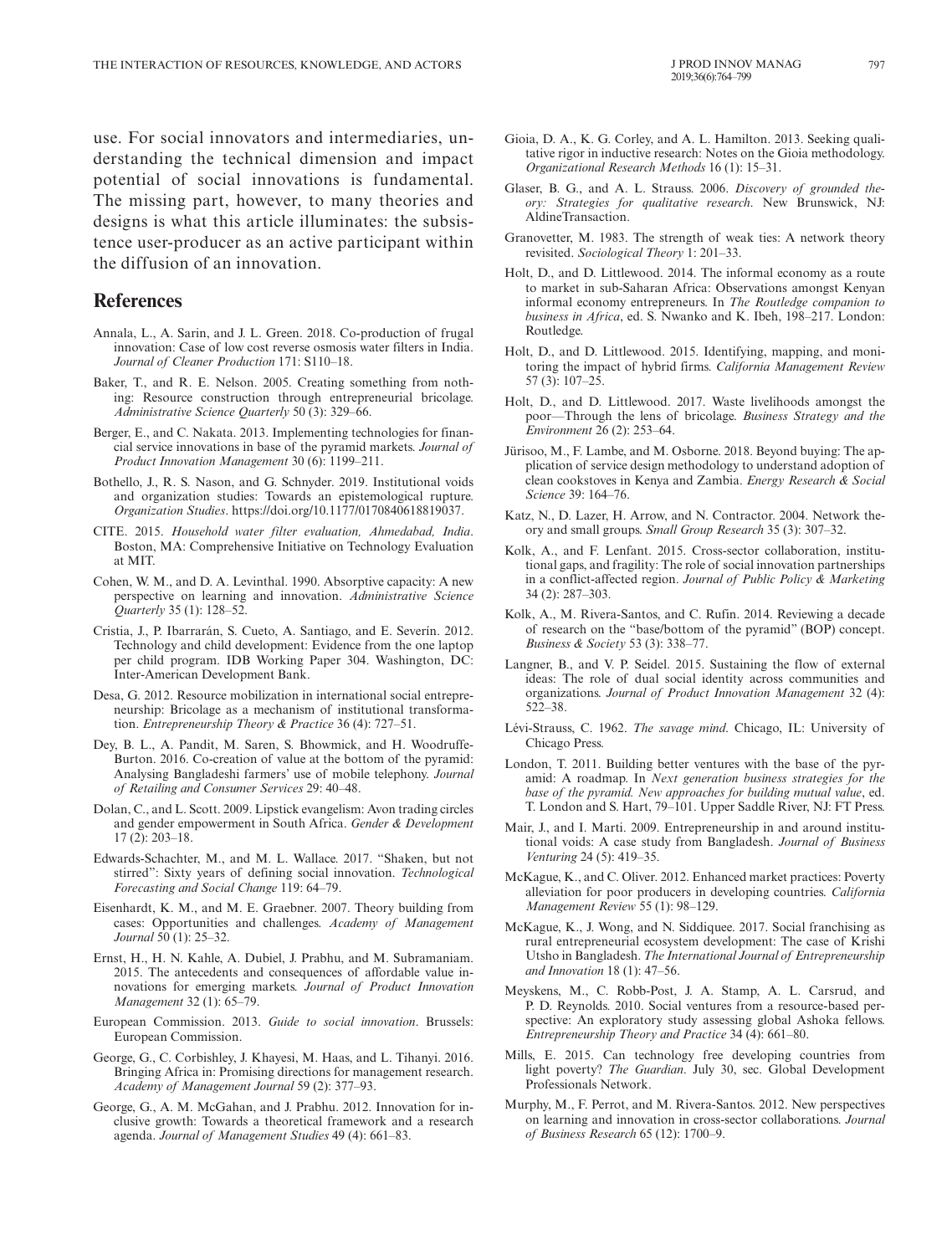use. For social innovators and intermediaries, understanding the technical dimension and impact potential of social innovations is fundamental. The missing part, however, to many theories and designs is what this article illuminates: the subsistence user-producer as an active participant within the diffusion of an innovation.

# **References**

- Annala, L., A. Sarin, and J. L. Green. 2018. Co-production of frugal innovation: Case of low cost reverse osmosis water filters in India. *Journal of Cleaner Production* 171: S110–18.
- Baker, T., and R. E. Nelson. 2005. Creating something from nothing: Resource construction through entrepreneurial bricolage. *Administrative Science Quarterly* 50 (3): 329–66.
- Berger, E., and C. Nakata. 2013. Implementing technologies for financial service innovations in base of the pyramid markets. *Journal of Product Innovation Management* 30 (6): 1199–211.
- Bothello, J., R. S. Nason, and G. Schnyder. 2019. Institutional voids and organization studies: Towards an epistemological rupture. *Organization Studies*. [https://doi.org/10.1177/0170840618819037.](https://doi.org/10.1177/0170840618819037)
- CITE. 2015. *Household water filter evaluation, Ahmedabad, India*. Boston, MA: Comprehensive Initiative on Technology Evaluation at MIT.
- Cohen, W. M., and D. A. Levinthal. 1990. Absorptive capacity: A new perspective on learning and innovation. *Administrative Science Quarterly* 35 (1): 128–52.
- Cristia, J., P. Ibarrarán, S. Cueto, A. Santiago, and E. Severín. 2012. Technology and child development: Evidence from the one laptop per child program. IDB Working Paper 304. Washington, DC: Inter-American Development Bank.
- Desa, G. 2012. Resource mobilization in international social entrepreneurship: Bricolage as a mechanism of institutional transformation. *Entrepreneurship Theory & Practice* 36 (4): 727–51.
- Dey, B. L., A. Pandit, M. Saren, S. Bhowmick, and H. Woodruffe-Burton. 2016. Co-creation of value at the bottom of the pyramid: Analysing Bangladeshi farmers' use of mobile telephony. *Journal of Retailing and Consumer Services* 29: 40–48.
- Dolan, C., and L. Scott. 2009. Lipstick evangelism: Avon trading circles and gender empowerment in South Africa. *Gender & Development* 17 (2): 203–18.
- Edwards-Schachter, M., and M. L. Wallace. 2017. "Shaken, but not stirred": Sixty years of defining social innovation. *Technological Forecasting and Social Change* 119: 64–79.
- Eisenhardt, K. M., and M. E. Graebner. 2007. Theory building from cases: Opportunities and challenges. *Academy of Management Journal* 50 (1): 25–32.
- Ernst, H., H. N. Kahle, A. Dubiel, J. Prabhu, and M. Subramaniam. 2015. The antecedents and consequences of affordable value innovations for emerging markets. *Journal of Product Innovation Management* 32 (1): 65–79.
- European Commission. 2013. *Guide to social innovation*. Brussels: European Commission.
- George, G., C. Corbishley, J. Khayesi, M. Haas, and L. Tihanyi. 2016. Bringing Africa in: Promising directions for management research. *Academy of Management Journal* 59 (2): 377–93.
- George, G., A. M. McGahan, and J. Prabhu. 2012. Innovation for inclusive growth: Towards a theoretical framework and a research agenda. *Journal of Management Studies* 49 (4): 661–83.
- Gioia, D. A., K. G. Corley, and A. L. Hamilton. 2013. Seeking qualitative rigor in inductive research: Notes on the Gioia methodology. *Organizational Research Methods* 16 (1): 15–31.
- Glaser, B. G., and A. L. Strauss. 2006. *Discovery of grounded theory: Strategies for qualitative research*. New Brunswick, NJ: AldineTransaction.
- Granovetter, M. 1983. The strength of weak ties: A network theory revisited. *Sociological Theory* 1: 201–33.
- Holt, D., and D. Littlewood. 2014. The informal economy as a route to market in sub-Saharan Africa: Observations amongst Kenyan informal economy entrepreneurs. In *The Routledge companion to business in Africa*, ed. S. Nwanko and K. Ibeh, 198–217. London: Routledge.
- Holt, D., and D. Littlewood. 2015. Identifying, mapping, and monitoring the impact of hybrid firms. *California Management Review* 57 (3): 107–25.
- Holt, D., and D. Littlewood. 2017. Waste livelihoods amongst the poor—Through the lens of bricolage. *Business Strategy and the Environment* 26 (2): 253–64.
- Jürisoo, M., F. Lambe, and M. Osborne. 2018. Beyond buying: The application of service design methodology to understand adoption of clean cookstoves in Kenya and Zambia. *Energy Research & Social Science* 39: 164–76.
- Katz, N., D. Lazer, H. Arrow, and N. Contractor. 2004. Network theory and small groups. *Small Group Research* 35 (3): 307–32.
- Kolk, A., and F. Lenfant. 2015. Cross-sector collaboration, institutional gaps, and fragility: The role of social innovation partnerships in a conflict-affected region. *Journal of Public Policy & Marketing* 34 (2): 287–303.
- Kolk, A., M. Rivera-Santos, and C. Rufin. 2014. Reviewing a decade of research on the "base/bottom of the pyramid" (BOP) concept. *Business & Society* 53 (3): 338–77.
- Langner, B., and V. P. Seidel. 2015. Sustaining the flow of external ideas: The role of dual social identity across communities and organizations. *Journal of Product Innovation Management* 32 (4): 522–38.
- Lévi-Strauss, C. 1962. *The savage mind*. Chicago, IL: University of Chicago Press.
- London, T. 2011. Building better ventures with the base of the pyramid: A roadmap. In *Next generation business strategies for the base of the pyramid. New approaches for building mutual value*, ed. T. London and S. Hart, 79–101. Upper Saddle River, NJ: FT Press.
- Mair, J., and I. Marti. 2009. Entrepreneurship in and around institutional voids: A case study from Bangladesh. *Journal of Business Venturing* 24 (5): 419–35.
- McKague, K., and C. Oliver. 2012. Enhanced market practices: Poverty alleviation for poor producers in developing countries. *California Management Review* 55 (1): 98–129.
- McKague, K., J. Wong, and N. Siddiquee. 2017. Social franchising as rural entrepreneurial ecosystem development: The case of Krishi Utsho in Bangladesh. *The International Journal of Entrepreneurship and Innovation* 18 (1): 47–56.
- Meyskens, M., C. Robb-Post, J. A. Stamp, A. L. Carsrud, and P. D. Reynolds. 2010. Social ventures from a resource-based perspective: An exploratory study assessing global Ashoka fellows. *Entrepreneurship Theory and Practice* 34 (4): 661–80.
- Mills, E. 2015. Can technology free developing countries from light poverty? *The Guardian*. July 30, sec. Global Development Professionals Network.
- Murphy, M., F. Perrot, and M. Rivera-Santos. 2012. New perspectives on learning and innovation in cross-sector collaborations. *Journal of Business Research* 65 (12): 1700–9.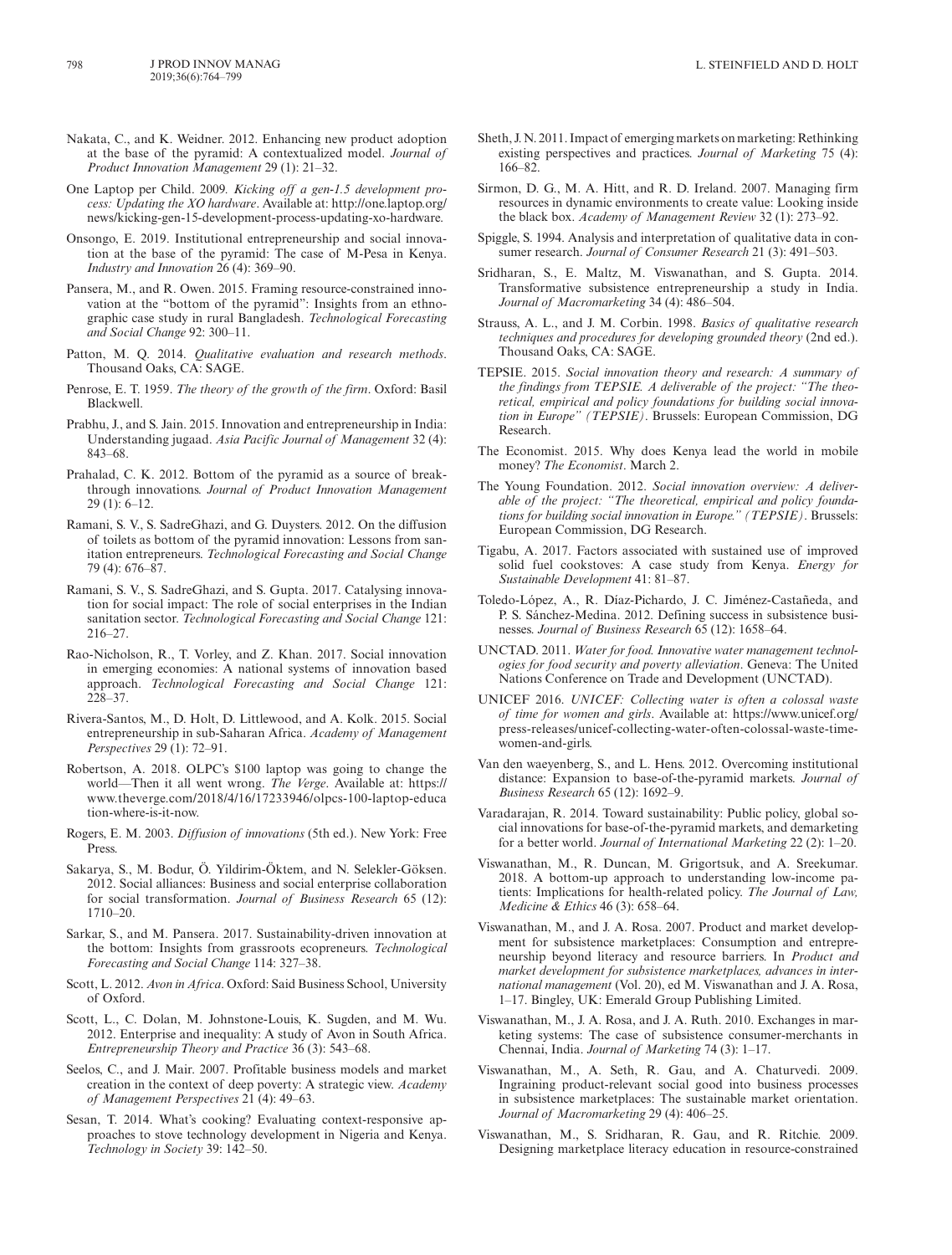- Nakata, C., and K. Weidner. 2012. Enhancing new product adoption at the base of the pyramid: A contextualized model. *Journal of Product Innovation Management* 29 (1): 21–32.
- One Laptop per Child. 2009*. Kicking off a gen-1.5 development process: Updating the XO hardware*. Available at: [http://one.laptop.org/](http://one.laptop.org/news/kicking-gen-15-development-process-updating-xo-hardware) [news/kicking-gen-15-development-process-updating-xo-hardware.](http://one.laptop.org/news/kicking-gen-15-development-process-updating-xo-hardware)
- Onsongo, E. 2019. Institutional entrepreneurship and social innovation at the base of the pyramid: The case of M-Pesa in Kenya. *Industry and Innovation* 26 (4): 369–90.
- Pansera, M., and R. Owen. 2015. Framing resource-constrained innovation at the "bottom of the pyramid": Insights from an ethnographic case study in rural Bangladesh. *Technological Forecasting and Social Change* 92: 300–11.
- Patton, M. Q. 2014. *Qualitative evaluation and research methods*. Thousand Oaks, CA: SAGE.
- Penrose, E. T. 1959. *The theory of the growth of the firm*. Oxford: Basil Blackwell.
- Prabhu, J., and S. Jain. 2015. Innovation and entrepreneurship in India: Understanding jugaad. *Asia Pacific Journal of Management* 32 (4): 843–68.
- Prahalad, C. K. 2012. Bottom of the pyramid as a source of breakthrough innovations. *Journal of Product Innovation Management* 29 (1): 6–12.
- Ramani, S. V., S. SadreGhazi, and G. Duysters. 2012. On the diffusion of toilets as bottom of the pyramid innovation: Lessons from sanitation entrepreneurs. *Technological Forecasting and Social Change* 79 (4): 676–87.
- Ramani, S. V., S. SadreGhazi, and S. Gupta. 2017. Catalysing innovation for social impact: The role of social enterprises in the Indian sanitation sector. *Technological Forecasting and Social Change* 121: 216–27.
- Rao-Nicholson, R., T. Vorley, and Z. Khan. 2017. Social innovation in emerging economies: A national systems of innovation based approach. *Technological Forecasting and Social Change* 121: 228–37.
- Rivera-Santos, M., D. Holt, D. Littlewood, and A. Kolk. 2015. Social entrepreneurship in sub-Saharan Africa. *Academy of Management Perspectives* 29 (1): 72–91.
- Robertson, A. 2018. OLPC's \$100 laptop was going to change the world—Then it all went wrong. *The Verge*. Available at: [https://](https://www.theverge.com/2018/4/16/17233946/olpcs-100-laptop-education-where-is-it-now) [www.theverge.com/2018/4/16/17233946/olpcs-100-laptop-educa](https://www.theverge.com/2018/4/16/17233946/olpcs-100-laptop-education-where-is-it-now) [tion-where-is-it-now](https://www.theverge.com/2018/4/16/17233946/olpcs-100-laptop-education-where-is-it-now).
- Rogers, E. M. 2003. *Diffusion of innovations* (5th ed.). New York: Free Press.
- Sakarya, S., M. Bodur, Ö. Yildirim-Öktem, and N. Selekler-Göksen. 2012. Social alliances: Business and social enterprise collaboration for social transformation. *Journal of Business Research* 65 (12): 1710–20.
- Sarkar, S., and M. Pansera. 2017. Sustainability-driven innovation at the bottom: Insights from grassroots ecopreneurs. *Technological Forecasting and Social Change* 114: 327–38.
- Scott, L. 2012. *Avon in Africa*. Oxford: Said Business School, University of Oxford.
- Scott, L., C. Dolan, M. Johnstone-Louis, K. Sugden, and M. Wu. 2012. Enterprise and inequality: A study of Avon in South Africa. *Entrepreneurship Theory and Practice* 36 (3): 543–68.
- Seelos, C., and J. Mair. 2007. Profitable business models and market creation in the context of deep poverty: A strategic view. *Academy of Management Perspectives* 21 (4): 49–63.
- Sesan, T. 2014. What's cooking? Evaluating context-responsive approaches to stove technology development in Nigeria and Kenya. *Technology in Society* 39: 142–50.
- Sheth, J. N. 2011. Impact of emerging markets on marketing: Rethinking existing perspectives and practices. *Journal of Marketing* 75 (4): 166–82.
- Sirmon, D. G., M. A. Hitt, and R. D. Ireland. 2007. Managing firm resources in dynamic environments to create value: Looking inside the black box. *Academy of Management Review* 32 (1): 273–92.
- Spiggle, S. 1994. Analysis and interpretation of qualitative data in consumer research. *Journal of Consumer Research* 21 (3): 491–503.
- Sridharan, S., E. Maltz, M. Viswanathan, and S. Gupta. 2014. Transformative subsistence entrepreneurship a study in India. *Journal of Macromarketing* 34 (4): 486–504.
- Strauss, A. L., and J. M. Corbin. 1998. *Basics of qualitative research techniques and procedures for developing grounded theory* (2nd ed.). Thousand Oaks, CA: SAGE.
- TEPSIE. 2015. *Social innovation theory and research: A summary of the findings from TEPSIE. A deliverable of the project: "The theoretical, empirical and policy foundations for building social innovation in Europe" (TEPSIE)*. Brussels: European Commission, DG Research.
- The Economist. 2015. Why does Kenya lead the world in mobile money? *The Economist*. March 2.
- The Young Foundation. 2012. *Social innovation overview: A deliverable of the project: "The theoretical, empirical and policy foundations for building social innovation in Europe." (TEPSIE)*. Brussels: European Commission, DG Research.
- Tigabu, A. 2017. Factors associated with sustained use of improved solid fuel cookstoves: A case study from Kenya. *Energy for Sustainable Development* 41: 81–87.
- Toledo-López, A., R. Díaz-Pichardo, J. C. Jiménez-Castañeda, and P. S. Sánchez-Medina. 2012. Defining success in subsistence businesses. *Journal of Business Research* 65 (12): 1658–64.
- UNCTAD. 2011. *Water for food. Innovative water management technologies for food security and poverty alleviation*. Geneva: The United Nations Conference on Trade and Development (UNCTAD).
- UNICEF 2016. *UNICEF: Collecting water is often a colossal waste of time for women and girls*. Available at: [https://www.unicef.org/](https://www.unicef.org/press-releases/unicef-collecting-water-often-colossal-waste-time-women-and-girls) [press-releases/unicef-collecting-water-often-colossal-waste-time](https://www.unicef.org/press-releases/unicef-collecting-water-often-colossal-waste-time-women-and-girls)[women-and-girls.](https://www.unicef.org/press-releases/unicef-collecting-water-often-colossal-waste-time-women-and-girls)
- Van den waeyenberg, S., and L. Hens. 2012. Overcoming institutional distance: Expansion to base-of-the-pyramid markets. *Journal of Business Research* 65 (12): 1692–9.
- Varadarajan, R. 2014. Toward sustainability: Public policy, global social innovations for base-of-the-pyramid markets, and demarketing for a better world. *Journal of International Marketing* 22 (2): 1–20.
- Viswanathan, M., R. Duncan, M. Grigortsuk, and A. Sreekumar. 2018. A bottom-up approach to understanding low-income patients: Implications for health-related policy. *The Journal of Law, Medicine & Ethics* 46 (3): 658–64.
- Viswanathan, M., and J. A. Rosa. 2007. Product and market development for subsistence marketplaces: Consumption and entrepreneurship beyond literacy and resource barriers. In *Product and market development for subsistence marketplaces, advances in international management* (Vol. 20), ed M. Viswanathan and J. A. Rosa, 1–17. Bingley, UK: Emerald Group Publishing Limited.
- Viswanathan, M., J. A. Rosa, and J. A. Ruth. 2010. Exchanges in marketing systems: The case of subsistence consumer-merchants in Chennai, India. *Journal of Marketing* 74 (3): 1–17.
- Viswanathan, M., A. Seth, R. Gau, and A. Chaturvedi. 2009. Ingraining product-relevant social good into business processes in subsistence marketplaces: The sustainable market orientation. *Journal of Macromarketing* 29 (4): 406–25.
- Viswanathan, M., S. Sridharan, R. Gau, and R. Ritchie. 2009. Designing marketplace literacy education in resource-constrained